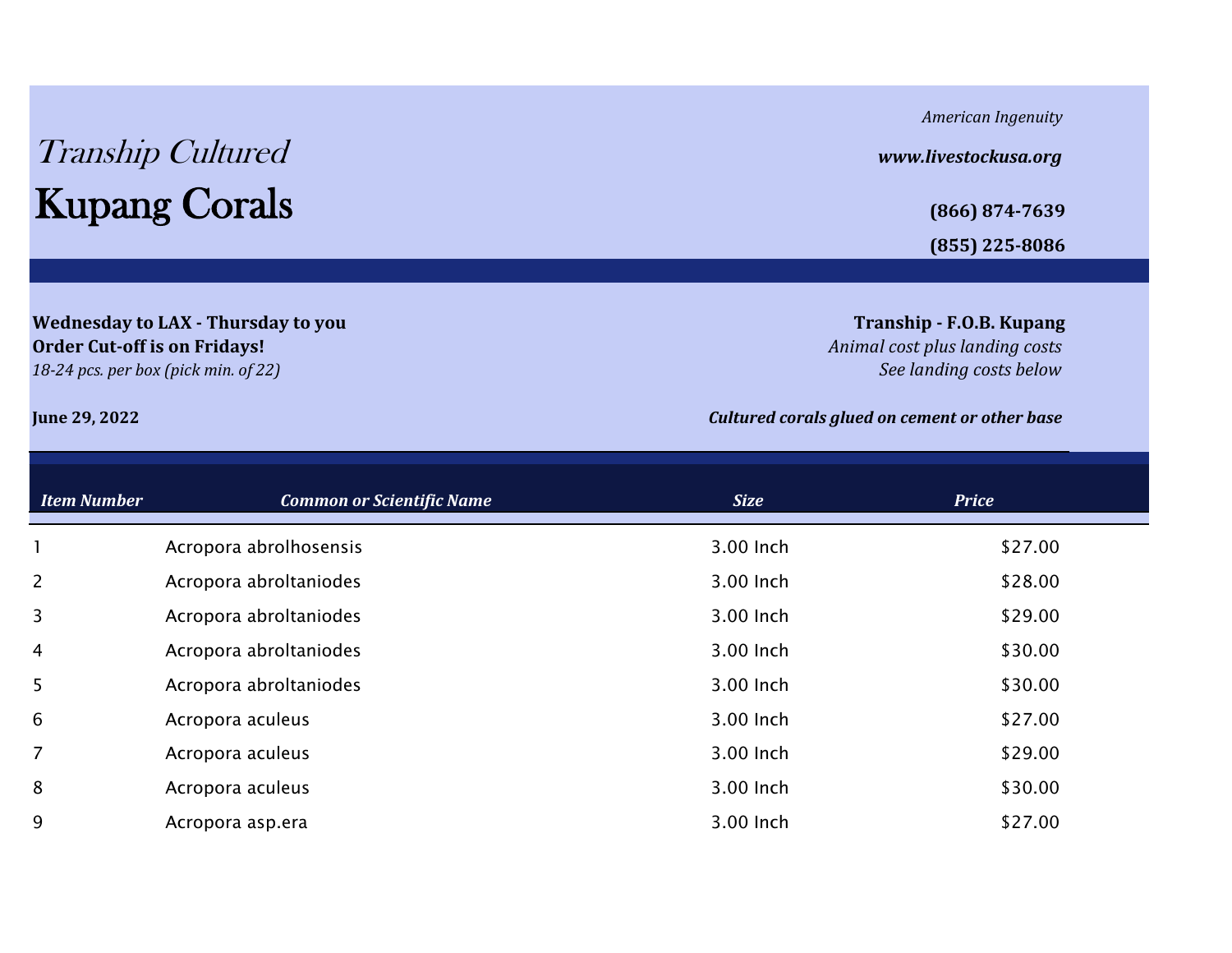## Tranship Cultured *www.livestockusa.org* Kupang Corals **(866) 874-7639**

**Wednesday to LAX - Thursday to you The Community of the Community of the Community of Tranship - F.O.B. Kupang Order Cut-off is on Fridays!** *Animal cost plus landing costs*

*American Ingenuity*

**(855) 225-8086**

*18-24 pcs. per box (pick min. of 22) See landing costs below*

## **June 29, 2022** *Cultured corals glued on cement or other base*

| <b>Item Number</b> | <b>Common or Scientific Name</b> | <b>Size</b> | <b>Price</b> |
|--------------------|----------------------------------|-------------|--------------|
|                    | Acropora abrolhosensis           | 3.00 Inch   | \$27.00      |
| $\overline{2}$     | Acropora abroltaniodes           | 3.00 Inch   | \$28.00      |
| 3                  | Acropora abroltaniodes           | 3.00 Inch   | \$29.00      |
| 4                  | Acropora abroltaniodes           | 3.00 Inch   | \$30.00      |
| 5 <sup>5</sup>     | Acropora abroltaniodes           | 3.00 Inch   | \$30.00      |
| 6                  | Acropora aculeus                 | 3.00 Inch   | \$27.00      |
| 7                  | Acropora aculeus                 | 3.00 Inch   | \$29.00      |
| 8                  | Acropora aculeus                 | 3.00 Inch   | \$30.00      |
| 9                  | Acropora asp.era                 | 3.00 Inch   | \$27.00      |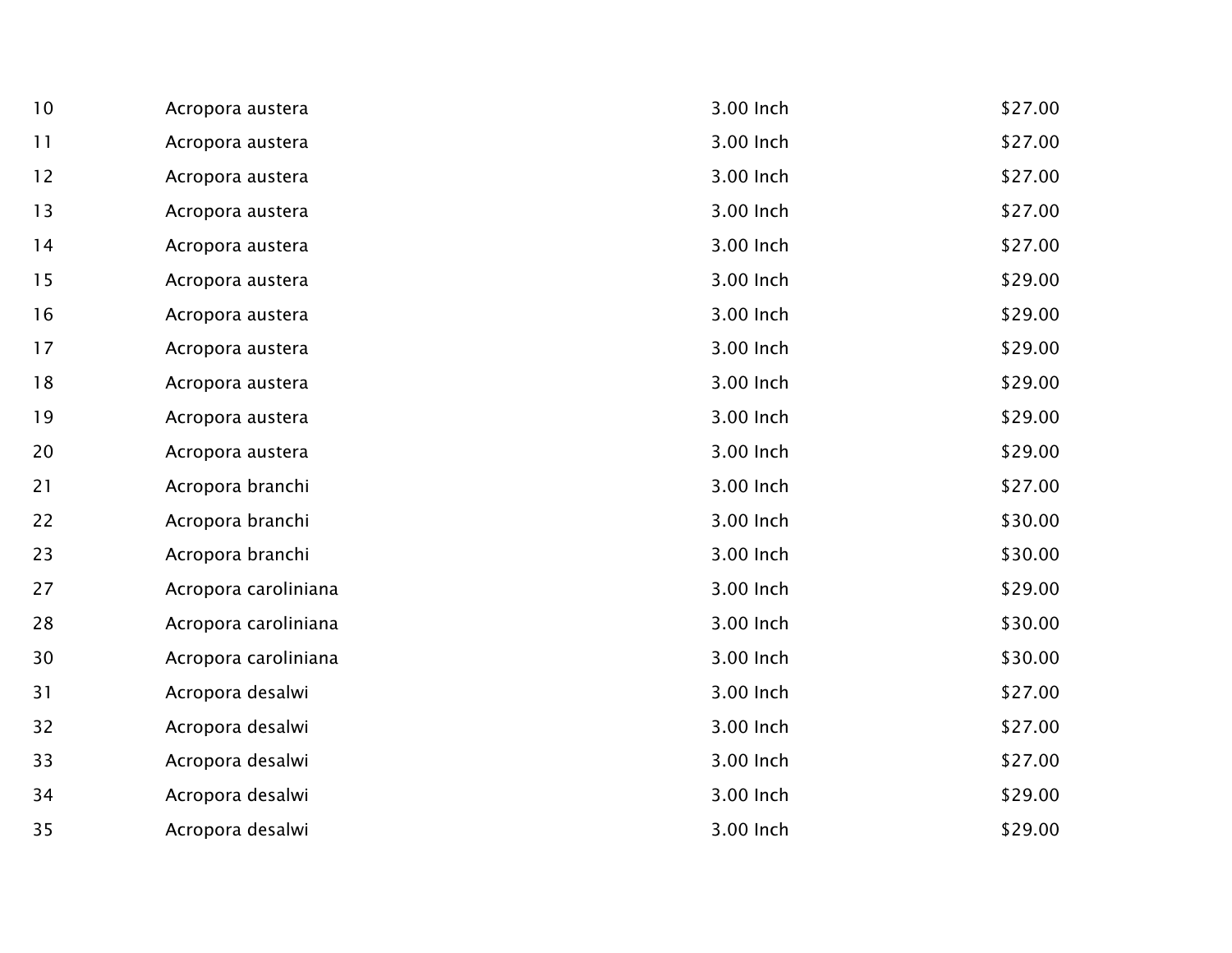| 10 | Acropora austera     | 3.00 Inch | \$27.00 |
|----|----------------------|-----------|---------|
| 11 | Acropora austera     | 3.00 Inch | \$27.00 |
| 12 | Acropora austera     | 3.00 Inch | \$27.00 |
| 13 | Acropora austera     | 3.00 Inch | \$27.00 |
| 14 | Acropora austera     | 3.00 Inch | \$27.00 |
| 15 | Acropora austera     | 3.00 Inch | \$29.00 |
| 16 | Acropora austera     | 3.00 Inch | \$29.00 |
| 17 | Acropora austera     | 3.00 Inch | \$29.00 |
| 18 | Acropora austera     | 3.00 Inch | \$29.00 |
| 19 | Acropora austera     | 3.00 Inch | \$29.00 |
| 20 | Acropora austera     | 3.00 Inch | \$29.00 |
| 21 | Acropora branchi     | 3.00 Inch | \$27.00 |
| 22 | Acropora branchi     | 3.00 Inch | \$30.00 |
| 23 | Acropora branchi     | 3.00 Inch | \$30.00 |
| 27 | Acropora caroliniana | 3.00 Inch | \$29.00 |
| 28 | Acropora caroliniana | 3.00 Inch | \$30.00 |
| 30 | Acropora caroliniana | 3.00 Inch | \$30.00 |
| 31 | Acropora desalwi     | 3.00 Inch | \$27.00 |
| 32 | Acropora desalwi     | 3.00 Inch | \$27.00 |
| 33 | Acropora desalwi     | 3.00 Inch | \$27.00 |
| 34 | Acropora desalwi     | 3.00 Inch | \$29.00 |
| 35 | Acropora desalwi     | 3.00 Inch | \$29.00 |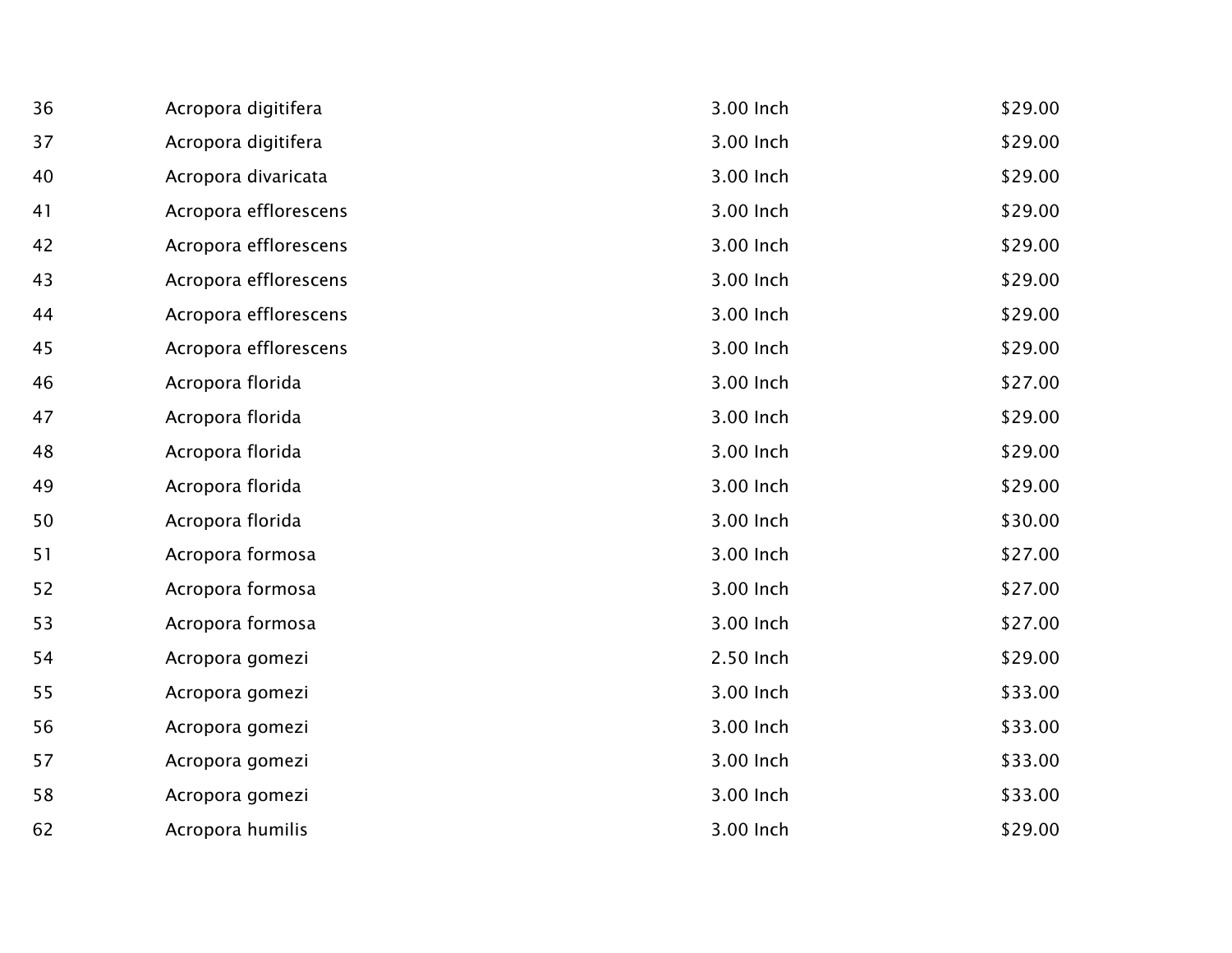| 36 | Acropora digitifera   | 3.00 Inch | \$29.00 |
|----|-----------------------|-----------|---------|
| 37 | Acropora digitifera   | 3.00 Inch | \$29.00 |
| 40 | Acropora divaricata   | 3.00 Inch | \$29.00 |
| 41 | Acropora efflorescens | 3.00 Inch | \$29.00 |
| 42 | Acropora efflorescens | 3.00 Inch | \$29.00 |
| 43 | Acropora efflorescens | 3.00 Inch | \$29.00 |
| 44 | Acropora efflorescens | 3.00 Inch | \$29.00 |
| 45 | Acropora efflorescens | 3.00 Inch | \$29.00 |
| 46 | Acropora florida      | 3.00 Inch | \$27.00 |
| 47 | Acropora florida      | 3.00 Inch | \$29.00 |
| 48 | Acropora florida      | 3.00 Inch | \$29.00 |
| 49 | Acropora florida      | 3.00 Inch | \$29.00 |
| 50 | Acropora florida      | 3.00 Inch | \$30.00 |
| 51 | Acropora formosa      | 3.00 Inch | \$27.00 |
| 52 | Acropora formosa      | 3.00 Inch | \$27.00 |
| 53 | Acropora formosa      | 3.00 Inch | \$27.00 |
| 54 | Acropora gomezi       | 2.50 Inch | \$29.00 |
| 55 | Acropora gomezi       | 3.00 Inch | \$33.00 |
| 56 | Acropora gomezi       | 3.00 Inch | \$33.00 |
| 57 | Acropora gomezi       | 3.00 Inch | \$33.00 |
| 58 | Acropora gomezi       | 3.00 Inch | \$33.00 |
| 62 | Acropora humilis      | 3.00 Inch | \$29.00 |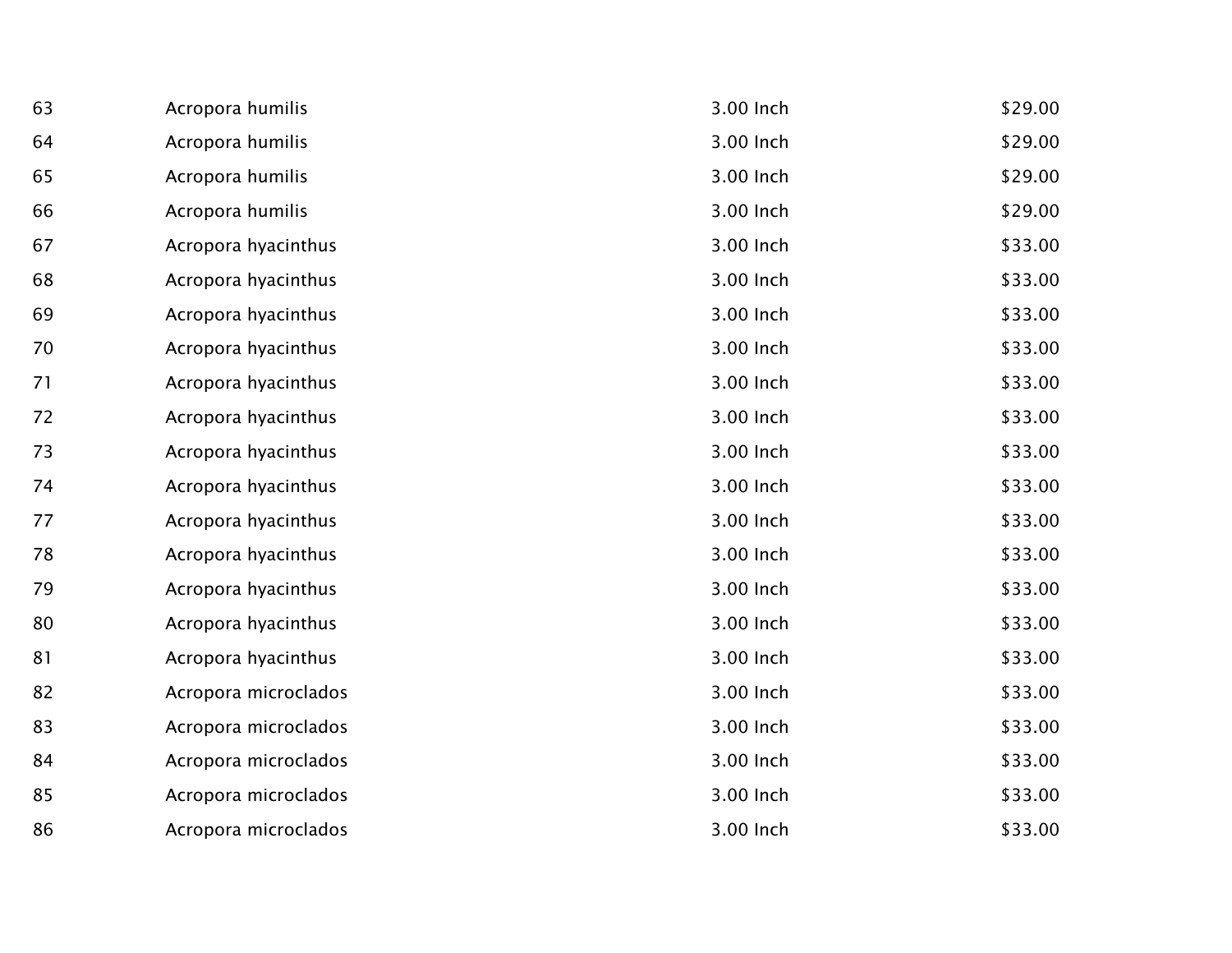| 63 | Acropora humilis     | 3.00 Inch | \$29.00 |
|----|----------------------|-----------|---------|
| 64 | Acropora humilis     | 3.00 Inch | \$29.00 |
| 65 | Acropora humilis     | 3.00 Inch | \$29.00 |
| 66 | Acropora humilis     | 3.00 Inch | \$29.00 |
| 67 | Acropora hyacinthus  | 3.00 Inch | \$33.00 |
| 68 | Acropora hyacinthus  | 3.00 Inch | \$33.00 |
| 69 | Acropora hyacinthus  | 3.00 Inch | \$33.00 |
| 70 | Acropora hyacinthus  | 3.00 Inch | \$33.00 |
| 71 | Acropora hyacinthus  | 3.00 Inch | \$33.00 |
| 72 | Acropora hyacinthus  | 3.00 Inch | \$33.00 |
| 73 | Acropora hyacinthus  | 3.00 Inch | \$33.00 |
| 74 | Acropora hyacinthus  | 3.00 Inch | \$33.00 |
| 77 | Acropora hyacinthus  | 3.00 Inch | \$33.00 |
| 78 | Acropora hyacinthus  | 3.00 Inch | \$33.00 |
| 79 | Acropora hyacinthus  | 3.00 Inch | \$33.00 |
| 80 | Acropora hyacinthus  | 3.00 Inch | \$33.00 |
| 81 | Acropora hyacinthus  | 3.00 Inch | \$33.00 |
| 82 | Acropora microclados | 3.00 Inch | \$33.00 |
| 83 | Acropora microclados | 3.00 Inch | \$33.00 |
| 84 | Acropora microclados | 3.00 Inch | \$33.00 |
| 85 | Acropora microclados | 3.00 Inch | \$33.00 |
| 86 | Acropora microclados | 3.00 Inch | \$33.00 |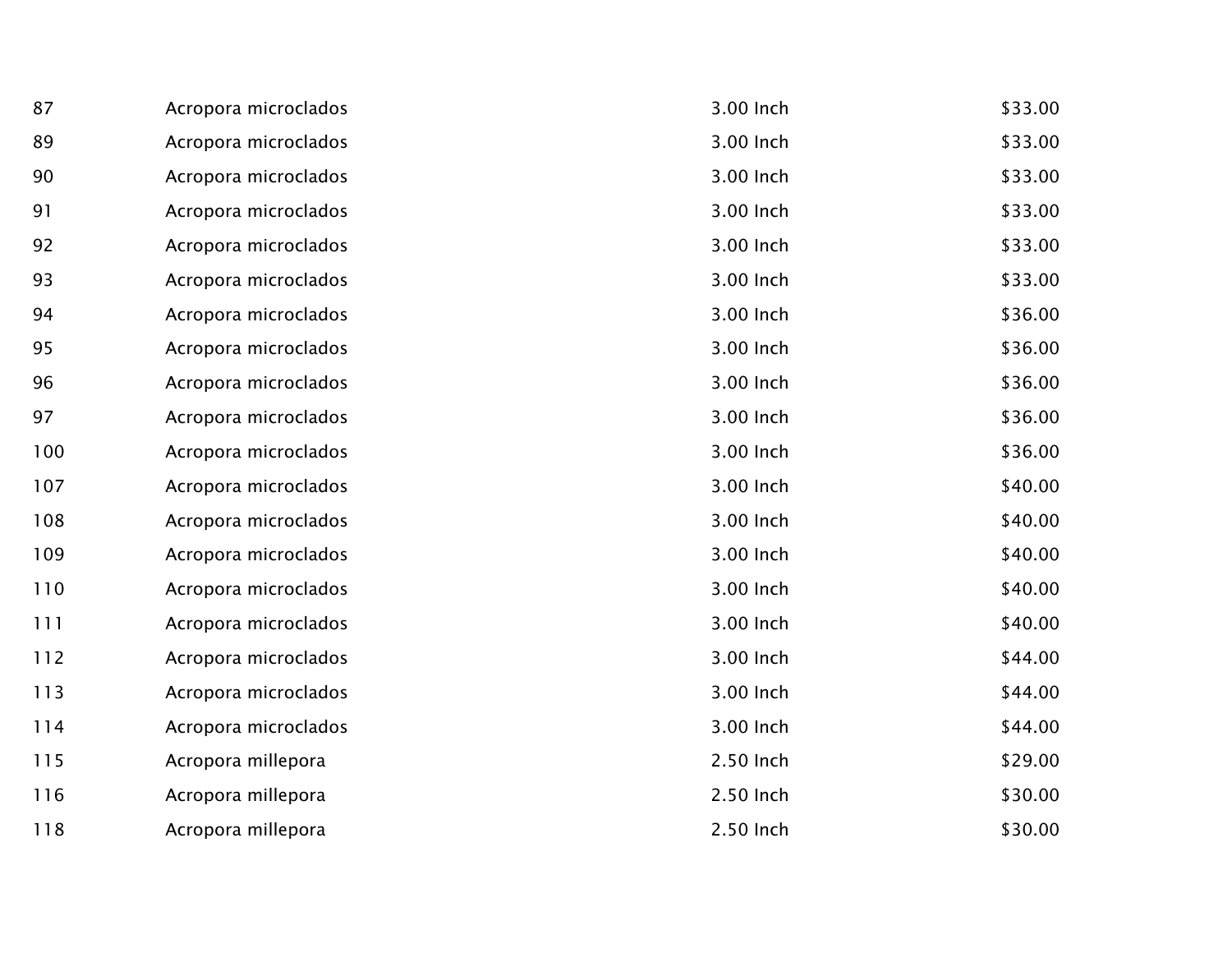| 87  | Acropora microclados | 3.00 Inch | \$33.00 |
|-----|----------------------|-----------|---------|
| 89  | Acropora microclados | 3.00 Inch | \$33.00 |
| 90  | Acropora microclados | 3.00 Inch | \$33.00 |
| 91  | Acropora microclados | 3.00 Inch | \$33.00 |
| 92  | Acropora microclados | 3.00 Inch | \$33.00 |
| 93  | Acropora microclados | 3.00 Inch | \$33.00 |
| 94  | Acropora microclados | 3.00 Inch | \$36.00 |
| 95  | Acropora microclados | 3.00 Inch | \$36.00 |
| 96  | Acropora microclados | 3.00 Inch | \$36.00 |
| 97  | Acropora microclados | 3.00 Inch | \$36.00 |
| 100 | Acropora microclados | 3.00 Inch | \$36.00 |
| 107 | Acropora microclados | 3.00 Inch | \$40.00 |
| 108 | Acropora microclados | 3.00 Inch | \$40.00 |
| 109 | Acropora microclados | 3.00 Inch | \$40.00 |
| 110 | Acropora microclados | 3.00 Inch | \$40.00 |
| 111 | Acropora microclados | 3.00 Inch | \$40.00 |
| 112 | Acropora microclados | 3.00 Inch | \$44.00 |
| 113 | Acropora microclados | 3.00 Inch | \$44.00 |
| 114 | Acropora microclados | 3.00 Inch | \$44.00 |
| 115 | Acropora millepora   | 2.50 Inch | \$29.00 |
| 116 | Acropora millepora   | 2.50 Inch | \$30.00 |
| 118 | Acropora millepora   | 2.50 Inch | \$30.00 |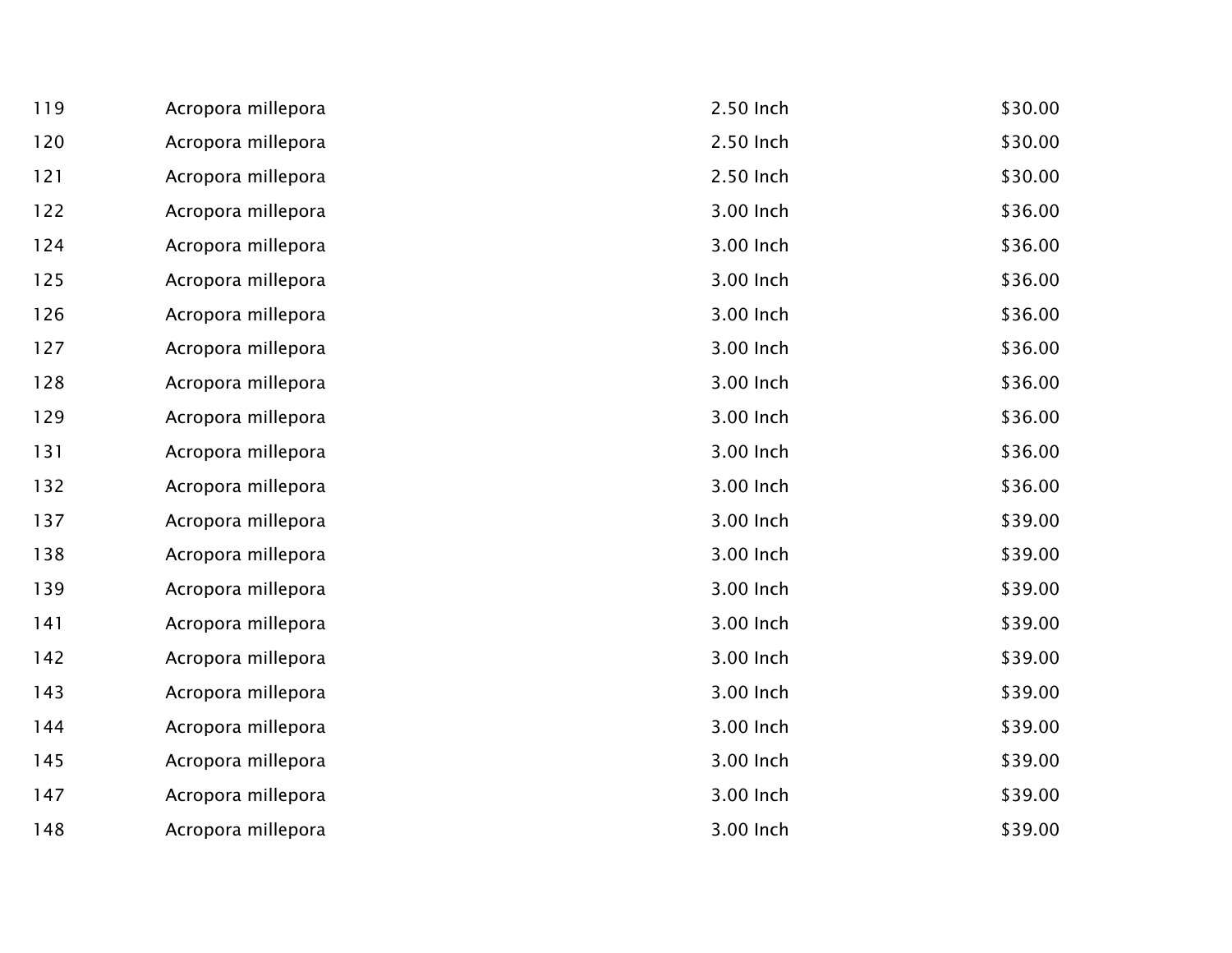| 119 | Acropora millepora | 2.50 Inch | \$30.00 |
|-----|--------------------|-----------|---------|
| 120 | Acropora millepora | 2.50 Inch | \$30.00 |
| 121 | Acropora millepora | 2.50 Inch | \$30.00 |
| 122 | Acropora millepora | 3.00 Inch | \$36.00 |
| 124 | Acropora millepora | 3.00 Inch | \$36.00 |
| 125 | Acropora millepora | 3.00 Inch | \$36.00 |
| 126 | Acropora millepora | 3.00 Inch | \$36.00 |
| 127 | Acropora millepora | 3.00 Inch | \$36.00 |
| 128 | Acropora millepora | 3.00 Inch | \$36.00 |
| 129 | Acropora millepora | 3.00 Inch | \$36.00 |
| 131 | Acropora millepora | 3.00 Inch | \$36.00 |
| 132 | Acropora millepora | 3.00 Inch | \$36.00 |
| 137 | Acropora millepora | 3.00 Inch | \$39.00 |
| 138 | Acropora millepora | 3.00 Inch | \$39.00 |
| 139 | Acropora millepora | 3.00 Inch | \$39.00 |
| 141 | Acropora millepora | 3.00 Inch | \$39.00 |
| 142 | Acropora millepora | 3.00 Inch | \$39.00 |
| 143 | Acropora millepora | 3.00 Inch | \$39.00 |
| 144 | Acropora millepora | 3.00 Inch | \$39.00 |
| 145 | Acropora millepora | 3.00 Inch | \$39.00 |
| 147 | Acropora millepora | 3.00 Inch | \$39.00 |
| 148 | Acropora millepora | 3.00 Inch | \$39.00 |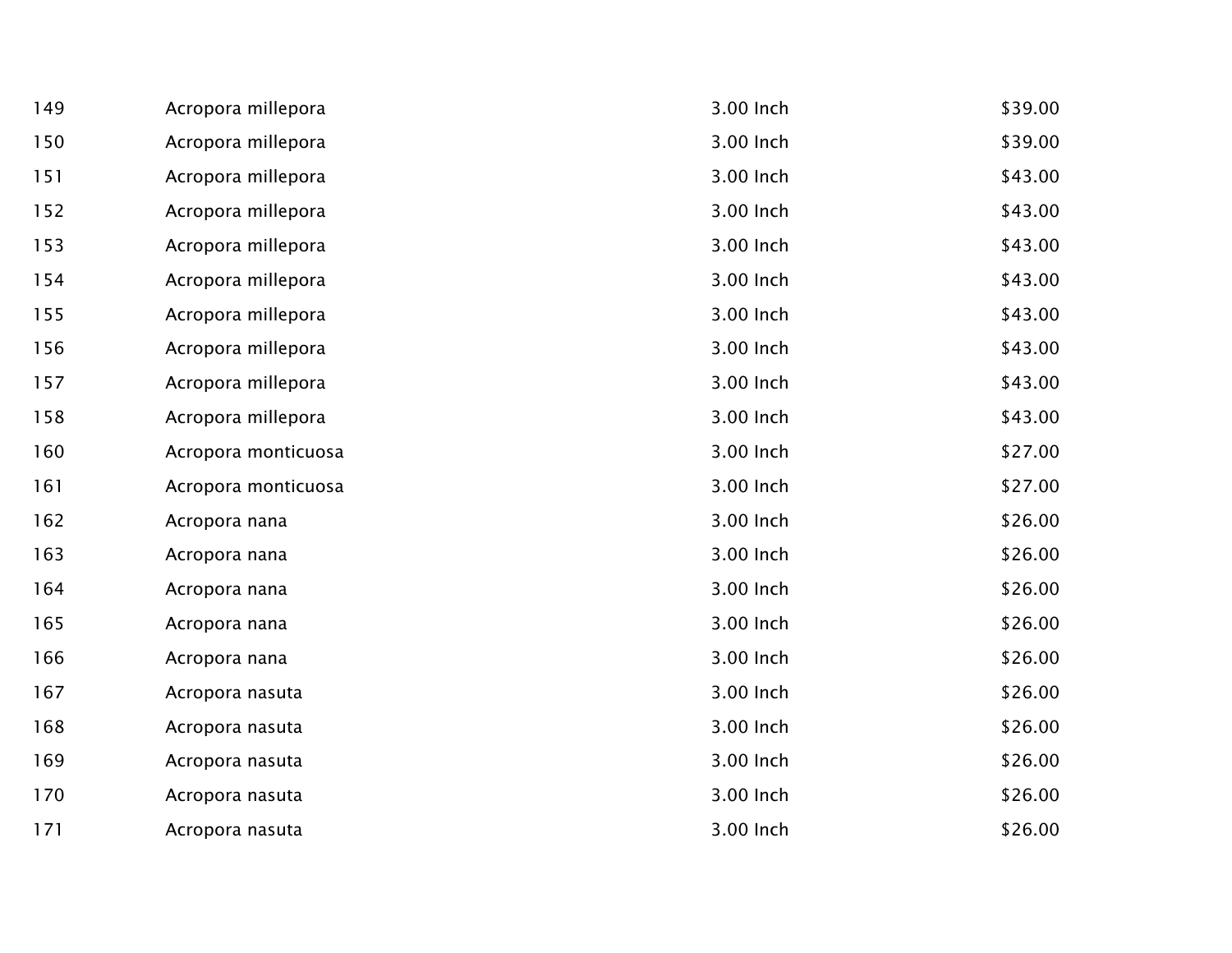| 149 | Acropora millepora  | 3.00 Inch | \$39.00 |
|-----|---------------------|-----------|---------|
| 150 | Acropora millepora  | 3.00 Inch | \$39.00 |
| 151 | Acropora millepora  | 3.00 Inch | \$43.00 |
| 152 | Acropora millepora  | 3.00 Inch | \$43.00 |
| 153 | Acropora millepora  | 3.00 Inch | \$43.00 |
| 154 | Acropora millepora  | 3.00 Inch | \$43.00 |
| 155 | Acropora millepora  | 3.00 Inch | \$43.00 |
| 156 | Acropora millepora  | 3.00 Inch | \$43.00 |
| 157 | Acropora millepora  | 3.00 Inch | \$43.00 |
| 158 | Acropora millepora  | 3.00 Inch | \$43.00 |
| 160 | Acropora monticuosa | 3.00 Inch | \$27.00 |
| 161 | Acropora monticuosa | 3.00 Inch | \$27.00 |
| 162 | Acropora nana       | 3.00 Inch | \$26.00 |
| 163 | Acropora nana       | 3.00 Inch | \$26.00 |
| 164 | Acropora nana       | 3.00 Inch | \$26.00 |
| 165 | Acropora nana       | 3.00 Inch | \$26.00 |
| 166 | Acropora nana       | 3.00 Inch | \$26.00 |
| 167 | Acropora nasuta     | 3.00 Inch | \$26.00 |
| 168 | Acropora nasuta     | 3.00 Inch | \$26.00 |
| 169 | Acropora nasuta     | 3.00 Inch | \$26.00 |
| 170 | Acropora nasuta     | 3.00 Inch | \$26.00 |
| 171 | Acropora nasuta     | 3.00 Inch | \$26.00 |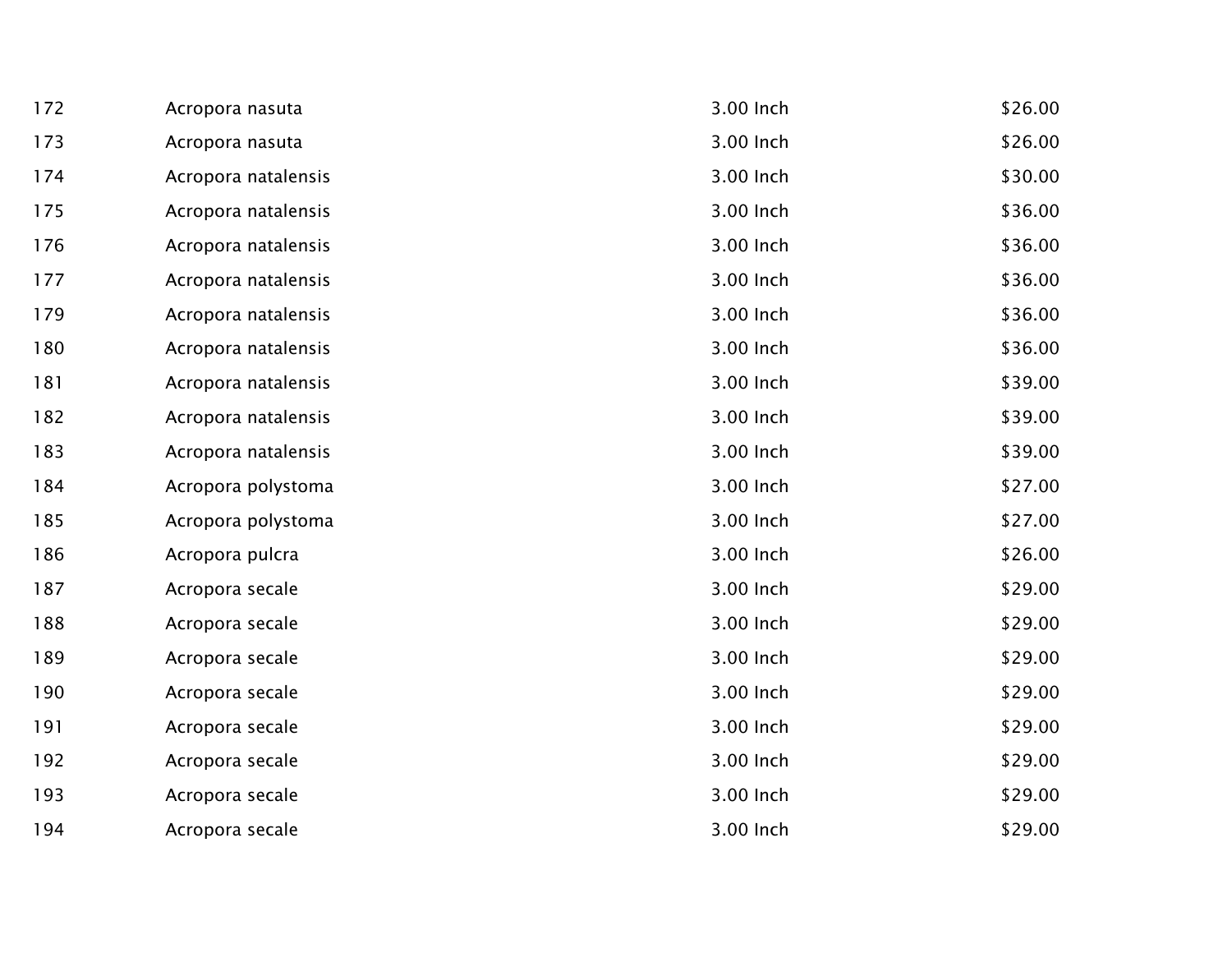| 172 | Acropora nasuta     | 3.00 Inch | \$26.00 |
|-----|---------------------|-----------|---------|
| 173 | Acropora nasuta     | 3.00 Inch | \$26.00 |
| 174 | Acropora natalensis | 3.00 Inch | \$30.00 |
| 175 | Acropora natalensis | 3.00 Inch | \$36.00 |
| 176 | Acropora natalensis | 3.00 Inch | \$36.00 |
| 177 | Acropora natalensis | 3.00 Inch | \$36.00 |
| 179 | Acropora natalensis | 3.00 Inch | \$36.00 |
| 180 | Acropora natalensis | 3.00 Inch | \$36.00 |
| 181 | Acropora natalensis | 3.00 Inch | \$39.00 |
| 182 | Acropora natalensis | 3.00 Inch | \$39.00 |
| 183 | Acropora natalensis | 3.00 Inch | \$39.00 |
| 184 | Acropora polystoma  | 3.00 Inch | \$27.00 |
| 185 | Acropora polystoma  | 3.00 Inch | \$27.00 |
| 186 | Acropora pulcra     | 3.00 Inch | \$26.00 |
| 187 | Acropora secale     | 3.00 Inch | \$29.00 |
| 188 | Acropora secale     | 3.00 Inch | \$29.00 |
| 189 | Acropora secale     | 3.00 Inch | \$29.00 |
| 190 | Acropora secale     | 3.00 Inch | \$29.00 |
| 191 | Acropora secale     | 3.00 Inch | \$29.00 |
| 192 | Acropora secale     | 3.00 Inch | \$29.00 |
| 193 | Acropora secale     | 3.00 Inch | \$29.00 |
| 194 | Acropora secale     | 3.00 Inch | \$29.00 |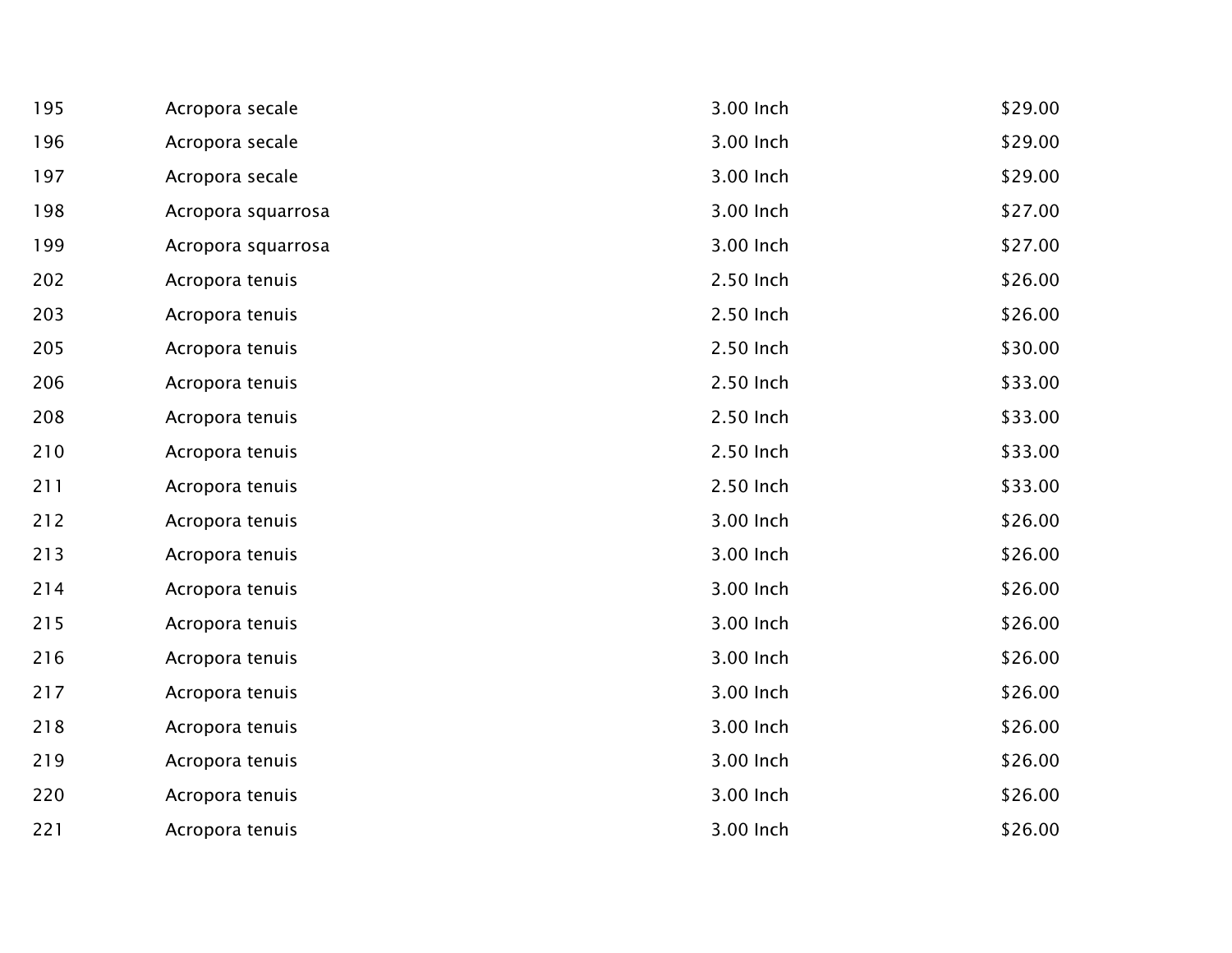| 195 | Acropora secale    | 3.00 Inch | \$29.00 |
|-----|--------------------|-----------|---------|
| 196 | Acropora secale    | 3.00 Inch | \$29.00 |
| 197 | Acropora secale    | 3.00 Inch | \$29.00 |
| 198 | Acropora squarrosa | 3.00 Inch | \$27.00 |
| 199 | Acropora squarrosa | 3.00 Inch | \$27.00 |
| 202 | Acropora tenuis    | 2.50 Inch | \$26.00 |
| 203 | Acropora tenuis    | 2.50 Inch | \$26.00 |
| 205 | Acropora tenuis    | 2.50 Inch | \$30.00 |
| 206 | Acropora tenuis    | 2.50 Inch | \$33.00 |
| 208 | Acropora tenuis    | 2.50 Inch | \$33.00 |
| 210 | Acropora tenuis    | 2.50 Inch | \$33.00 |
| 211 | Acropora tenuis    | 2.50 Inch | \$33.00 |
| 212 | Acropora tenuis    | 3.00 Inch | \$26.00 |
| 213 | Acropora tenuis    | 3.00 Inch | \$26.00 |
| 214 | Acropora tenuis    | 3.00 Inch | \$26.00 |
| 215 | Acropora tenuis    | 3.00 Inch | \$26.00 |
| 216 | Acropora tenuis    | 3.00 Inch | \$26.00 |
| 217 | Acropora tenuis    | 3.00 Inch | \$26.00 |
| 218 | Acropora tenuis    | 3.00 Inch | \$26.00 |
| 219 | Acropora tenuis    | 3.00 Inch | \$26.00 |
| 220 | Acropora tenuis    | 3.00 Inch | \$26.00 |
| 221 | Acropora tenuis    | 3.00 Inch | \$26.00 |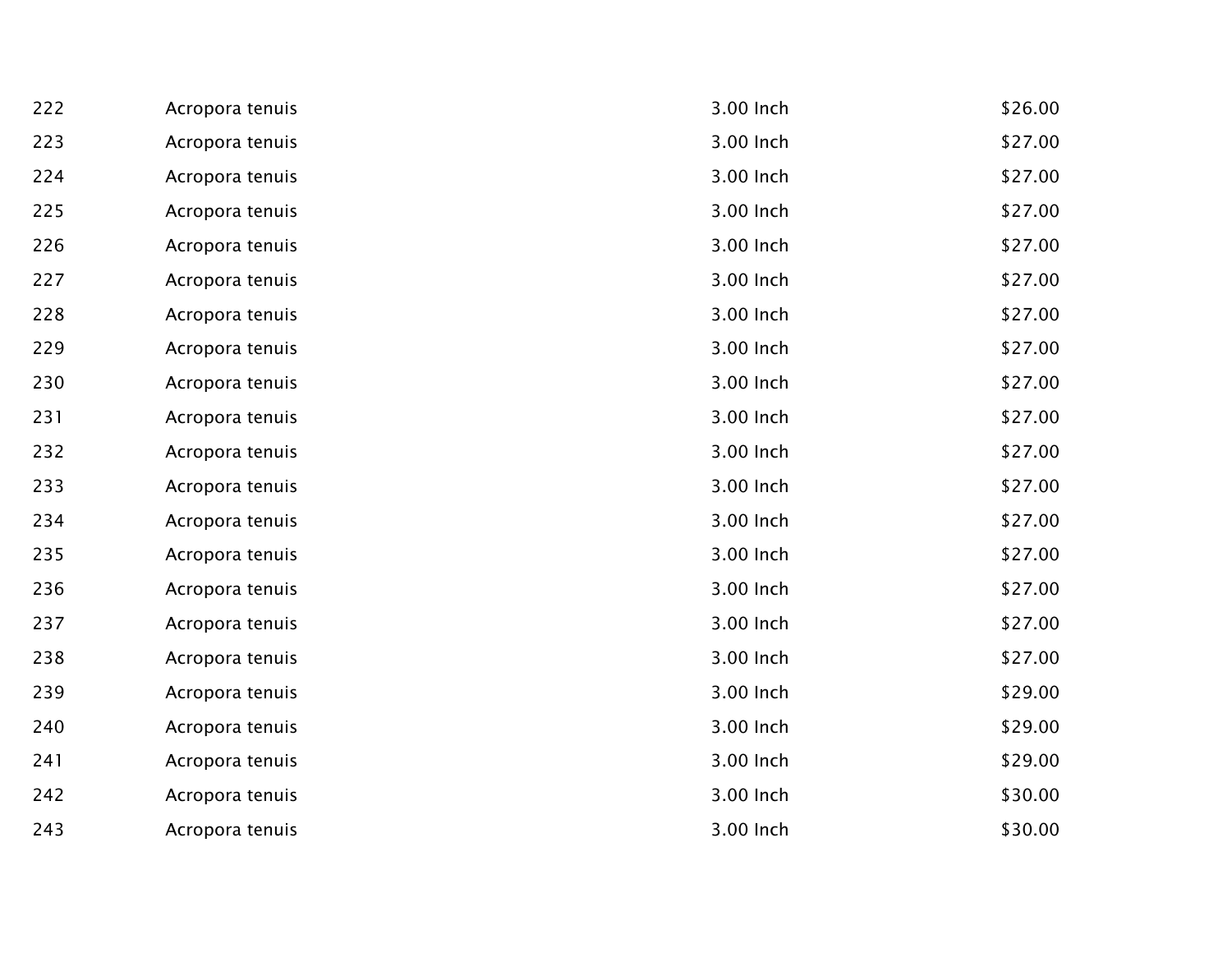| 222 | Acropora tenuis | 3.00 Inch | \$26.00 |
|-----|-----------------|-----------|---------|
| 223 | Acropora tenuis | 3.00 Inch | \$27.00 |
| 224 | Acropora tenuis | 3.00 Inch | \$27.00 |
| 225 | Acropora tenuis | 3.00 Inch | \$27.00 |
| 226 | Acropora tenuis | 3.00 Inch | \$27.00 |
| 227 | Acropora tenuis | 3.00 Inch | \$27.00 |
| 228 | Acropora tenuis | 3.00 Inch | \$27.00 |
| 229 | Acropora tenuis | 3.00 Inch | \$27.00 |
| 230 | Acropora tenuis | 3.00 Inch | \$27.00 |
| 231 | Acropora tenuis | 3.00 Inch | \$27.00 |
| 232 | Acropora tenuis | 3.00 Inch | \$27.00 |
| 233 | Acropora tenuis | 3.00 Inch | \$27.00 |
| 234 | Acropora tenuis | 3.00 Inch | \$27.00 |
| 235 | Acropora tenuis | 3.00 Inch | \$27.00 |
| 236 | Acropora tenuis | 3.00 Inch | \$27.00 |
| 237 | Acropora tenuis | 3.00 Inch | \$27.00 |
| 238 | Acropora tenuis | 3.00 Inch | \$27.00 |
| 239 | Acropora tenuis | 3.00 Inch | \$29.00 |
| 240 | Acropora tenuis | 3.00 Inch | \$29.00 |
| 241 | Acropora tenuis | 3.00 Inch | \$29.00 |
| 242 | Acropora tenuis | 3.00 Inch | \$30.00 |
| 243 | Acropora tenuis | 3.00 Inch | \$30.00 |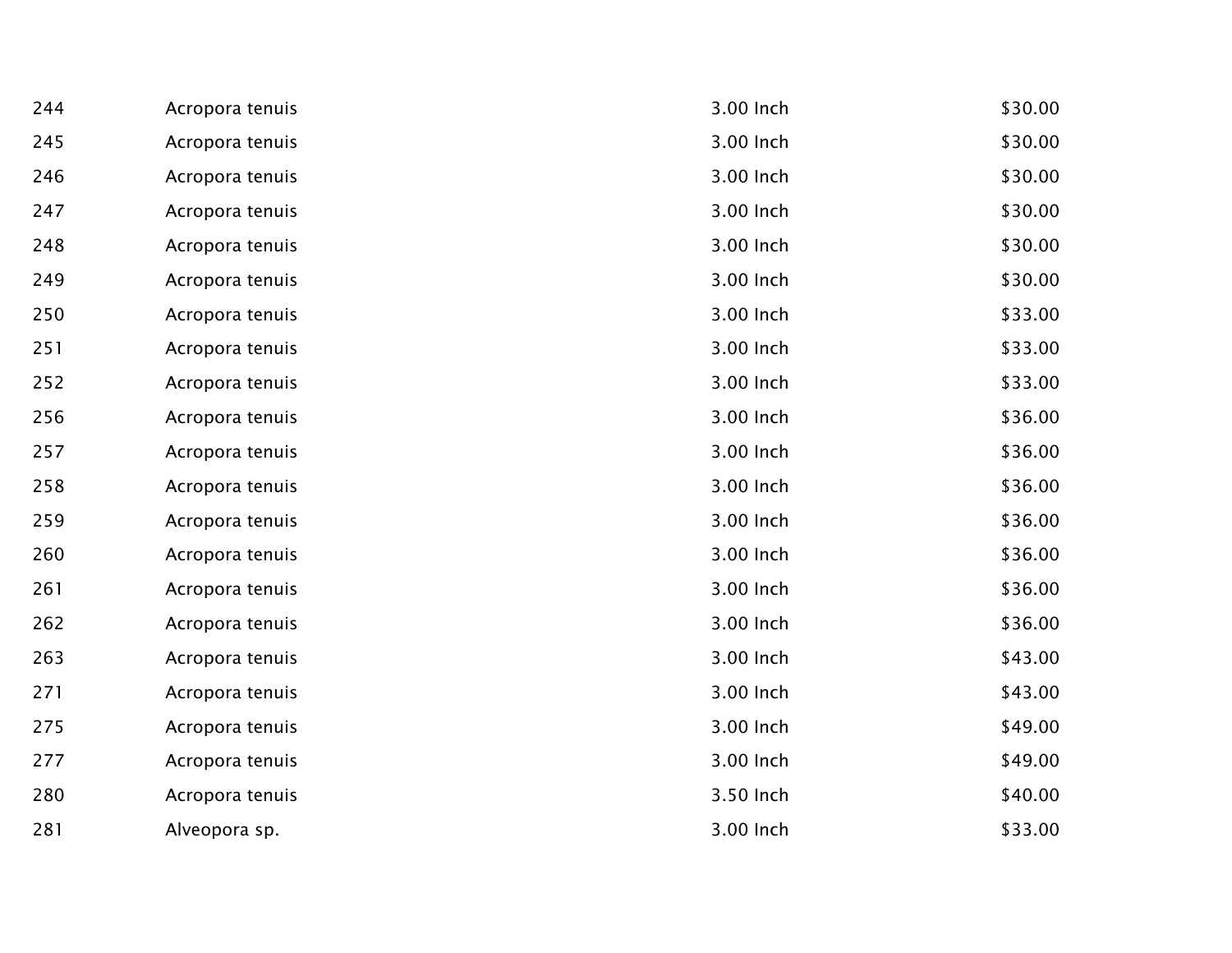| 244 | Acropora tenuis | 3.00 Inch | \$30.00 |
|-----|-----------------|-----------|---------|
| 245 | Acropora tenuis | 3.00 Inch | \$30.00 |
| 246 | Acropora tenuis | 3.00 Inch | \$30.00 |
| 247 | Acropora tenuis | 3.00 Inch | \$30.00 |
| 248 | Acropora tenuis | 3.00 Inch | \$30.00 |
| 249 | Acropora tenuis | 3.00 Inch | \$30.00 |
| 250 | Acropora tenuis | 3.00 Inch | \$33.00 |
| 251 | Acropora tenuis | 3.00 Inch | \$33.00 |
| 252 | Acropora tenuis | 3.00 Inch | \$33.00 |
| 256 | Acropora tenuis | 3.00 Inch | \$36.00 |
| 257 | Acropora tenuis | 3.00 Inch | \$36.00 |
| 258 | Acropora tenuis | 3.00 Inch | \$36.00 |
| 259 | Acropora tenuis | 3.00 Inch | \$36.00 |
| 260 | Acropora tenuis | 3.00 Inch | \$36.00 |
| 261 | Acropora tenuis | 3.00 Inch | \$36.00 |
| 262 | Acropora tenuis | 3.00 Inch | \$36.00 |
| 263 | Acropora tenuis | 3.00 Inch | \$43.00 |
| 271 | Acropora tenuis | 3.00 Inch | \$43.00 |
| 275 | Acropora tenuis | 3.00 Inch | \$49.00 |
| 277 | Acropora tenuis | 3.00 Inch | \$49.00 |
| 280 | Acropora tenuis | 3.50 Inch | \$40.00 |
| 281 | Alveopora sp.   | 3.00 Inch | \$33.00 |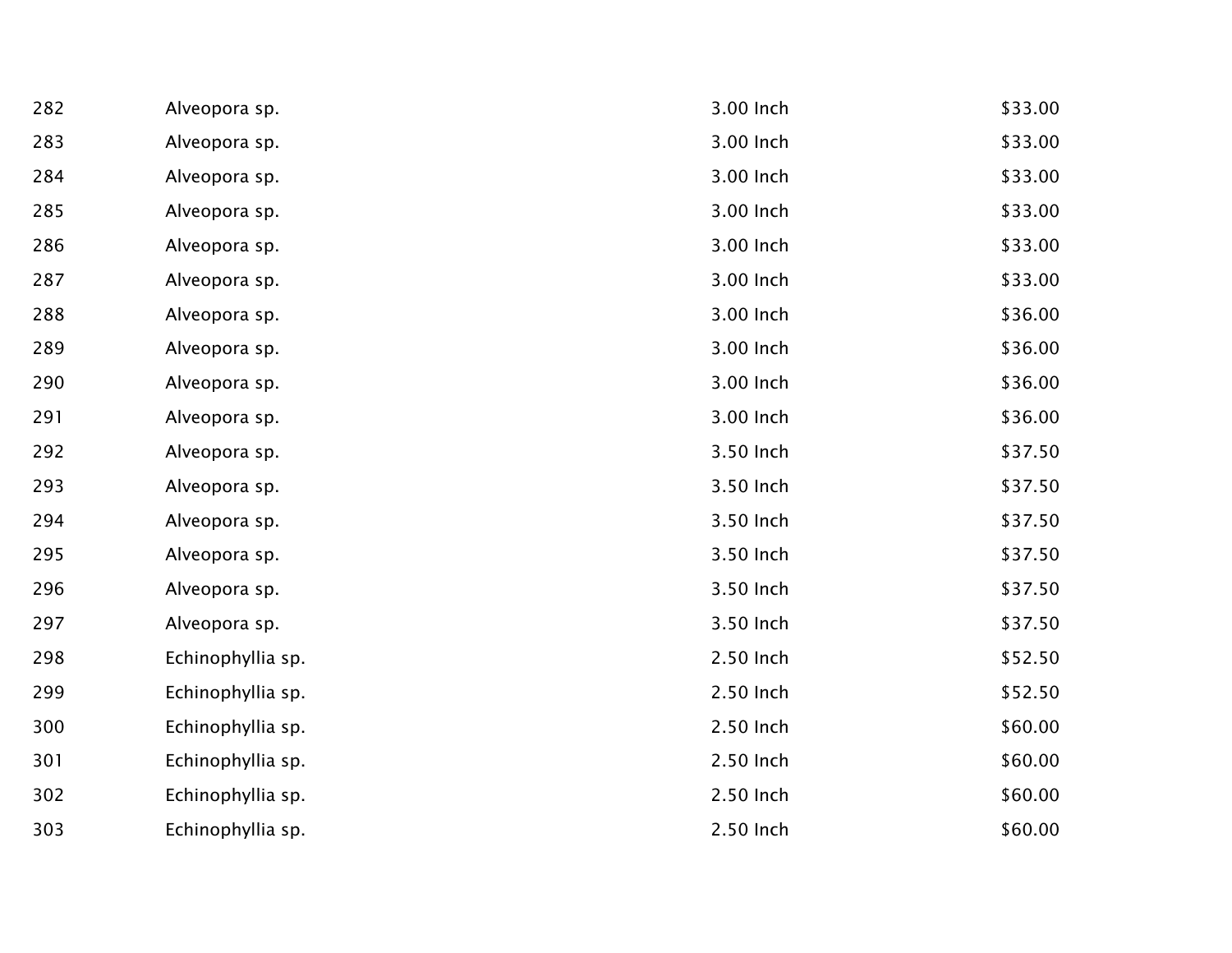| 282 | Alveopora sp.     | 3.00 Inch | \$33.00 |
|-----|-------------------|-----------|---------|
| 283 | Alveopora sp.     | 3.00 Inch | \$33.00 |
| 284 | Alveopora sp.     | 3.00 Inch | \$33.00 |
| 285 | Alveopora sp.     | 3.00 Inch | \$33.00 |
| 286 | Alveopora sp.     | 3.00 Inch | \$33.00 |
| 287 | Alveopora sp.     | 3.00 Inch | \$33.00 |
| 288 | Alveopora sp.     | 3.00 Inch | \$36.00 |
| 289 | Alveopora sp.     | 3.00 Inch | \$36.00 |
| 290 | Alveopora sp.     | 3.00 Inch | \$36.00 |
| 291 | Alveopora sp.     | 3.00 Inch | \$36.00 |
| 292 | Alveopora sp.     | 3.50 Inch | \$37.50 |
| 293 | Alveopora sp.     | 3.50 Inch | \$37.50 |
| 294 | Alveopora sp.     | 3.50 Inch | \$37.50 |
| 295 | Alveopora sp.     | 3.50 Inch | \$37.50 |
| 296 | Alveopora sp.     | 3.50 Inch | \$37.50 |
| 297 | Alveopora sp.     | 3.50 Inch | \$37.50 |
| 298 | Echinophyllia sp. | 2.50 Inch | \$52.50 |
| 299 | Echinophyllia sp. | 2.50 Inch | \$52.50 |
| 300 | Echinophyllia sp. | 2.50 Inch | \$60.00 |
| 301 | Echinophyllia sp. | 2.50 Inch | \$60.00 |
| 302 | Echinophyllia sp. | 2.50 Inch | \$60.00 |
| 303 | Echinophyllia sp. | 2.50 Inch | \$60.00 |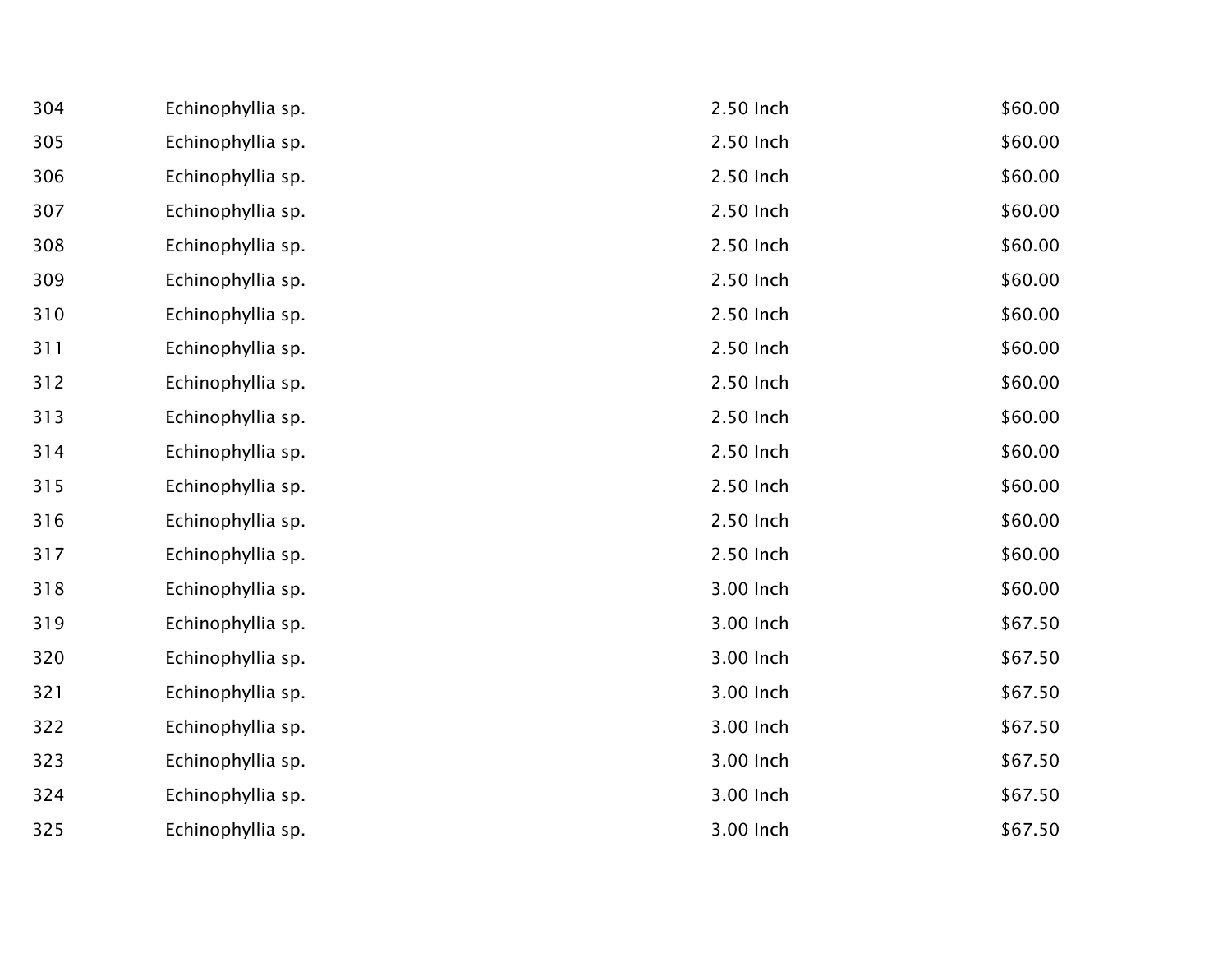| 304 | Echinophyllia sp. | 2.50 Inch | \$60.00 |
|-----|-------------------|-----------|---------|
| 305 | Echinophyllia sp. | 2.50 Inch | \$60.00 |
| 306 | Echinophyllia sp. | 2.50 Inch | \$60.00 |
| 307 | Echinophyllia sp. | 2.50 Inch | \$60.00 |
| 308 | Echinophyllia sp. | 2.50 Inch | \$60.00 |
| 309 | Echinophyllia sp. | 2.50 Inch | \$60.00 |
| 310 | Echinophyllia sp. | 2.50 Inch | \$60.00 |
| 311 | Echinophyllia sp. | 2.50 Inch | \$60.00 |
| 312 | Echinophyllia sp. | 2.50 Inch | \$60.00 |
| 313 | Echinophyllia sp. | 2.50 Inch | \$60.00 |
| 314 | Echinophyllia sp. | 2.50 Inch | \$60.00 |
| 315 | Echinophyllia sp. | 2.50 Inch | \$60.00 |
| 316 | Echinophyllia sp. | 2.50 Inch | \$60.00 |
| 317 | Echinophyllia sp. | 2.50 Inch | \$60.00 |
| 318 | Echinophyllia sp. | 3.00 Inch | \$60.00 |
| 319 | Echinophyllia sp. | 3.00 Inch | \$67.50 |
| 320 | Echinophyllia sp. | 3.00 Inch | \$67.50 |
| 321 | Echinophyllia sp. | 3.00 Inch | \$67.50 |
| 322 | Echinophyllia sp. | 3.00 Inch | \$67.50 |
| 323 | Echinophyllia sp. | 3.00 Inch | \$67.50 |
| 324 | Echinophyllia sp. | 3.00 Inch | \$67.50 |
| 325 | Echinophyllia sp. | 3.00 Inch | \$67.50 |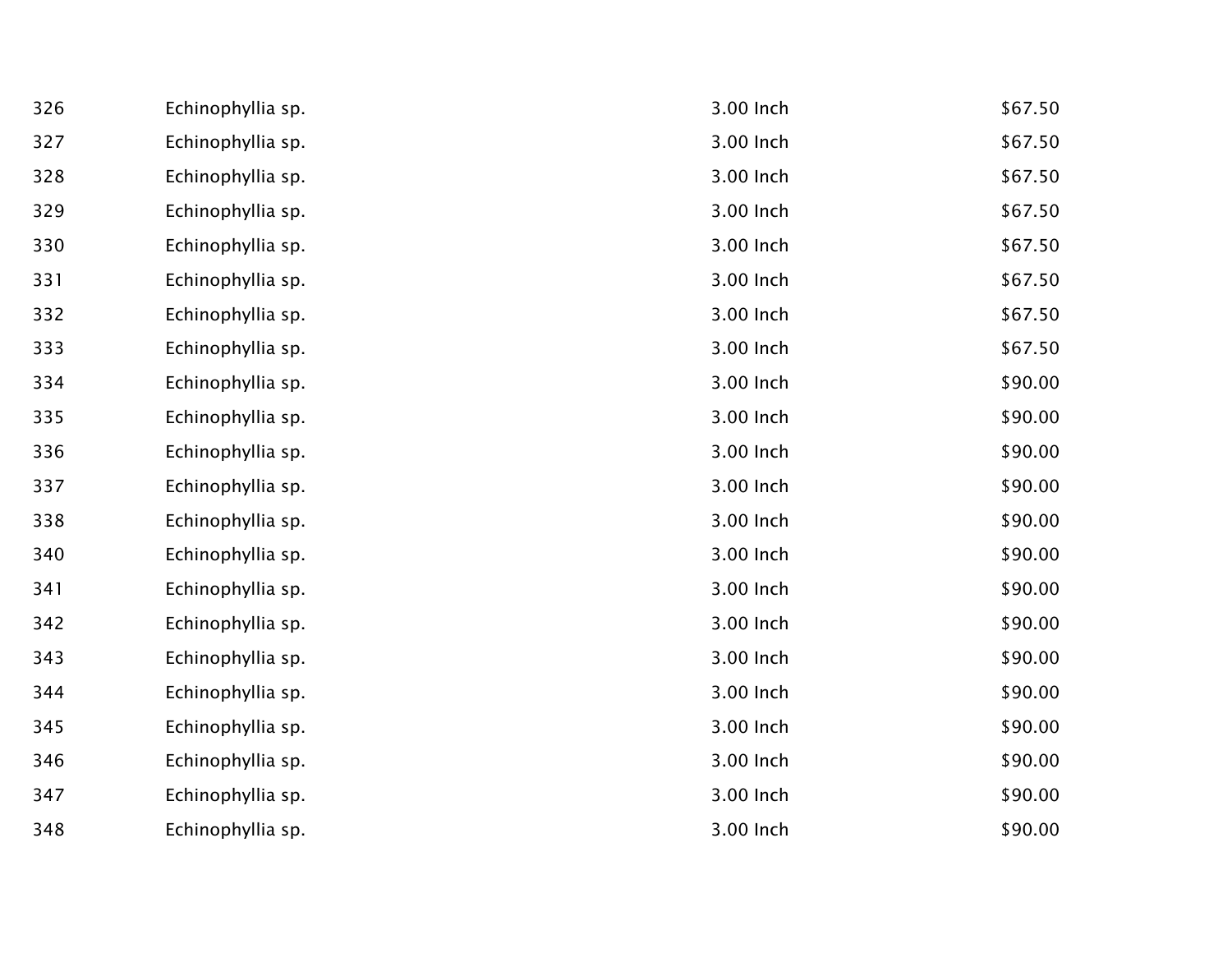| 326 | Echinophyllia sp. | 3.00 Inch | \$67.50 |
|-----|-------------------|-----------|---------|
| 327 | Echinophyllia sp. | 3.00 Inch | \$67.50 |
| 328 | Echinophyllia sp. | 3.00 Inch | \$67.50 |
| 329 | Echinophyllia sp. | 3.00 Inch | \$67.50 |
| 330 | Echinophyllia sp. | 3.00 Inch | \$67.50 |
| 331 | Echinophyllia sp. | 3.00 Inch | \$67.50 |
| 332 | Echinophyllia sp. | 3.00 Inch | \$67.50 |
| 333 | Echinophyllia sp. | 3.00 Inch | \$67.50 |
| 334 | Echinophyllia sp. | 3.00 Inch | \$90.00 |
| 335 | Echinophyllia sp. | 3.00 Inch | \$90.00 |
| 336 | Echinophyllia sp. | 3.00 Inch | \$90.00 |
| 337 | Echinophyllia sp. | 3.00 Inch | \$90.00 |
| 338 | Echinophyllia sp. | 3.00 Inch | \$90.00 |
| 340 | Echinophyllia sp. | 3.00 Inch | \$90.00 |
| 341 | Echinophyllia sp. | 3.00 Inch | \$90.00 |
| 342 | Echinophyllia sp. | 3.00 Inch | \$90.00 |
| 343 | Echinophyllia sp. | 3.00 Inch | \$90.00 |
| 344 | Echinophyllia sp. | 3.00 Inch | \$90.00 |
| 345 | Echinophyllia sp. | 3.00 Inch | \$90.00 |
| 346 | Echinophyllia sp. | 3.00 Inch | \$90.00 |
| 347 | Echinophyllia sp. | 3.00 Inch | \$90.00 |
| 348 | Echinophyllia sp. | 3.00 Inch | \$90.00 |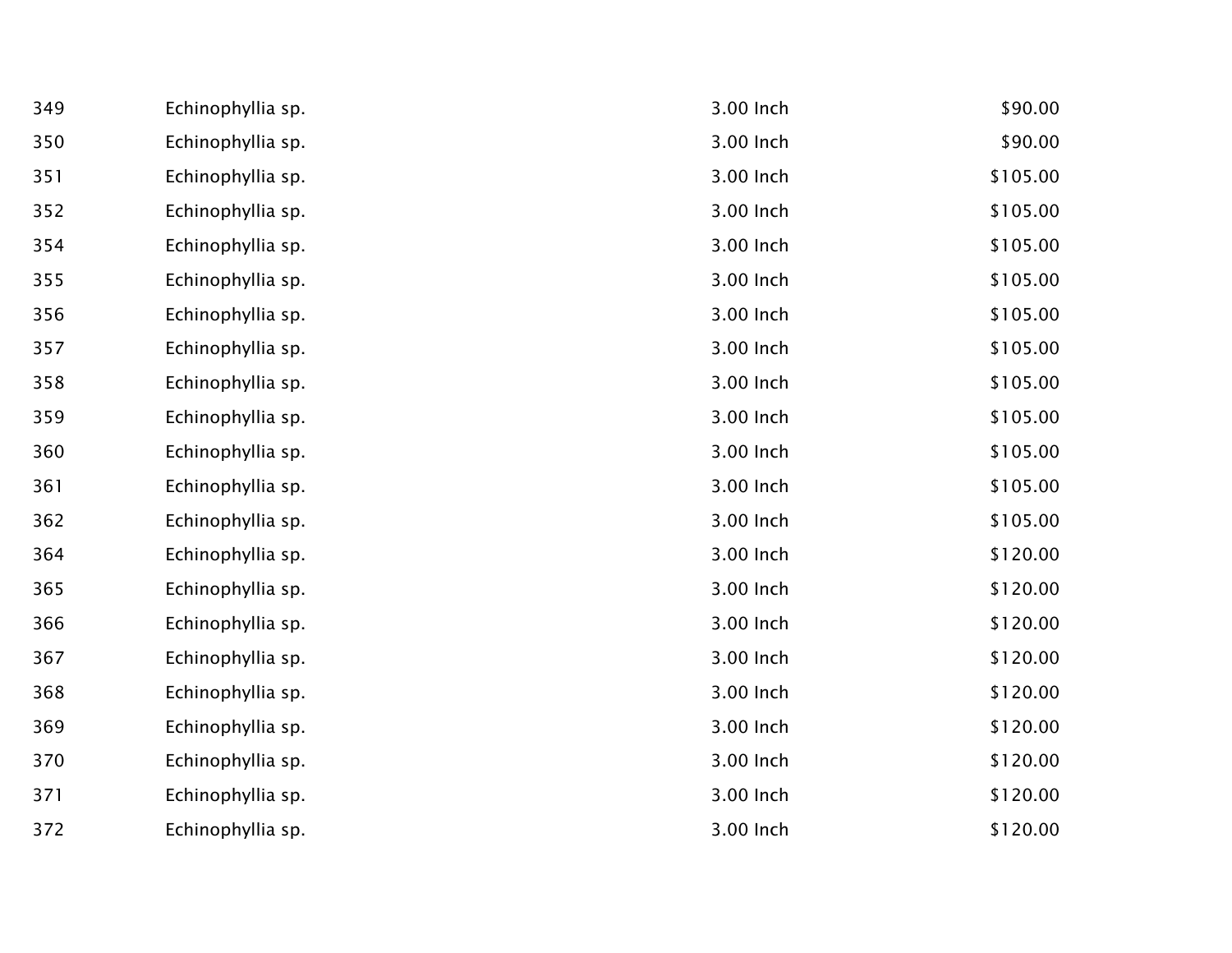| 349 | Echinophyllia sp. | 3.00 Inch | \$90.00  |
|-----|-------------------|-----------|----------|
| 350 | Echinophyllia sp. | 3.00 Inch | \$90.00  |
| 351 | Echinophyllia sp. | 3.00 Inch | \$105.00 |
| 352 | Echinophyllia sp. | 3.00 Inch | \$105.00 |
| 354 | Echinophyllia sp. | 3.00 Inch | \$105.00 |
| 355 | Echinophyllia sp. | 3.00 Inch | \$105.00 |
| 356 | Echinophyllia sp. | 3.00 Inch | \$105.00 |
| 357 | Echinophyllia sp. | 3.00 Inch | \$105.00 |
| 358 | Echinophyllia sp. | 3.00 Inch | \$105.00 |
| 359 | Echinophyllia sp. | 3.00 Inch | \$105.00 |
| 360 | Echinophyllia sp. | 3.00 Inch | \$105.00 |
| 361 | Echinophyllia sp. | 3.00 Inch | \$105.00 |
| 362 | Echinophyllia sp. | 3.00 Inch | \$105.00 |
| 364 | Echinophyllia sp. | 3.00 Inch | \$120.00 |
| 365 | Echinophyllia sp. | 3.00 Inch | \$120.00 |
| 366 | Echinophyllia sp. | 3.00 Inch | \$120.00 |
| 367 | Echinophyllia sp. | 3.00 Inch | \$120.00 |
| 368 | Echinophyllia sp. | 3.00 Inch | \$120.00 |
| 369 | Echinophyllia sp. | 3.00 Inch | \$120.00 |
| 370 | Echinophyllia sp. | 3.00 Inch | \$120.00 |
| 371 | Echinophyllia sp. | 3.00 Inch | \$120.00 |
| 372 | Echinophyllia sp. | 3.00 Inch | \$120.00 |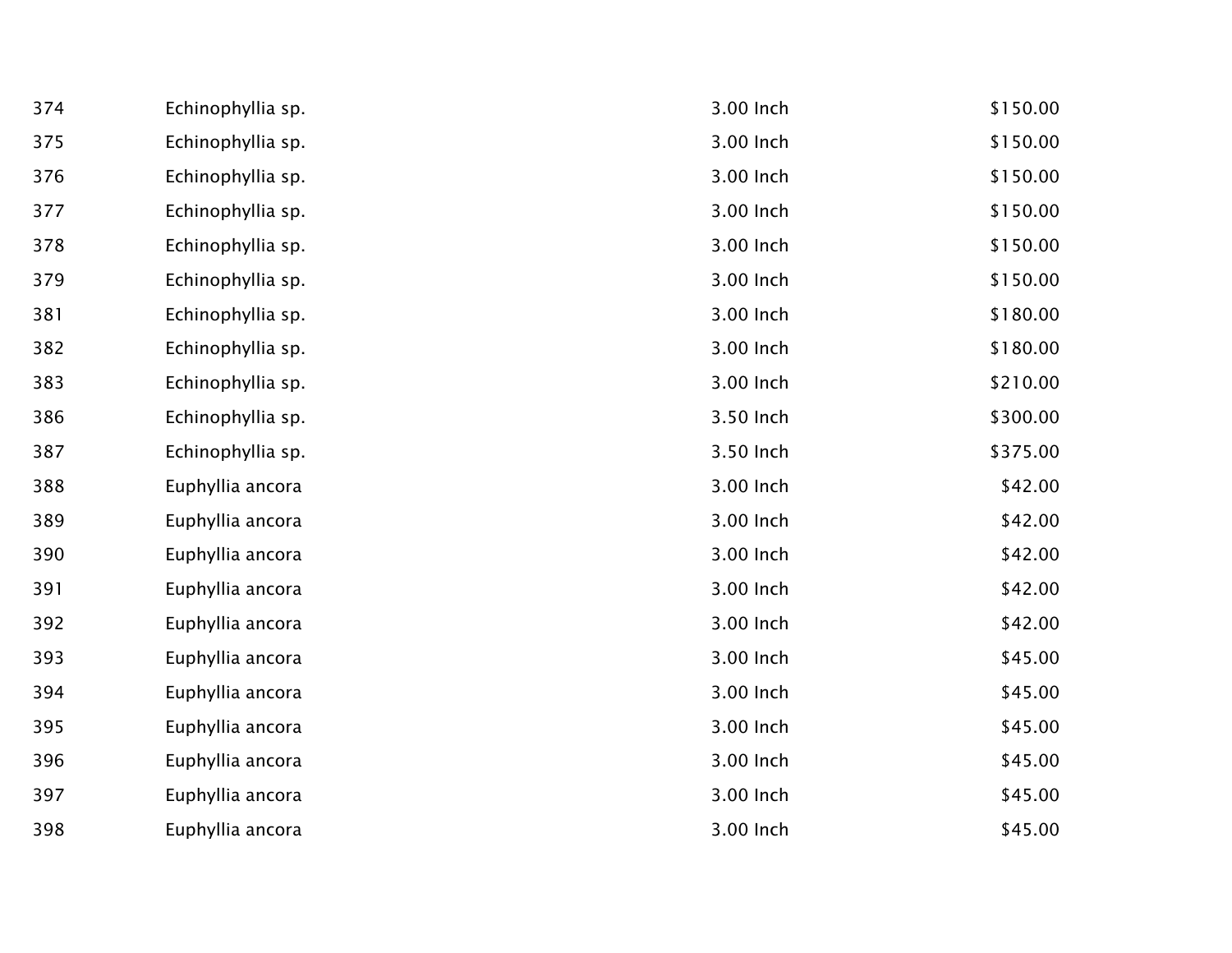| 374 | Echinophyllia sp. | 3.00 Inch | \$150.00 |
|-----|-------------------|-----------|----------|
| 375 | Echinophyllia sp. | 3.00 Inch | \$150.00 |
| 376 | Echinophyllia sp. | 3.00 Inch | \$150.00 |
| 377 | Echinophyllia sp. | 3.00 Inch | \$150.00 |
| 378 | Echinophyllia sp. | 3.00 Inch | \$150.00 |
| 379 | Echinophyllia sp. | 3.00 Inch | \$150.00 |
| 381 | Echinophyllia sp. | 3.00 Inch | \$180.00 |
| 382 | Echinophyllia sp. | 3.00 Inch | \$180.00 |
| 383 | Echinophyllia sp. | 3.00 Inch | \$210.00 |
| 386 | Echinophyllia sp. | 3.50 Inch | \$300.00 |
| 387 | Echinophyllia sp. | 3.50 Inch | \$375.00 |
| 388 | Euphyllia ancora  | 3.00 Inch | \$42.00  |
| 389 | Euphyllia ancora  | 3.00 Inch | \$42.00  |
| 390 | Euphyllia ancora  | 3.00 Inch | \$42.00  |
| 391 | Euphyllia ancora  | 3.00 Inch | \$42.00  |
| 392 | Euphyllia ancora  | 3.00 Inch | \$42.00  |
| 393 | Euphyllia ancora  | 3.00 Inch | \$45.00  |
| 394 | Euphyllia ancora  | 3.00 Inch | \$45.00  |
| 395 | Euphyllia ancora  | 3.00 Inch | \$45.00  |
| 396 | Euphyllia ancora  | 3.00 Inch | \$45.00  |
| 397 | Euphyllia ancora  | 3.00 Inch | \$45.00  |
| 398 | Euphyllia ancora  | 3.00 Inch | \$45.00  |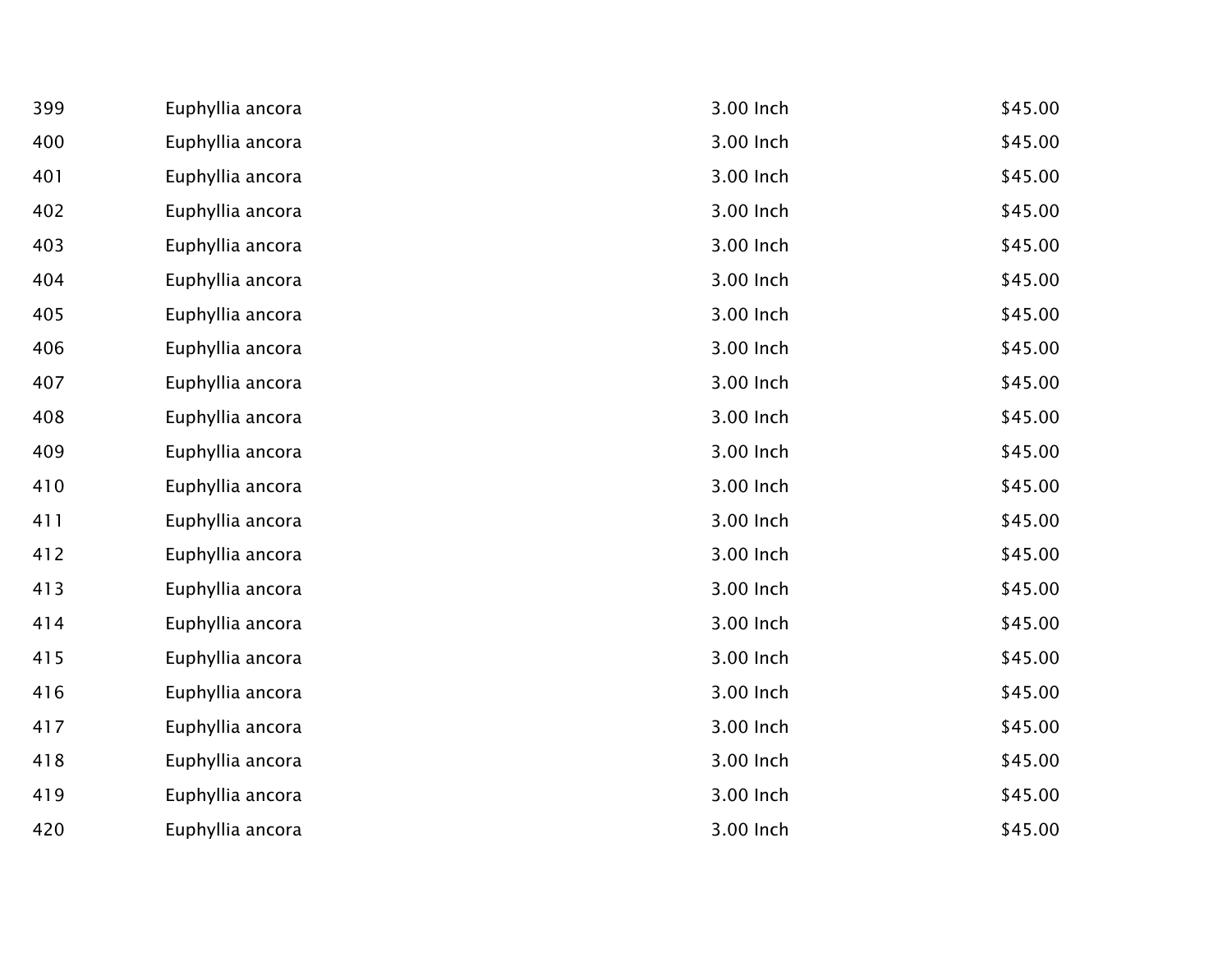| 399 | Euphyllia ancora | 3.00 Inch | \$45.00 |
|-----|------------------|-----------|---------|
| 400 | Euphyllia ancora | 3.00 Inch | \$45.00 |
| 401 | Euphyllia ancora | 3.00 Inch | \$45.00 |
| 402 | Euphyllia ancora | 3.00 Inch | \$45.00 |
| 403 | Euphyllia ancora | 3.00 Inch | \$45.00 |
| 404 | Euphyllia ancora | 3.00 Inch | \$45.00 |
| 405 | Euphyllia ancora | 3.00 Inch | \$45.00 |
| 406 | Euphyllia ancora | 3.00 Inch | \$45.00 |
| 407 | Euphyllia ancora | 3.00 Inch | \$45.00 |
| 408 | Euphyllia ancora | 3.00 Inch | \$45.00 |
| 409 | Euphyllia ancora | 3.00 Inch | \$45.00 |
| 410 | Euphyllia ancora | 3.00 Inch | \$45.00 |
| 411 | Euphyllia ancora | 3.00 Inch | \$45.00 |
| 412 | Euphyllia ancora | 3.00 Inch | \$45.00 |
| 413 | Euphyllia ancora | 3.00 Inch | \$45.00 |
| 414 | Euphyllia ancora | 3.00 Inch | \$45.00 |
| 415 | Euphyllia ancora | 3.00 Inch | \$45.00 |
| 416 | Euphyllia ancora | 3.00 Inch | \$45.00 |
| 417 | Euphyllia ancora | 3.00 Inch | \$45.00 |
| 418 | Euphyllia ancora | 3.00 Inch | \$45.00 |
| 419 | Euphyllia ancora | 3.00 Inch | \$45.00 |
| 420 | Euphyllia ancora | 3.00 Inch | \$45.00 |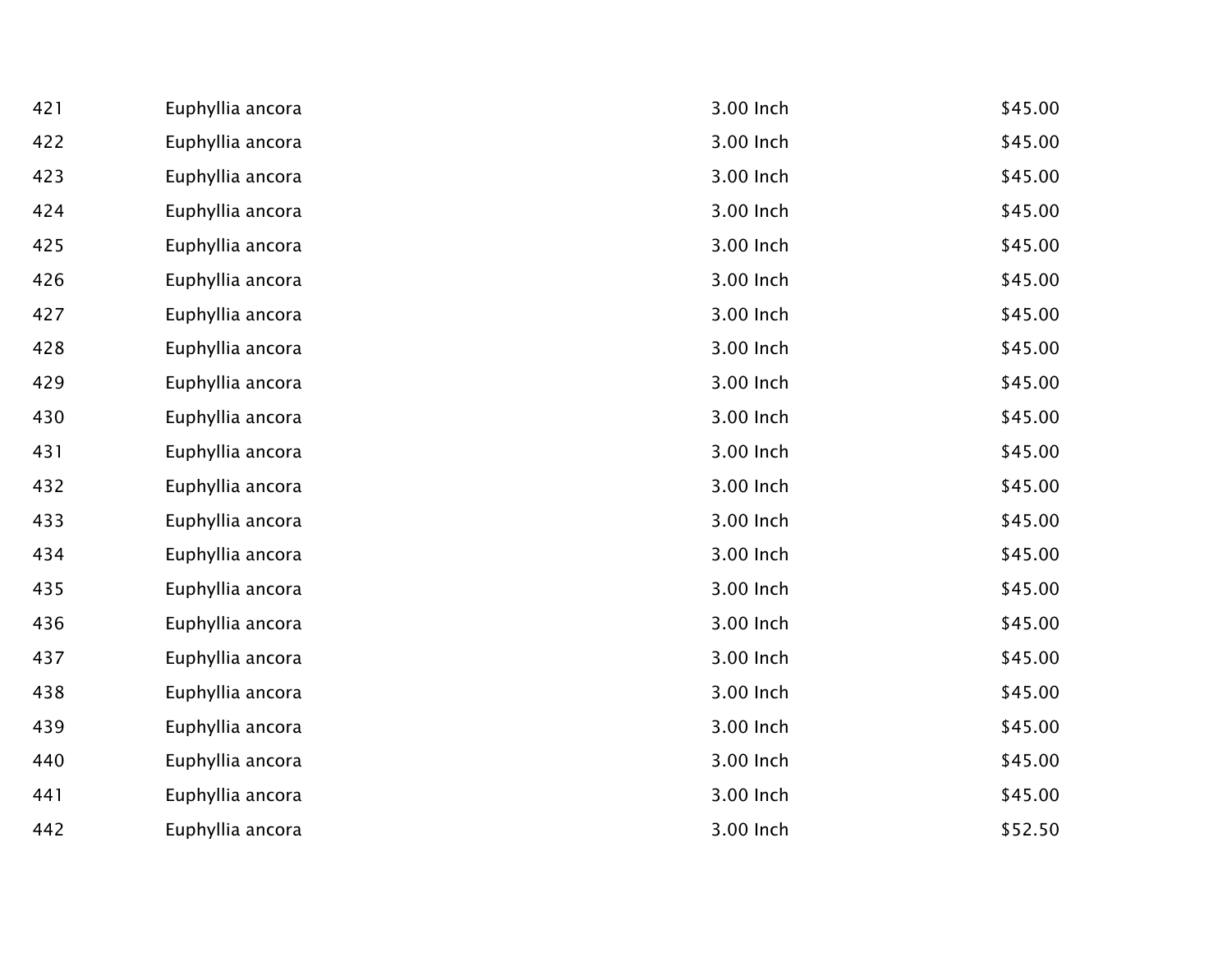| 421 | Euphyllia ancora | 3.00 Inch | \$45.00 |
|-----|------------------|-----------|---------|
| 422 | Euphyllia ancora | 3.00 Inch | \$45.00 |
| 423 | Euphyllia ancora | 3.00 Inch | \$45.00 |
| 424 | Euphyllia ancora | 3.00 Inch | \$45.00 |
| 425 | Euphyllia ancora | 3.00 Inch | \$45.00 |
| 426 | Euphyllia ancora | 3.00 Inch | \$45.00 |
| 427 | Euphyllia ancora | 3.00 Inch | \$45.00 |
| 428 | Euphyllia ancora | 3.00 Inch | \$45.00 |
| 429 | Euphyllia ancora | 3.00 Inch | \$45.00 |
| 430 | Euphyllia ancora | 3.00 Inch | \$45.00 |
| 431 | Euphyllia ancora | 3.00 Inch | \$45.00 |
| 432 | Euphyllia ancora | 3.00 Inch | \$45.00 |
| 433 | Euphyllia ancora | 3.00 Inch | \$45.00 |
| 434 | Euphyllia ancora | 3.00 Inch | \$45.00 |
| 435 | Euphyllia ancora | 3.00 Inch | \$45.00 |
| 436 | Euphyllia ancora | 3.00 Inch | \$45.00 |
| 437 | Euphyllia ancora | 3.00 Inch | \$45.00 |
| 438 | Euphyllia ancora | 3.00 Inch | \$45.00 |
| 439 | Euphyllia ancora | 3.00 Inch | \$45.00 |
| 440 | Euphyllia ancora | 3.00 Inch | \$45.00 |
| 441 | Euphyllia ancora | 3.00 Inch | \$45.00 |
| 442 | Euphyllia ancora | 3.00 Inch | \$52.50 |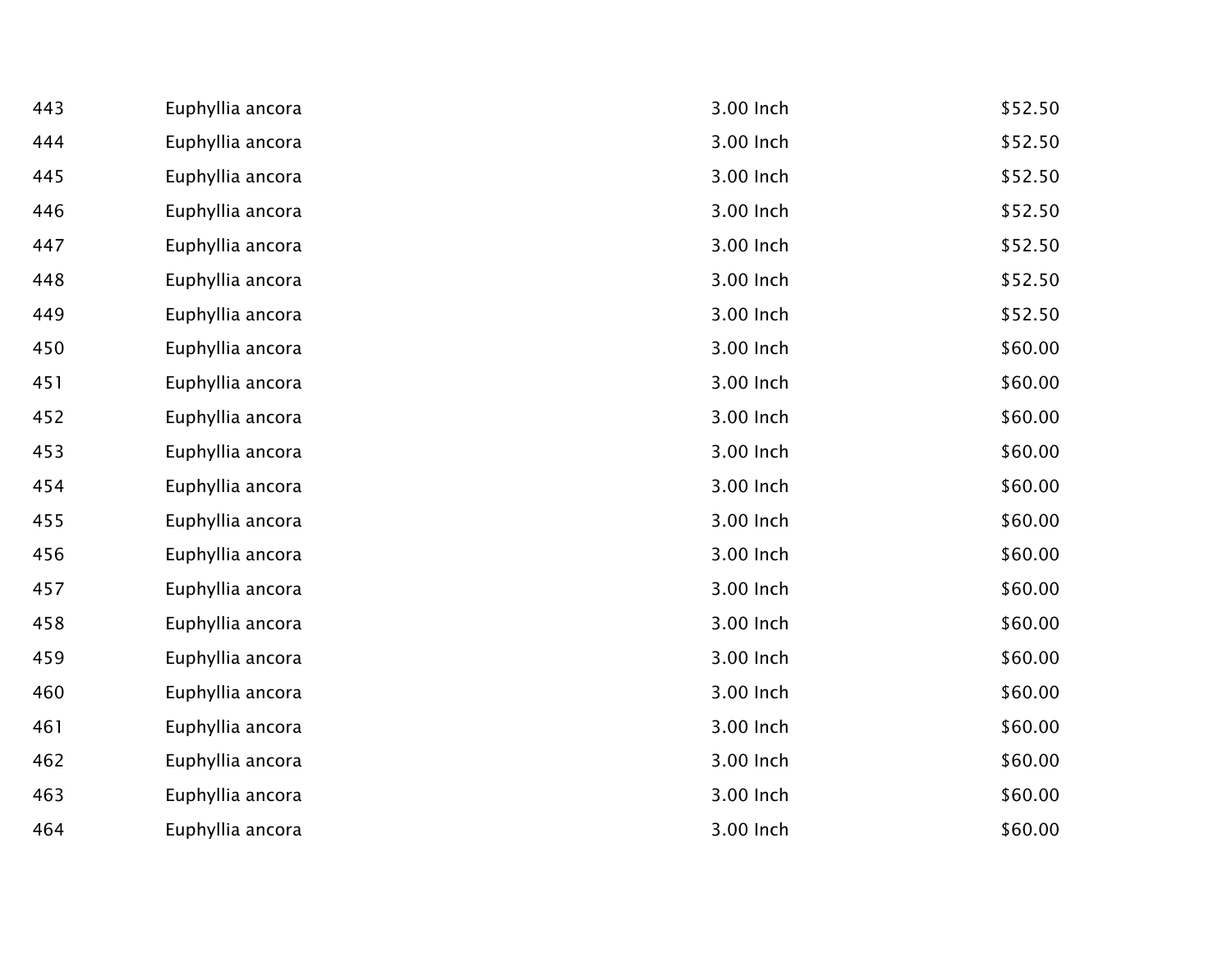| 443 | Euphyllia ancora | 3.00 Inch | \$52.50 |
|-----|------------------|-----------|---------|
| 444 | Euphyllia ancora | 3.00 Inch | \$52.50 |
| 445 | Euphyllia ancora | 3.00 Inch | \$52.50 |
| 446 | Euphyllia ancora | 3.00 Inch | \$52.50 |
| 447 | Euphyllia ancora | 3.00 Inch | \$52.50 |
| 448 | Euphyllia ancora | 3.00 Inch | \$52.50 |
| 449 | Euphyllia ancora | 3.00 Inch | \$52.50 |
| 450 | Euphyllia ancora | 3.00 Inch | \$60.00 |
| 451 | Euphyllia ancora | 3.00 Inch | \$60.00 |
| 452 | Euphyllia ancora | 3.00 Inch | \$60.00 |
| 453 | Euphyllia ancora | 3.00 Inch | \$60.00 |
| 454 | Euphyllia ancora | 3.00 Inch | \$60.00 |
| 455 | Euphyllia ancora | 3.00 Inch | \$60.00 |
| 456 | Euphyllia ancora | 3.00 Inch | \$60.00 |
| 457 | Euphyllia ancora | 3.00 Inch | \$60.00 |
| 458 | Euphyllia ancora | 3.00 Inch | \$60.00 |
| 459 | Euphyllia ancora | 3.00 Inch | \$60.00 |
| 460 | Euphyllia ancora | 3.00 Inch | \$60.00 |
| 461 | Euphyllia ancora | 3.00 Inch | \$60.00 |
| 462 | Euphyllia ancora | 3.00 Inch | \$60.00 |
| 463 | Euphyllia ancora | 3.00 Inch | \$60.00 |
| 464 | Euphyllia ancora | 3.00 Inch | \$60.00 |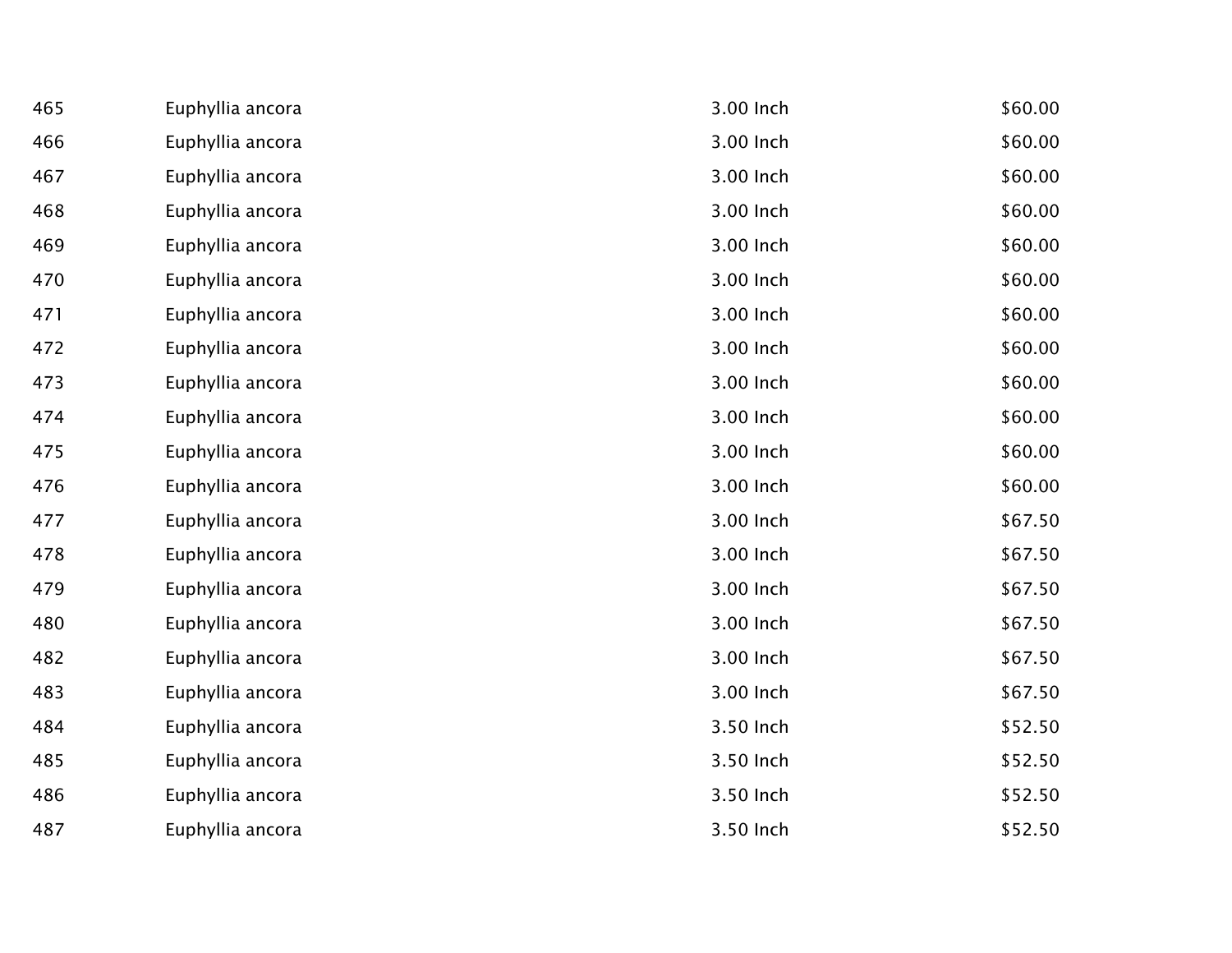| 465 | Euphyllia ancora | 3.00 Inch | \$60.00 |
|-----|------------------|-----------|---------|
| 466 | Euphyllia ancora | 3.00 Inch | \$60.00 |
| 467 | Euphyllia ancora | 3.00 Inch | \$60.00 |
| 468 | Euphyllia ancora | 3.00 Inch | \$60.00 |
| 469 | Euphyllia ancora | 3.00 Inch | \$60.00 |
| 470 | Euphyllia ancora | 3.00 Inch | \$60.00 |
| 471 | Euphyllia ancora | 3.00 Inch | \$60.00 |
| 472 | Euphyllia ancora | 3.00 Inch | \$60.00 |
| 473 | Euphyllia ancora | 3.00 Inch | \$60.00 |
| 474 | Euphyllia ancora | 3.00 Inch | \$60.00 |
| 475 | Euphyllia ancora | 3.00 Inch | \$60.00 |
| 476 | Euphyllia ancora | 3.00 Inch | \$60.00 |
| 477 | Euphyllia ancora | 3.00 Inch | \$67.50 |
| 478 | Euphyllia ancora | 3.00 Inch | \$67.50 |
| 479 | Euphyllia ancora | 3.00 Inch | \$67.50 |
| 480 | Euphyllia ancora | 3.00 Inch | \$67.50 |
| 482 | Euphyllia ancora | 3.00 Inch | \$67.50 |
| 483 | Euphyllia ancora | 3.00 Inch | \$67.50 |
| 484 | Euphyllia ancora | 3.50 Inch | \$52.50 |
| 485 | Euphyllia ancora | 3.50 Inch | \$52.50 |
| 486 | Euphyllia ancora | 3.50 Inch | \$52.50 |
| 487 | Euphyllia ancora | 3.50 Inch | \$52.50 |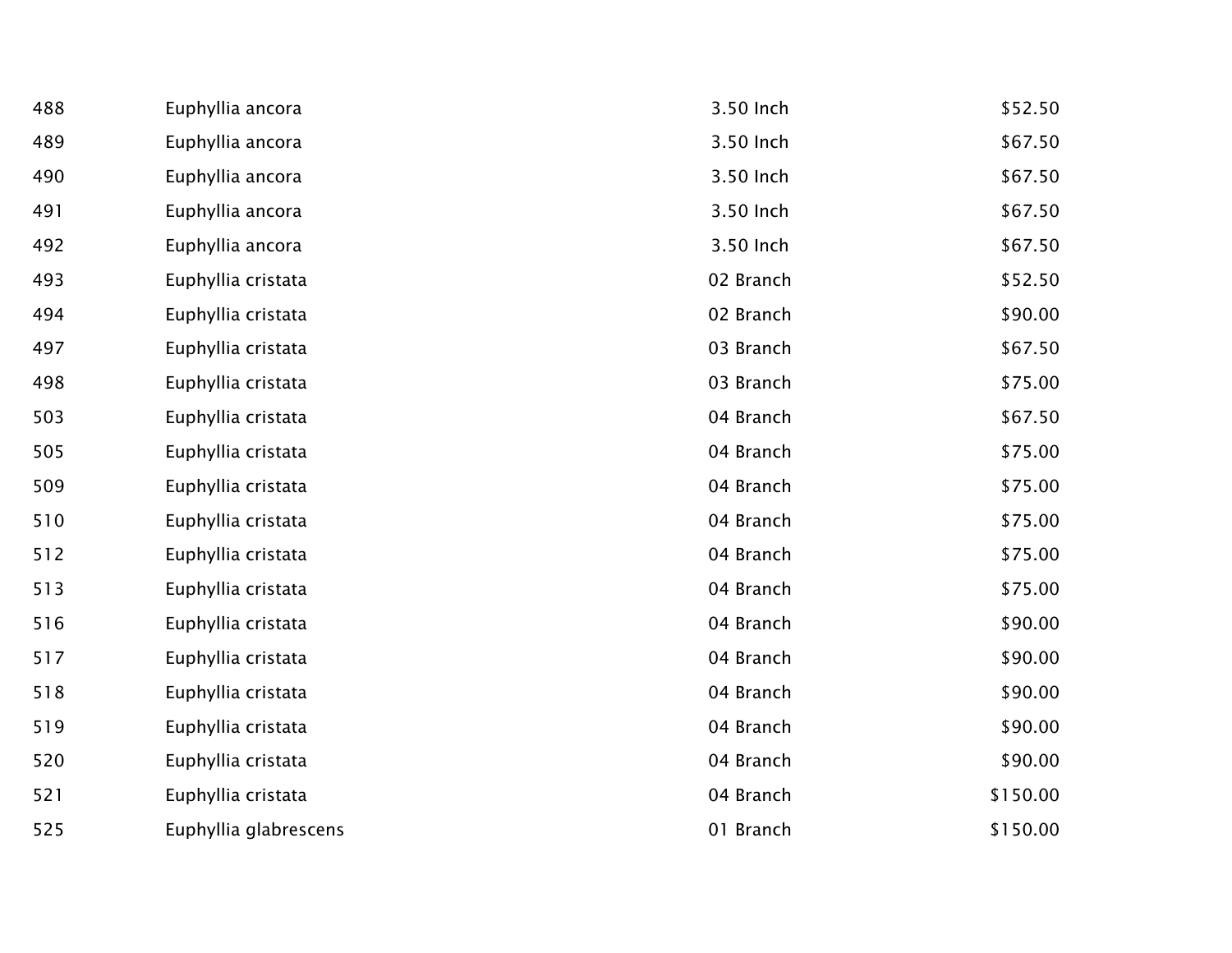| 488 | Euphyllia ancora      | 3.50 Inch | \$52.50  |
|-----|-----------------------|-----------|----------|
| 489 | Euphyllia ancora      | 3.50 Inch | \$67.50  |
| 490 | Euphyllia ancora      | 3.50 Inch | \$67.50  |
| 491 | Euphyllia ancora      | 3.50 Inch | \$67.50  |
| 492 | Euphyllia ancora      | 3.50 Inch | \$67.50  |
| 493 | Euphyllia cristata    | 02 Branch | \$52.50  |
| 494 | Euphyllia cristata    | 02 Branch | \$90.00  |
| 497 | Euphyllia cristata    | 03 Branch | \$67.50  |
| 498 | Euphyllia cristata    | 03 Branch | \$75.00  |
| 503 | Euphyllia cristata    | 04 Branch | \$67.50  |
| 505 | Euphyllia cristata    | 04 Branch | \$75.00  |
| 509 | Euphyllia cristata    | 04 Branch | \$75.00  |
| 510 | Euphyllia cristata    | 04 Branch | \$75.00  |
| 512 | Euphyllia cristata    | 04 Branch | \$75.00  |
| 513 | Euphyllia cristata    | 04 Branch | \$75.00  |
| 516 | Euphyllia cristata    | 04 Branch | \$90.00  |
| 517 | Euphyllia cristata    | 04 Branch | \$90.00  |
| 518 | Euphyllia cristata    | 04 Branch | \$90.00  |
| 519 | Euphyllia cristata    | 04 Branch | \$90.00  |
| 520 | Euphyllia cristata    | 04 Branch | \$90.00  |
| 521 | Euphyllia cristata    | 04 Branch | \$150.00 |
| 525 | Euphyllia glabrescens | 01 Branch | \$150.00 |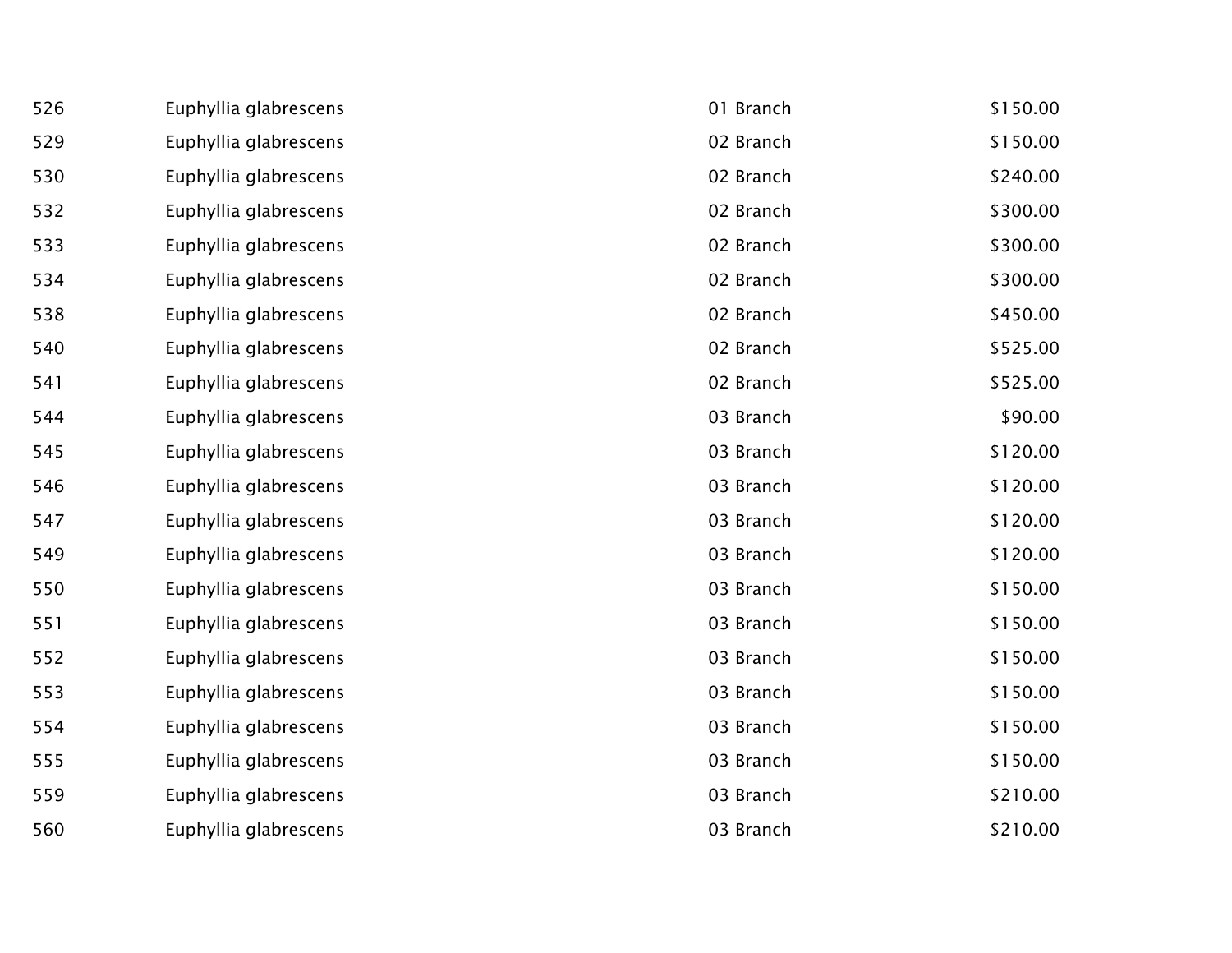| 526 | Euphyllia glabrescens | 01 Branch | \$150.00 |
|-----|-----------------------|-----------|----------|
| 529 | Euphyllia glabrescens | 02 Branch | \$150.00 |
| 530 | Euphyllia glabrescens | 02 Branch | \$240.00 |
| 532 | Euphyllia glabrescens | 02 Branch | \$300.00 |
| 533 | Euphyllia glabrescens | 02 Branch | \$300.00 |
| 534 | Euphyllia glabrescens | 02 Branch | \$300.00 |
| 538 | Euphyllia glabrescens | 02 Branch | \$450.00 |
| 540 | Euphyllia glabrescens | 02 Branch | \$525.00 |
| 541 | Euphyllia glabrescens | 02 Branch | \$525.00 |
| 544 | Euphyllia glabrescens | 03 Branch | \$90.00  |
| 545 | Euphyllia glabrescens | 03 Branch | \$120.00 |
| 546 | Euphyllia glabrescens | 03 Branch | \$120.00 |
| 547 | Euphyllia glabrescens | 03 Branch | \$120.00 |
| 549 | Euphyllia glabrescens | 03 Branch | \$120.00 |
| 550 | Euphyllia glabrescens | 03 Branch | \$150.00 |
| 551 | Euphyllia glabrescens | 03 Branch | \$150.00 |
| 552 | Euphyllia glabrescens | 03 Branch | \$150.00 |
| 553 | Euphyllia glabrescens | 03 Branch | \$150.00 |
| 554 | Euphyllia glabrescens | 03 Branch | \$150.00 |
| 555 | Euphyllia glabrescens | 03 Branch | \$150.00 |
| 559 | Euphyllia glabrescens | 03 Branch | \$210.00 |
| 560 | Euphyllia glabrescens | 03 Branch | \$210.00 |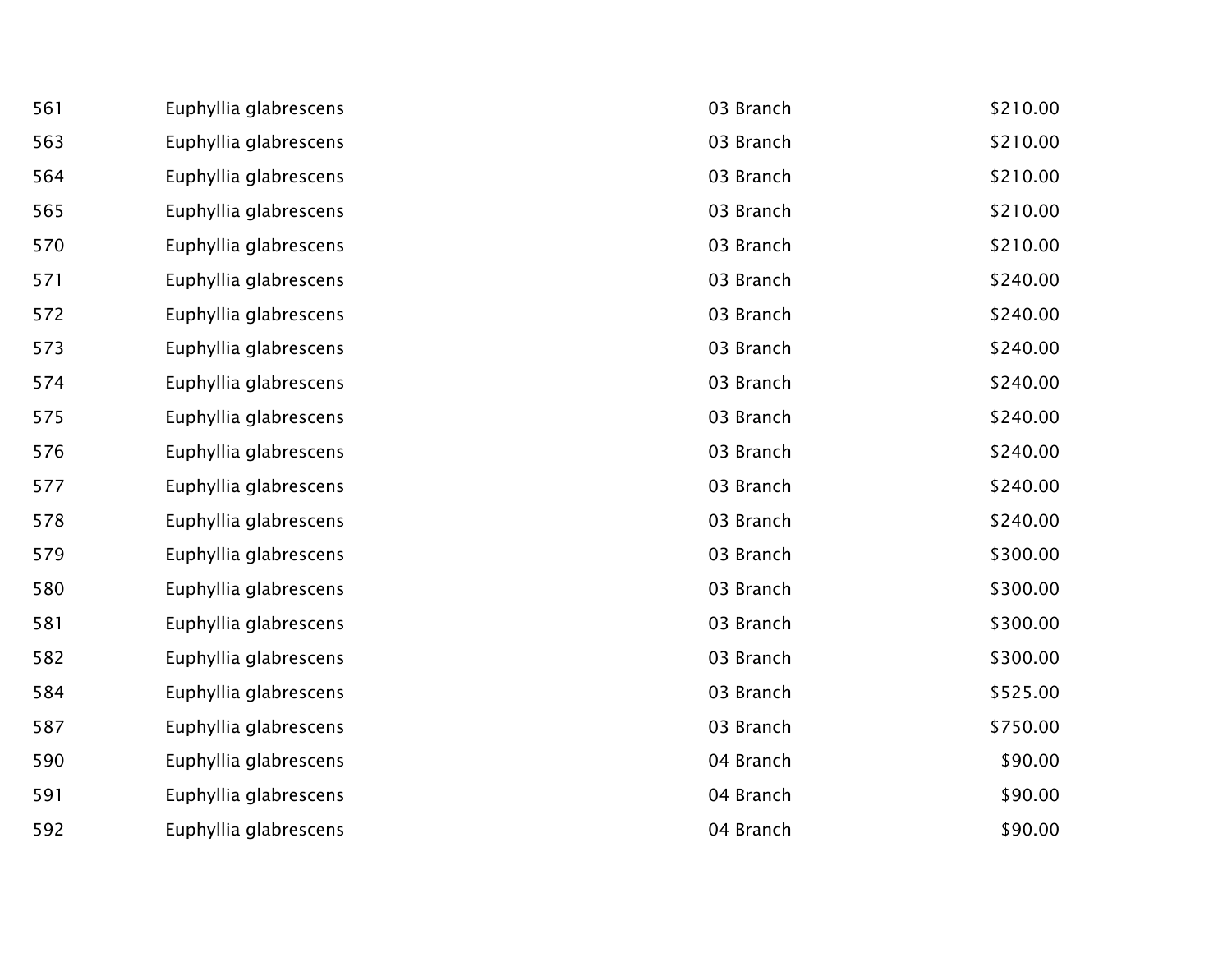| 561 | Euphyllia glabrescens | 03 Branch | \$210.00 |
|-----|-----------------------|-----------|----------|
| 563 | Euphyllia glabrescens | 03 Branch | \$210.00 |
| 564 | Euphyllia glabrescens | 03 Branch | \$210.00 |
| 565 | Euphyllia glabrescens | 03 Branch | \$210.00 |
| 570 | Euphyllia glabrescens | 03 Branch | \$210.00 |
| 571 | Euphyllia glabrescens | 03 Branch | \$240.00 |
| 572 | Euphyllia glabrescens | 03 Branch | \$240.00 |
| 573 | Euphyllia glabrescens | 03 Branch | \$240.00 |
| 574 | Euphyllia glabrescens | 03 Branch | \$240.00 |
| 575 | Euphyllia glabrescens | 03 Branch | \$240.00 |
| 576 | Euphyllia glabrescens | 03 Branch | \$240.00 |
| 577 | Euphyllia glabrescens | 03 Branch | \$240.00 |
| 578 | Euphyllia glabrescens | 03 Branch | \$240.00 |
| 579 | Euphyllia glabrescens | 03 Branch | \$300.00 |
| 580 | Euphyllia glabrescens | 03 Branch | \$300.00 |
| 581 | Euphyllia glabrescens | 03 Branch | \$300.00 |
| 582 | Euphyllia glabrescens | 03 Branch | \$300.00 |
| 584 | Euphyllia glabrescens | 03 Branch | \$525.00 |
| 587 | Euphyllia glabrescens | 03 Branch | \$750.00 |
| 590 | Euphyllia glabrescens | 04 Branch | \$90.00  |
| 591 | Euphyllia glabrescens | 04 Branch | \$90.00  |
| 592 | Euphyllia glabrescens | 04 Branch | \$90.00  |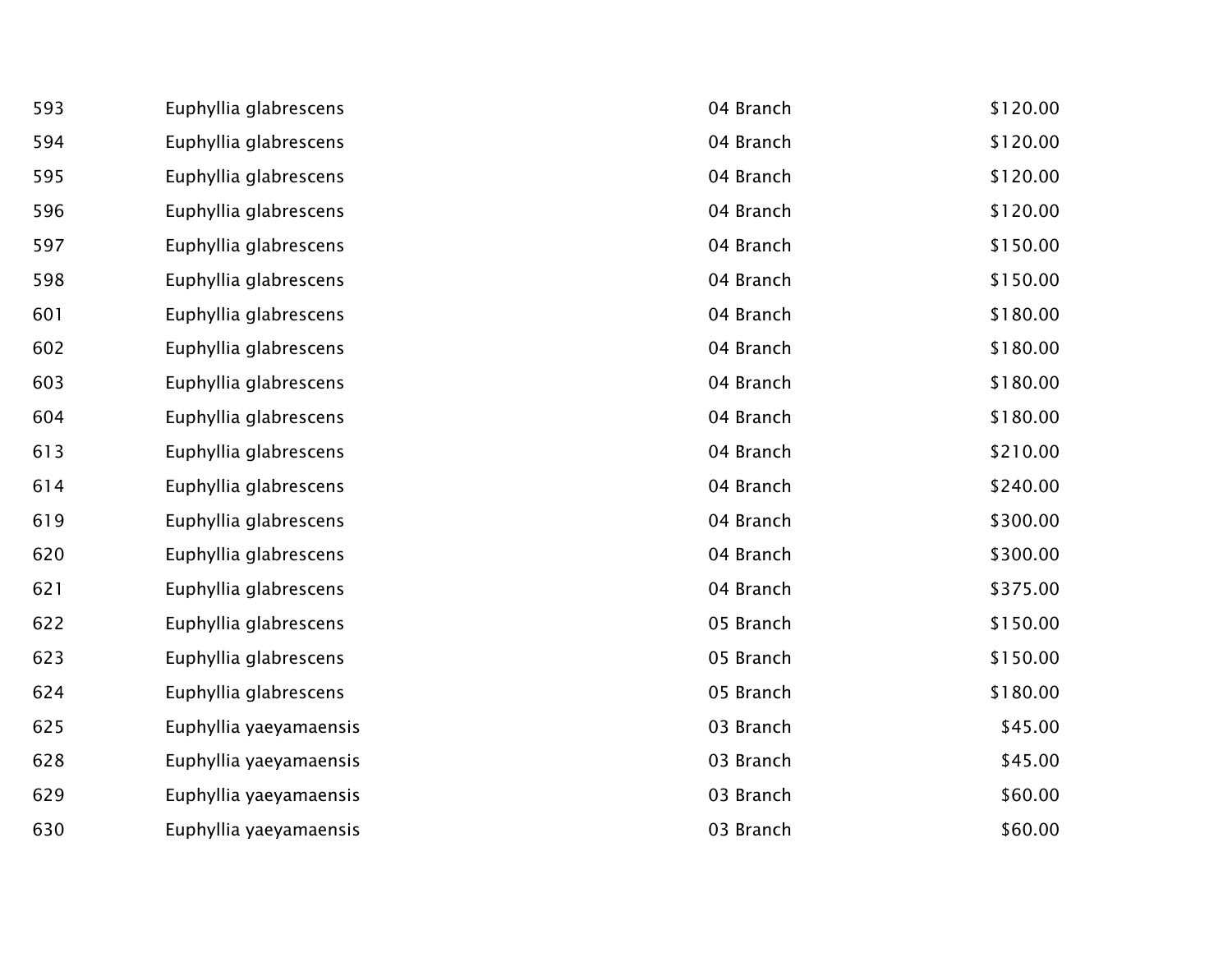| 593 | Euphyllia glabrescens  | 04 Branch | \$120.00 |
|-----|------------------------|-----------|----------|
| 594 | Euphyllia glabrescens  | 04 Branch | \$120.00 |
| 595 | Euphyllia glabrescens  | 04 Branch | \$120.00 |
| 596 | Euphyllia glabrescens  | 04 Branch | \$120.00 |
| 597 | Euphyllia glabrescens  | 04 Branch | \$150.00 |
| 598 | Euphyllia glabrescens  | 04 Branch | \$150.00 |
| 601 | Euphyllia glabrescens  | 04 Branch | \$180.00 |
| 602 | Euphyllia glabrescens  | 04 Branch | \$180.00 |
| 603 | Euphyllia glabrescens  | 04 Branch | \$180.00 |
| 604 | Euphyllia glabrescens  | 04 Branch | \$180.00 |
| 613 | Euphyllia glabrescens  | 04 Branch | \$210.00 |
| 614 | Euphyllia glabrescens  | 04 Branch | \$240.00 |
| 619 | Euphyllia glabrescens  | 04 Branch | \$300.00 |
| 620 | Euphyllia glabrescens  | 04 Branch | \$300.00 |
| 621 | Euphyllia glabrescens  | 04 Branch | \$375.00 |
| 622 | Euphyllia glabrescens  | 05 Branch | \$150.00 |
| 623 | Euphyllia glabrescens  | 05 Branch | \$150.00 |
| 624 | Euphyllia glabrescens  | 05 Branch | \$180.00 |
| 625 | Euphyllia yaeyamaensis | 03 Branch | \$45.00  |
| 628 | Euphyllia yaeyamaensis | 03 Branch | \$45.00  |
| 629 | Euphyllia yaeyamaensis | 03 Branch | \$60.00  |
| 630 | Euphyllia yaeyamaensis | 03 Branch | \$60.00  |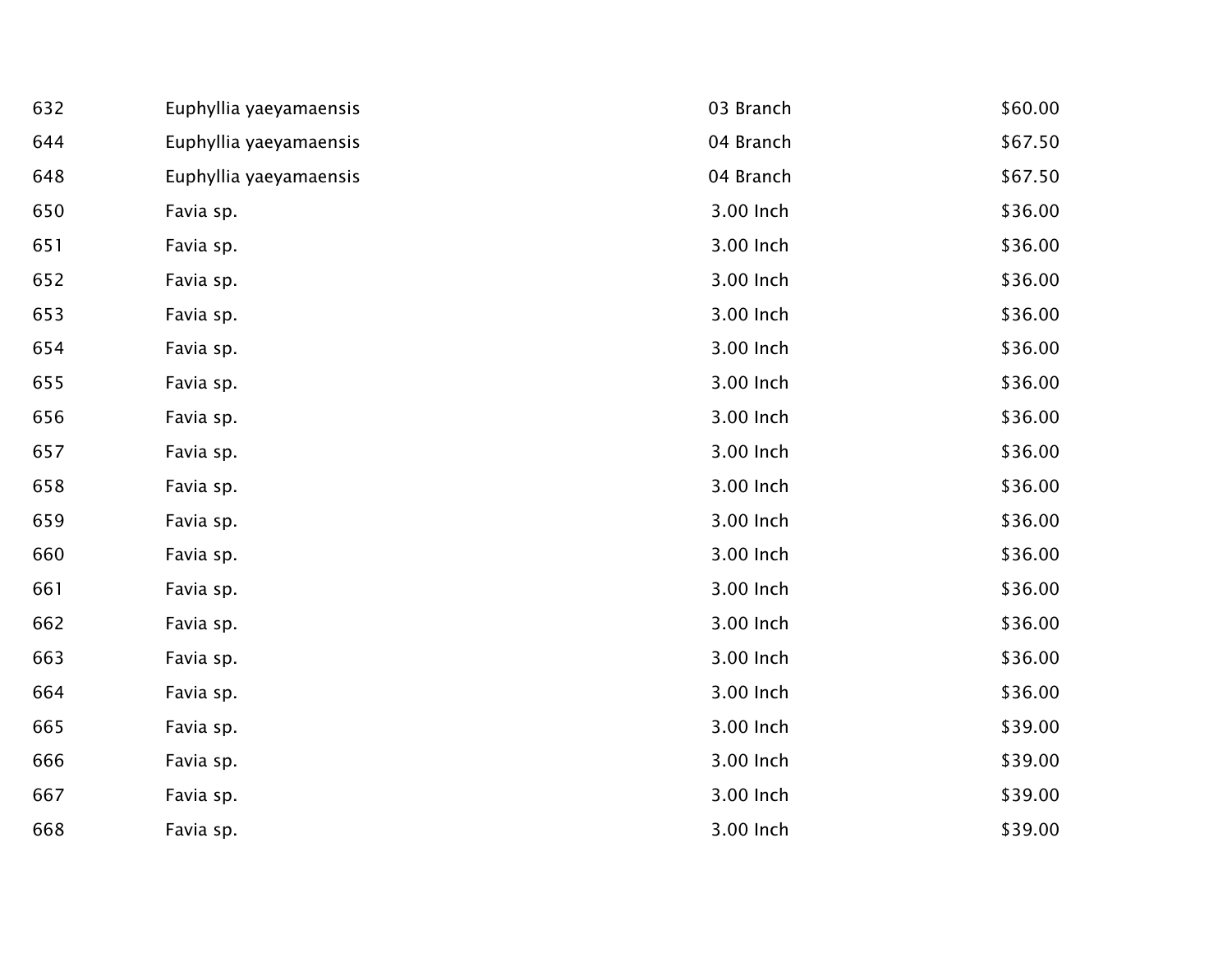| 632 | Euphyllia yaeyamaensis | 03 Branch | \$60.00 |
|-----|------------------------|-----------|---------|
| 644 | Euphyllia yaeyamaensis | 04 Branch | \$67.50 |
| 648 | Euphyllia yaeyamaensis | 04 Branch | \$67.50 |
| 650 | Favia sp.              | 3.00 Inch | \$36.00 |
| 651 | Favia sp.              | 3.00 Inch | \$36.00 |
| 652 | Favia sp.              | 3.00 Inch | \$36.00 |
| 653 | Favia sp.              | 3.00 Inch | \$36.00 |
| 654 | Favia sp.              | 3.00 Inch | \$36.00 |
| 655 | Favia sp.              | 3.00 Inch | \$36.00 |
| 656 | Favia sp.              | 3.00 Inch | \$36.00 |
| 657 | Favia sp.              | 3.00 Inch | \$36.00 |
| 658 | Favia sp.              | 3.00 Inch | \$36.00 |
| 659 | Favia sp.              | 3.00 Inch | \$36.00 |
| 660 | Favia sp.              | 3.00 Inch | \$36.00 |
| 661 | Favia sp.              | 3.00 Inch | \$36.00 |
| 662 | Favia sp.              | 3.00 Inch | \$36.00 |
| 663 | Favia sp.              | 3.00 Inch | \$36.00 |
| 664 | Favia sp.              | 3.00 Inch | \$36.00 |
| 665 | Favia sp.              | 3.00 Inch | \$39.00 |
| 666 | Favia sp.              | 3.00 Inch | \$39.00 |
| 667 | Favia sp.              | 3.00 Inch | \$39.00 |
| 668 | Favia sp.              | 3.00 Inch | \$39.00 |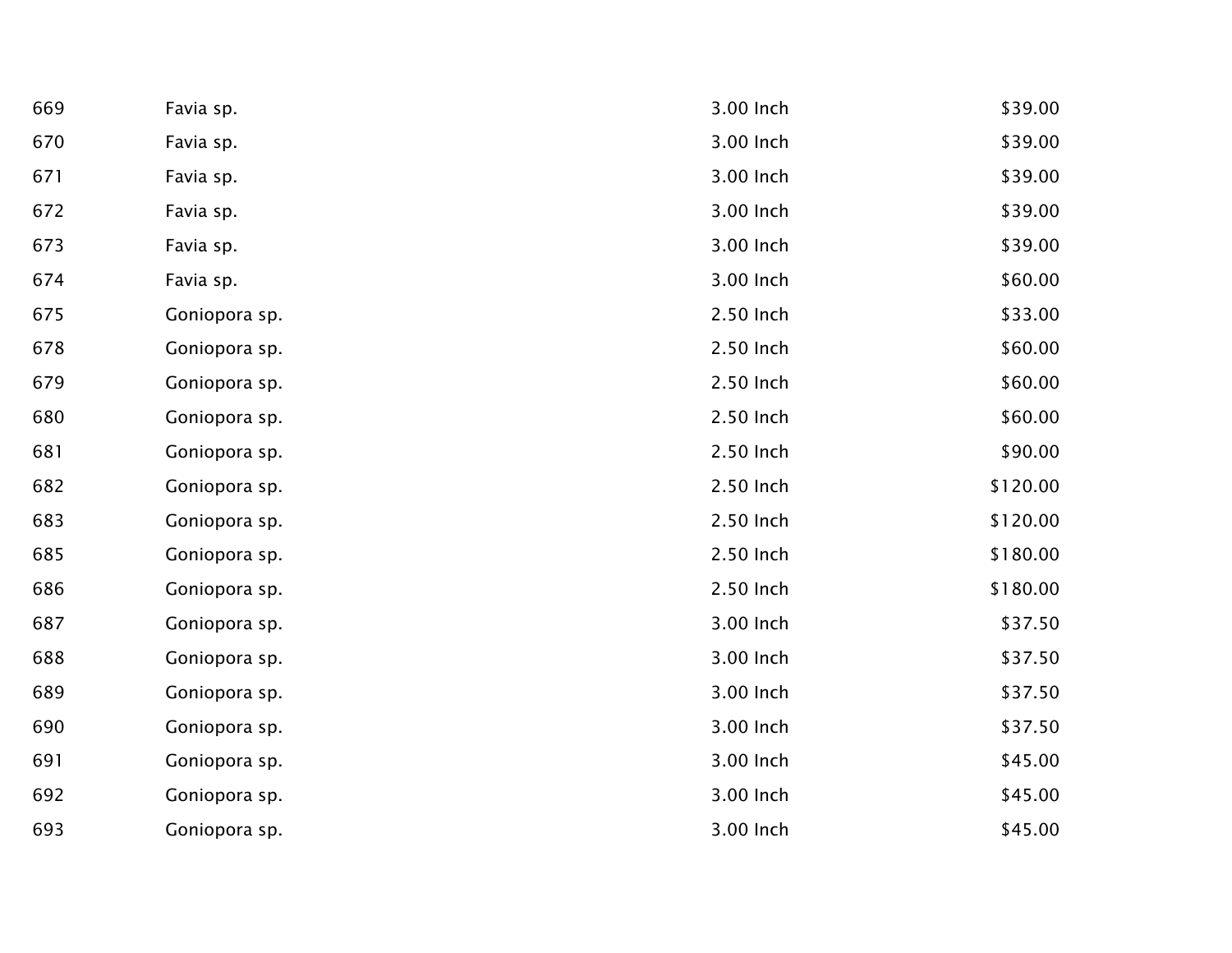| 669 | Favia sp.     | 3.00 Inch | \$39.00  |
|-----|---------------|-----------|----------|
| 670 | Favia sp.     | 3.00 Inch | \$39.00  |
| 671 | Favia sp.     | 3.00 Inch | \$39.00  |
| 672 | Favia sp.     | 3.00 Inch | \$39.00  |
| 673 | Favia sp.     | 3.00 Inch | \$39.00  |
| 674 | Favia sp.     | 3.00 Inch | \$60.00  |
| 675 | Goniopora sp. | 2.50 Inch | \$33.00  |
| 678 | Goniopora sp. | 2.50 Inch | \$60.00  |
| 679 | Goniopora sp. | 2.50 Inch | \$60.00  |
| 680 | Goniopora sp. | 2.50 Inch | \$60.00  |
| 681 | Goniopora sp. | 2.50 Inch | \$90.00  |
| 682 | Goniopora sp. | 2.50 Inch | \$120.00 |
| 683 | Goniopora sp. | 2.50 Inch | \$120.00 |
| 685 | Goniopora sp. | 2.50 Inch | \$180.00 |
| 686 | Goniopora sp. | 2.50 Inch | \$180.00 |
| 687 | Goniopora sp. | 3.00 Inch | \$37.50  |
| 688 | Goniopora sp. | 3.00 Inch | \$37.50  |
| 689 | Goniopora sp. | 3.00 Inch | \$37.50  |
| 690 | Goniopora sp. | 3.00 Inch | \$37.50  |
| 691 | Goniopora sp. | 3.00 Inch | \$45.00  |
| 692 | Goniopora sp. | 3.00 Inch | \$45.00  |
| 693 | Goniopora sp. | 3.00 Inch | \$45.00  |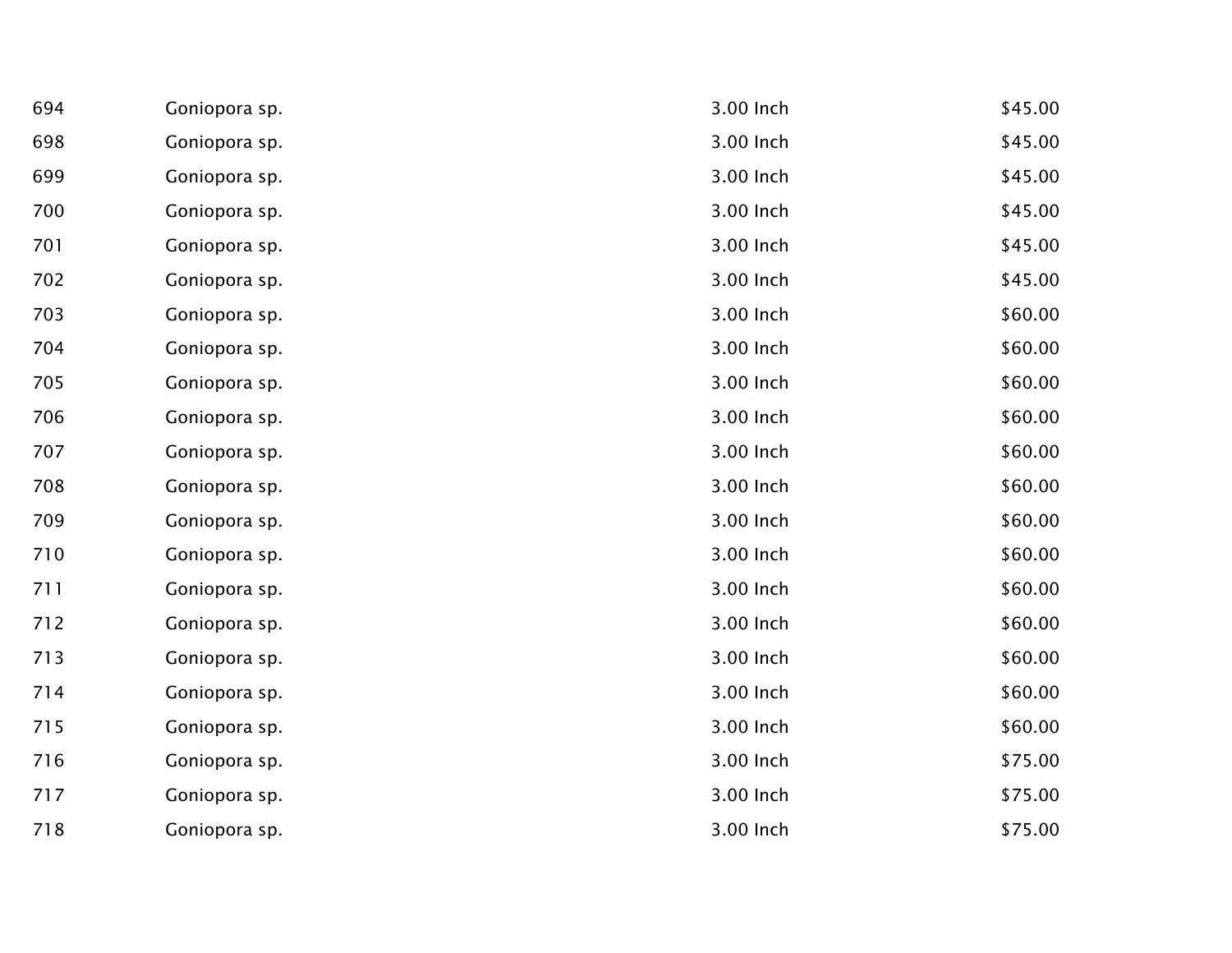| 694 | Goniopora sp. | 3.00 Inch | \$45.00 |
|-----|---------------|-----------|---------|
| 698 | Goniopora sp. | 3.00 Inch | \$45.00 |
| 699 | Goniopora sp. | 3.00 Inch | \$45.00 |
| 700 | Goniopora sp. | 3.00 Inch | \$45.00 |
| 701 | Goniopora sp. | 3.00 Inch | \$45.00 |
| 702 | Goniopora sp. | 3.00 Inch | \$45.00 |
| 703 | Goniopora sp. | 3.00 Inch | \$60.00 |
| 704 | Goniopora sp. | 3.00 Inch | \$60.00 |
| 705 | Goniopora sp. | 3.00 Inch | \$60.00 |
| 706 | Goniopora sp. | 3.00 Inch | \$60.00 |
| 707 | Goniopora sp. | 3.00 Inch | \$60.00 |
| 708 | Goniopora sp. | 3.00 Inch | \$60.00 |
| 709 | Goniopora sp. | 3.00 Inch | \$60.00 |
| 710 | Goniopora sp. | 3.00 Inch | \$60.00 |
| 711 | Goniopora sp. | 3.00 Inch | \$60.00 |
| 712 | Goniopora sp. | 3.00 Inch | \$60.00 |
| 713 | Goniopora sp. | 3.00 Inch | \$60.00 |
| 714 | Goniopora sp. | 3.00 Inch | \$60.00 |
| 715 | Goniopora sp. | 3.00 Inch | \$60.00 |
| 716 | Goniopora sp. | 3.00 Inch | \$75.00 |
| 717 | Goniopora sp. | 3.00 Inch | \$75.00 |
| 718 | Goniopora sp. | 3.00 Inch | \$75.00 |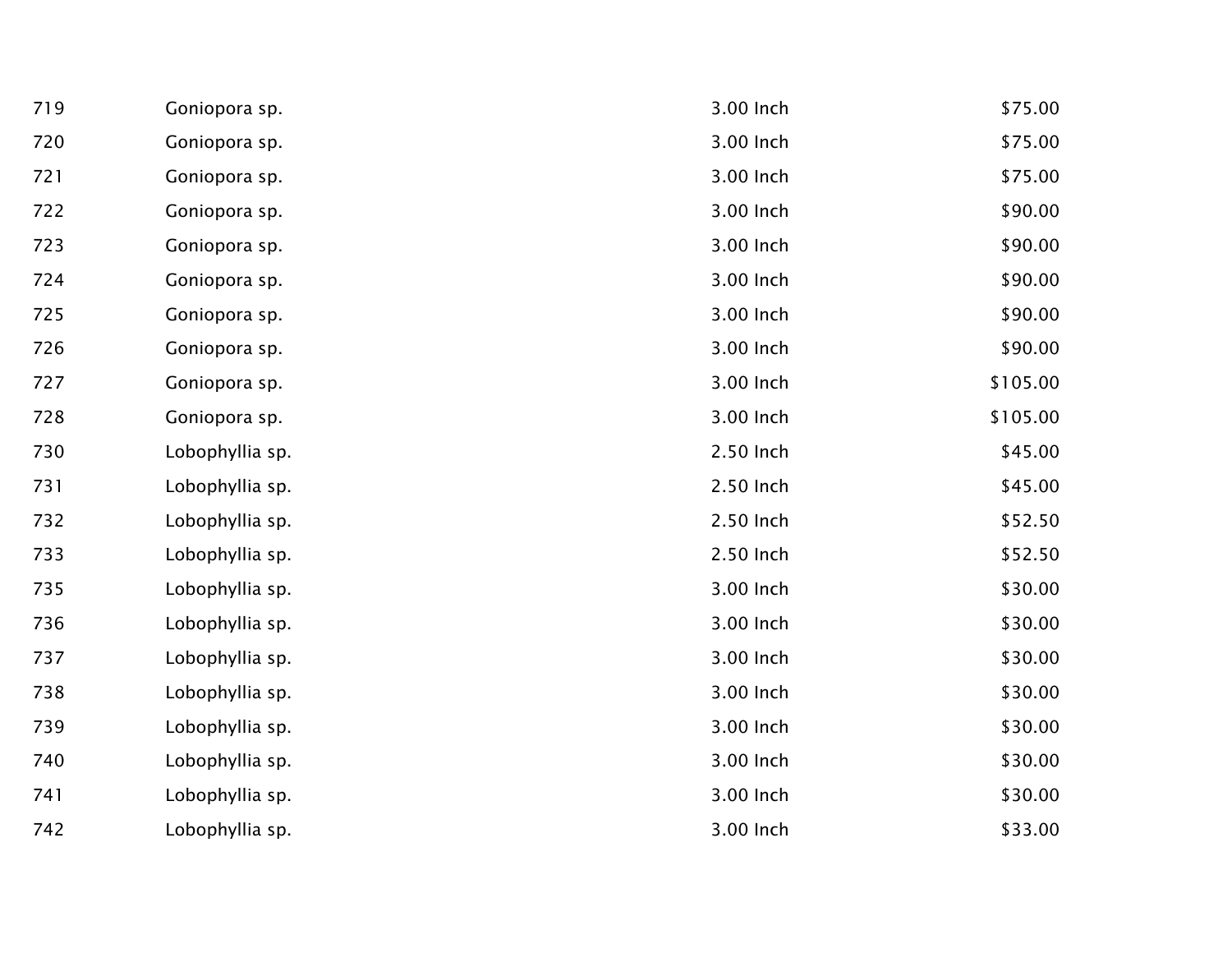| 719 | Goniopora sp.   | 3.00 Inch | \$75.00  |
|-----|-----------------|-----------|----------|
| 720 | Goniopora sp.   | 3.00 Inch | \$75.00  |
| 721 | Goniopora sp.   | 3.00 Inch | \$75.00  |
| 722 | Goniopora sp.   | 3.00 Inch | \$90.00  |
| 723 | Goniopora sp.   | 3.00 Inch | \$90.00  |
| 724 | Goniopora sp.   | 3.00 Inch | \$90.00  |
| 725 | Goniopora sp.   | 3.00 Inch | \$90.00  |
| 726 | Goniopora sp.   | 3.00 Inch | \$90.00  |
| 727 | Goniopora sp.   | 3.00 Inch | \$105.00 |
| 728 | Goniopora sp.   | 3.00 Inch | \$105.00 |
| 730 | Lobophyllia sp. | 2.50 Inch | \$45.00  |
| 731 | Lobophyllia sp. | 2.50 Inch | \$45.00  |
| 732 | Lobophyllia sp. | 2.50 Inch | \$52.50  |
| 733 | Lobophyllia sp. | 2.50 Inch | \$52.50  |
| 735 | Lobophyllia sp. | 3.00 Inch | \$30.00  |
| 736 | Lobophyllia sp. | 3.00 Inch | \$30.00  |
| 737 | Lobophyllia sp. | 3.00 Inch | \$30.00  |
| 738 | Lobophyllia sp. | 3.00 Inch | \$30.00  |
| 739 | Lobophyllia sp. | 3.00 Inch | \$30.00  |
| 740 | Lobophyllia sp. | 3.00 Inch | \$30.00  |
| 741 | Lobophyllia sp. | 3.00 Inch | \$30.00  |
| 742 | Lobophyllia sp. | 3.00 Inch | \$33.00  |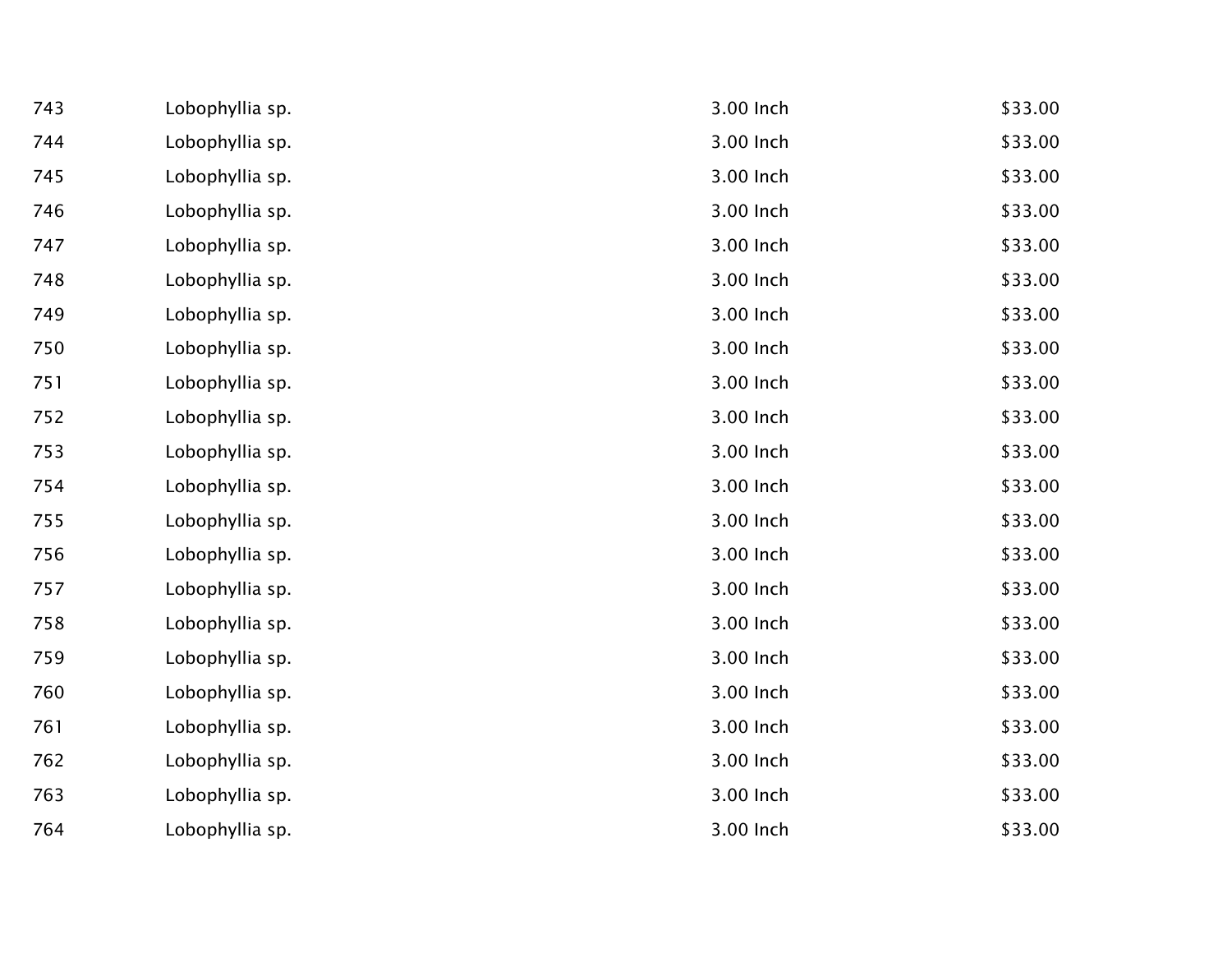| 743 | Lobophyllia sp. | 3.00 Inch | \$33.00 |
|-----|-----------------|-----------|---------|
| 744 | Lobophyllia sp. | 3.00 Inch | \$33.00 |
| 745 | Lobophyllia sp. | 3.00 Inch | \$33.00 |
| 746 | Lobophyllia sp. | 3.00 Inch | \$33.00 |
| 747 | Lobophyllia sp. | 3.00 Inch | \$33.00 |
| 748 | Lobophyllia sp. | 3.00 Inch | \$33.00 |
| 749 | Lobophyllia sp. | 3.00 Inch | \$33.00 |
| 750 | Lobophyllia sp. | 3.00 Inch | \$33.00 |
| 751 | Lobophyllia sp. | 3.00 Inch | \$33.00 |
| 752 | Lobophyllia sp. | 3.00 Inch | \$33.00 |
| 753 | Lobophyllia sp. | 3.00 Inch | \$33.00 |
| 754 | Lobophyllia sp. | 3.00 Inch | \$33.00 |
| 755 | Lobophyllia sp. | 3.00 Inch | \$33.00 |
| 756 | Lobophyllia sp. | 3.00 Inch | \$33.00 |
| 757 | Lobophyllia sp. | 3.00 Inch | \$33.00 |
| 758 | Lobophyllia sp. | 3.00 Inch | \$33.00 |
| 759 | Lobophyllia sp. | 3.00 Inch | \$33.00 |
| 760 | Lobophyllia sp. | 3.00 Inch | \$33.00 |
| 761 | Lobophyllia sp. | 3.00 Inch | \$33.00 |
| 762 | Lobophyllia sp. | 3.00 Inch | \$33.00 |
| 763 | Lobophyllia sp. | 3.00 Inch | \$33.00 |
| 764 | Lobophyllia sp. | 3.00 Inch | \$33.00 |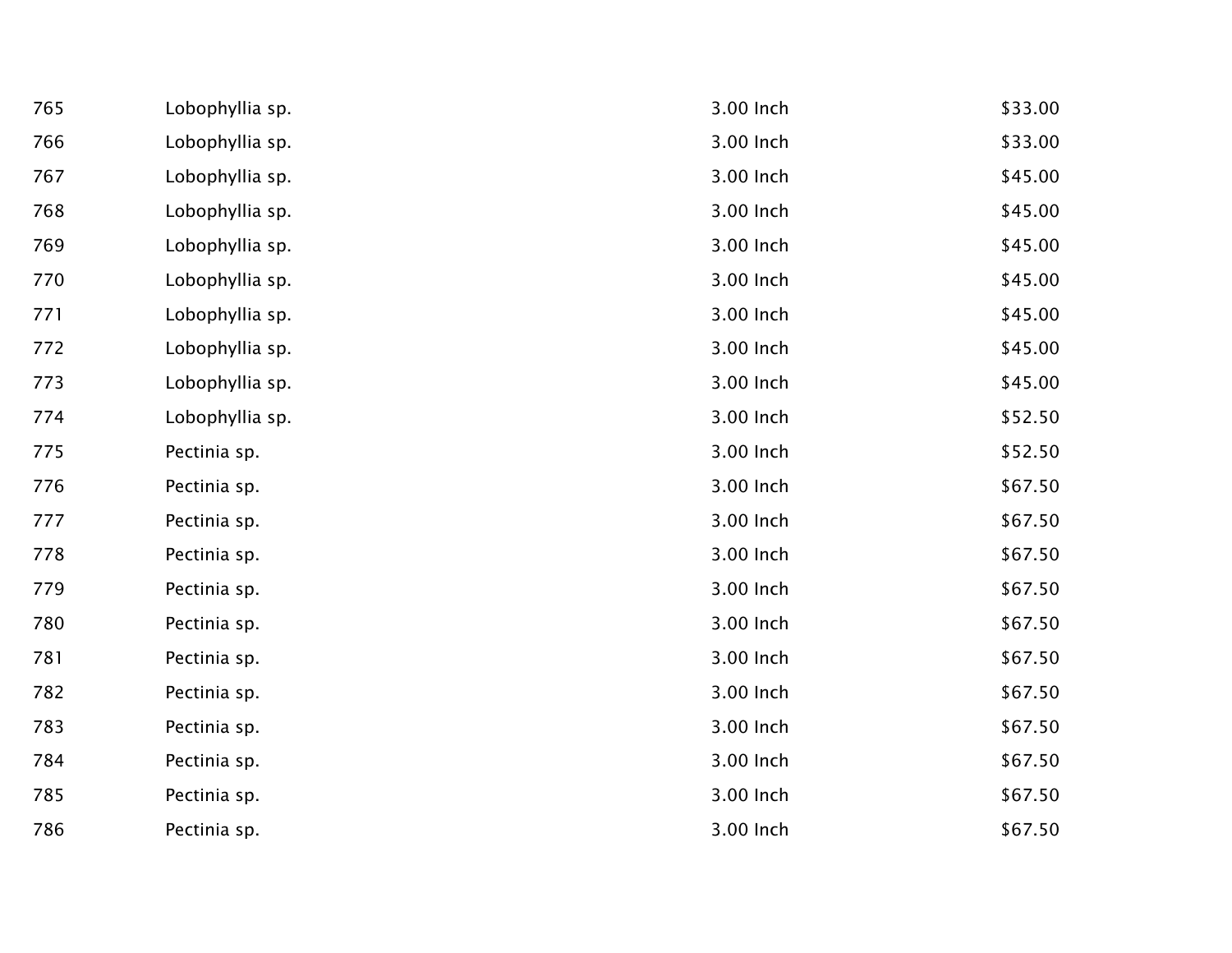| 765 | Lobophyllia sp. | 3.00 Inch | \$33.00 |
|-----|-----------------|-----------|---------|
| 766 | Lobophyllia sp. | 3.00 Inch | \$33.00 |
| 767 | Lobophyllia sp. | 3.00 Inch | \$45.00 |
| 768 | Lobophyllia sp. | 3.00 Inch | \$45.00 |
| 769 | Lobophyllia sp. | 3.00 Inch | \$45.00 |
| 770 | Lobophyllia sp. | 3.00 Inch | \$45.00 |
| 771 | Lobophyllia sp. | 3.00 Inch | \$45.00 |
| 772 | Lobophyllia sp. | 3.00 Inch | \$45.00 |
| 773 | Lobophyllia sp. | 3.00 Inch | \$45.00 |
| 774 | Lobophyllia sp. | 3.00 Inch | \$52.50 |
| 775 | Pectinia sp.    | 3.00 Inch | \$52.50 |
| 776 | Pectinia sp.    | 3.00 Inch | \$67.50 |
| 777 | Pectinia sp.    | 3.00 Inch | \$67.50 |
| 778 | Pectinia sp.    | 3.00 Inch | \$67.50 |
| 779 | Pectinia sp.    | 3.00 Inch | \$67.50 |
| 780 | Pectinia sp.    | 3.00 Inch | \$67.50 |
| 781 | Pectinia sp.    | 3.00 Inch | \$67.50 |
| 782 | Pectinia sp.    | 3.00 Inch | \$67.50 |
| 783 | Pectinia sp.    | 3.00 Inch | \$67.50 |
| 784 | Pectinia sp.    | 3.00 Inch | \$67.50 |
| 785 | Pectinia sp.    | 3.00 Inch | \$67.50 |
| 786 | Pectinia sp.    | 3.00 Inch | \$67.50 |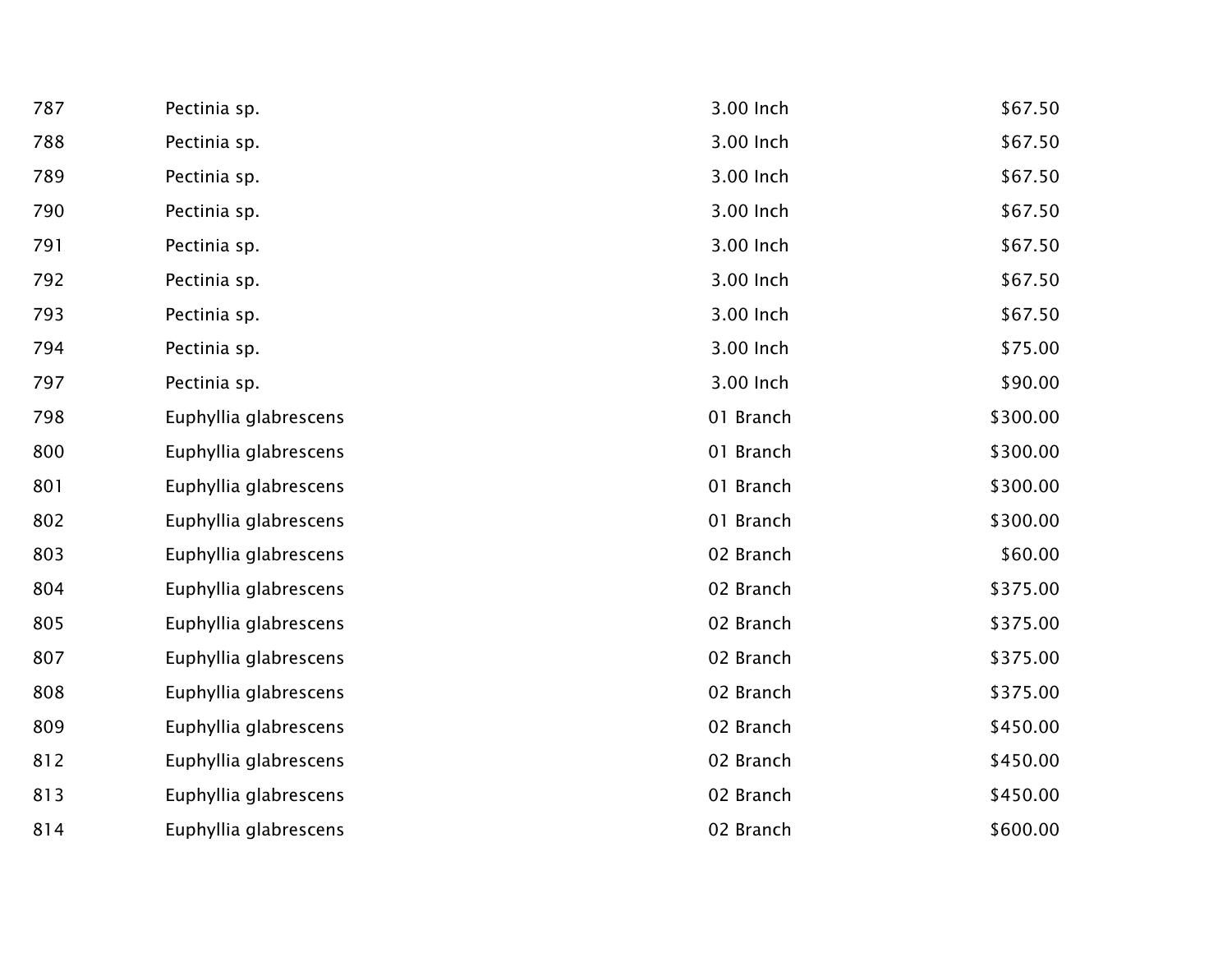| 787 | Pectinia sp.          | 3.00 Inch | \$67.50  |
|-----|-----------------------|-----------|----------|
| 788 | Pectinia sp.          | 3.00 Inch | \$67.50  |
| 789 | Pectinia sp.          | 3.00 Inch | \$67.50  |
| 790 | Pectinia sp.          | 3.00 Inch | \$67.50  |
| 791 | Pectinia sp.          | 3.00 Inch | \$67.50  |
| 792 | Pectinia sp.          | 3.00 Inch | \$67.50  |
| 793 | Pectinia sp.          | 3.00 Inch | \$67.50  |
| 794 | Pectinia sp.          | 3.00 Inch | \$75.00  |
| 797 | Pectinia sp.          | 3.00 Inch | \$90.00  |
| 798 | Euphyllia glabrescens | 01 Branch | \$300.00 |
| 800 | Euphyllia glabrescens | 01 Branch | \$300.00 |
| 801 | Euphyllia glabrescens | 01 Branch | \$300.00 |
| 802 | Euphyllia glabrescens | 01 Branch | \$300.00 |
| 803 | Euphyllia glabrescens | 02 Branch | \$60.00  |
| 804 | Euphyllia glabrescens | 02 Branch | \$375.00 |
| 805 | Euphyllia glabrescens | 02 Branch | \$375.00 |
| 807 | Euphyllia glabrescens | 02 Branch | \$375.00 |
| 808 | Euphyllia glabrescens | 02 Branch | \$375.00 |
| 809 | Euphyllia glabrescens | 02 Branch | \$450.00 |
| 812 | Euphyllia glabrescens | 02 Branch | \$450.00 |
| 813 | Euphyllia glabrescens | 02 Branch | \$450.00 |
| 814 | Euphyllia glabrescens | 02 Branch | \$600.00 |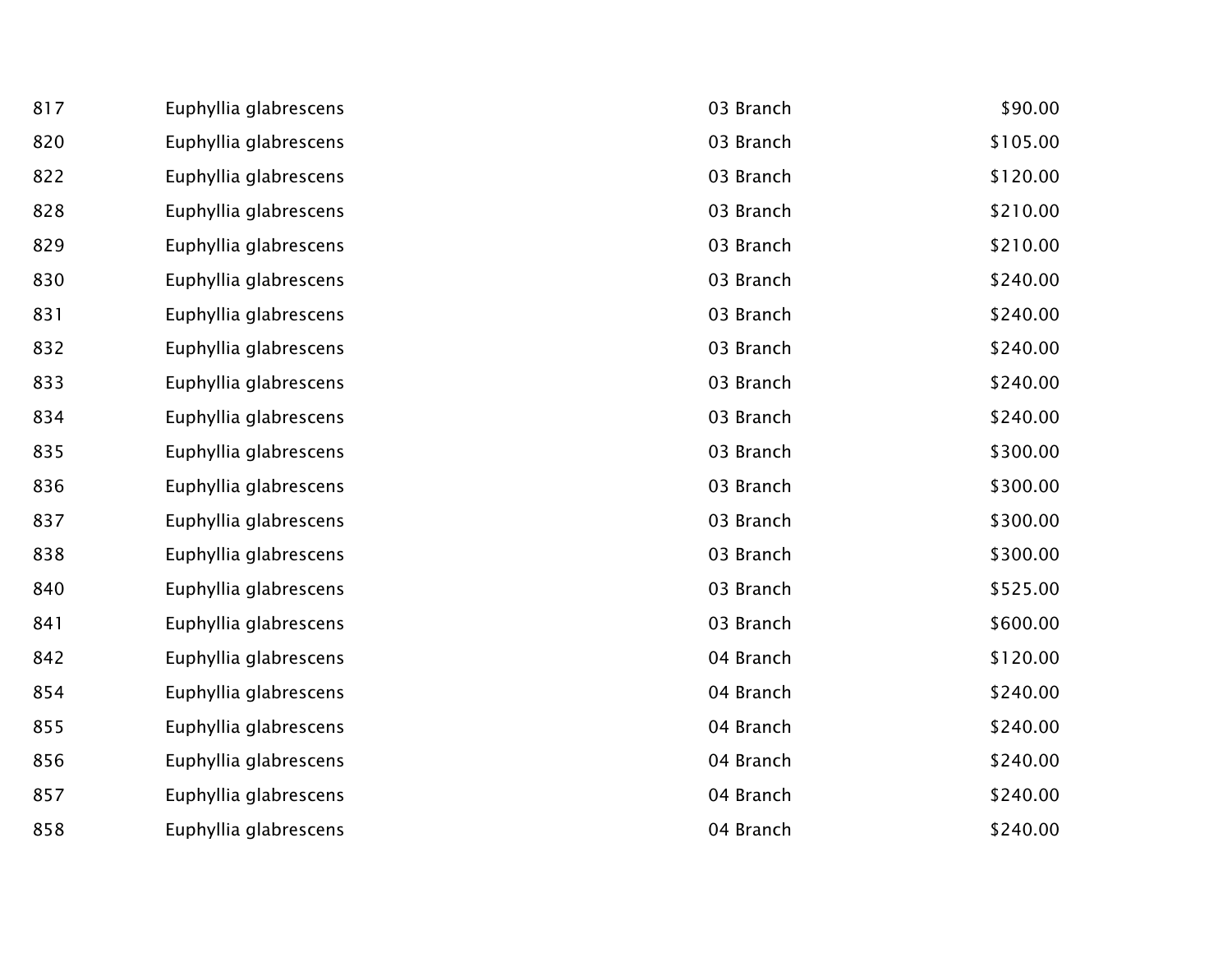| 817 | Euphyllia glabrescens | 03 Branch | \$90.00  |
|-----|-----------------------|-----------|----------|
| 820 | Euphyllia glabrescens | 03 Branch | \$105.00 |
| 822 | Euphyllia glabrescens | 03 Branch | \$120.00 |
| 828 | Euphyllia glabrescens | 03 Branch | \$210.00 |
| 829 | Euphyllia glabrescens | 03 Branch | \$210.00 |
| 830 | Euphyllia glabrescens | 03 Branch | \$240.00 |
| 831 | Euphyllia glabrescens | 03 Branch | \$240.00 |
| 832 | Euphyllia glabrescens | 03 Branch | \$240.00 |
| 833 | Euphyllia glabrescens | 03 Branch | \$240.00 |
| 834 | Euphyllia glabrescens | 03 Branch | \$240.00 |
| 835 | Euphyllia glabrescens | 03 Branch | \$300.00 |
| 836 | Euphyllia glabrescens | 03 Branch | \$300.00 |
| 837 | Euphyllia glabrescens | 03 Branch | \$300.00 |
| 838 | Euphyllia glabrescens | 03 Branch | \$300.00 |
| 840 | Euphyllia glabrescens | 03 Branch | \$525.00 |
| 841 | Euphyllia glabrescens | 03 Branch | \$600.00 |
| 842 | Euphyllia glabrescens | 04 Branch | \$120.00 |
| 854 | Euphyllia glabrescens | 04 Branch | \$240.00 |
| 855 | Euphyllia glabrescens | 04 Branch | \$240.00 |
| 856 | Euphyllia glabrescens | 04 Branch | \$240.00 |
| 857 | Euphyllia glabrescens | 04 Branch | \$240.00 |
| 858 | Euphyllia glabrescens | 04 Branch | \$240.00 |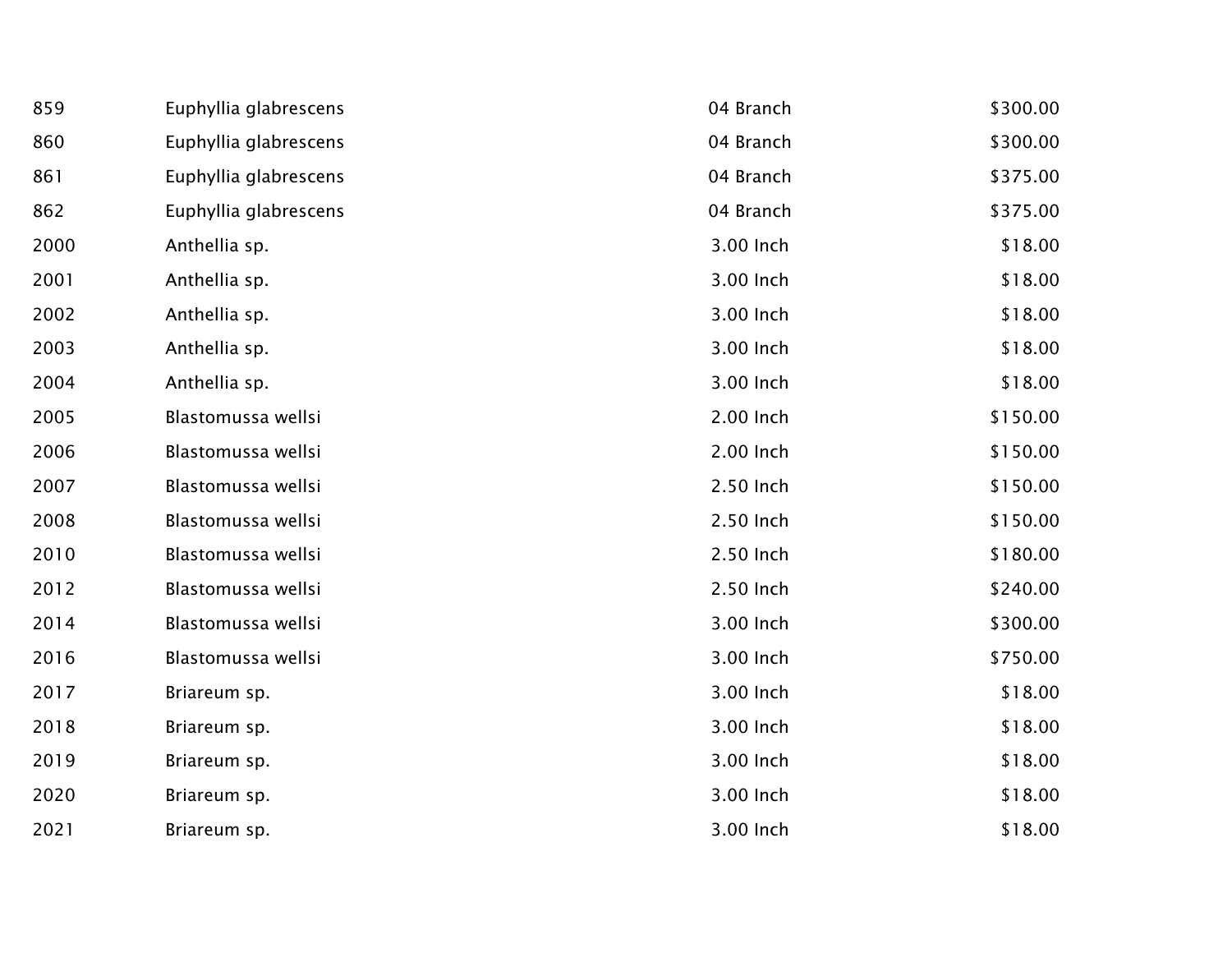| 859  | Euphyllia glabrescens | 04 Branch | \$300.00 |
|------|-----------------------|-----------|----------|
| 860  | Euphyllia glabrescens | 04 Branch | \$300.00 |
| 861  | Euphyllia glabrescens | 04 Branch | \$375.00 |
| 862  | Euphyllia glabrescens | 04 Branch | \$375.00 |
| 2000 | Anthellia sp.         | 3.00 Inch | \$18.00  |
| 2001 | Anthellia sp.         | 3.00 Inch | \$18.00  |
| 2002 | Anthellia sp.         | 3.00 Inch | \$18.00  |
| 2003 | Anthellia sp.         | 3.00 Inch | \$18.00  |
| 2004 | Anthellia sp.         | 3.00 Inch | \$18.00  |
| 2005 | Blastomussa wellsi    | 2.00 Inch | \$150.00 |
| 2006 | Blastomussa wellsi    | 2.00 Inch | \$150.00 |
| 2007 | Blastomussa wellsi    | 2.50 Inch | \$150.00 |
| 2008 | Blastomussa wellsi    | 2.50 Inch | \$150.00 |
| 2010 | Blastomussa wellsi    | 2.50 Inch | \$180.00 |
| 2012 | Blastomussa wellsi    | 2.50 Inch | \$240.00 |
| 2014 | Blastomussa wellsi    | 3.00 Inch | \$300.00 |
| 2016 | Blastomussa wellsi    | 3.00 Inch | \$750.00 |
| 2017 | Briareum sp.          | 3.00 Inch | \$18.00  |
| 2018 | Briareum sp.          | 3.00 Inch | \$18.00  |
| 2019 | Briareum sp.          | 3.00 Inch | \$18.00  |
| 2020 | Briareum sp.          | 3.00 Inch | \$18.00  |
| 2021 | Briareum sp.          | 3.00 Inch | \$18.00  |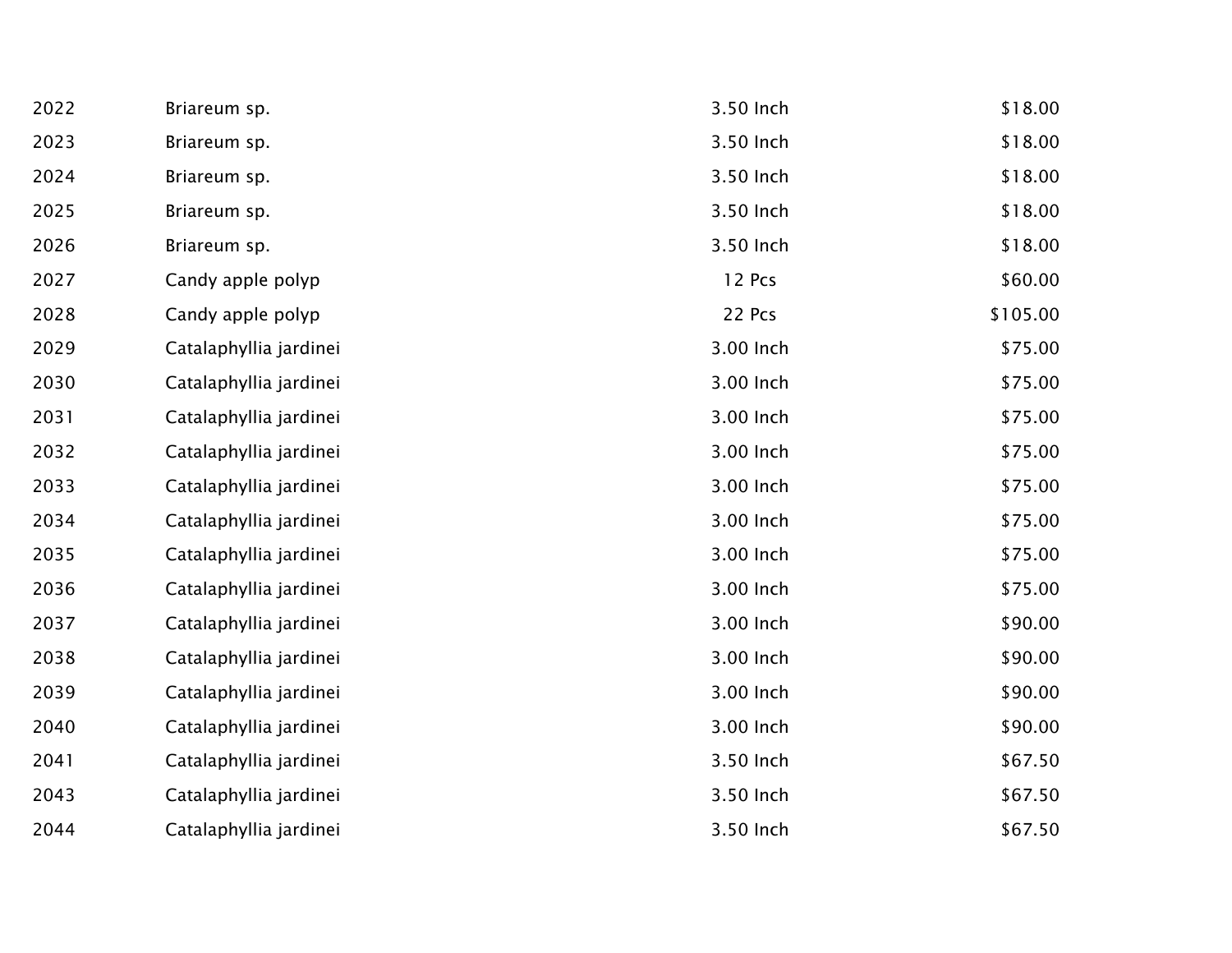| 2022 | Briareum sp.           | 3.50 Inch | \$18.00  |
|------|------------------------|-----------|----------|
| 2023 | Briareum sp.           | 3.50 Inch | \$18.00  |
| 2024 | Briareum sp.           | 3.50 Inch | \$18.00  |
| 2025 | Briareum sp.           | 3.50 Inch | \$18.00  |
| 2026 | Briareum sp.           | 3.50 Inch | \$18.00  |
| 2027 | Candy apple polyp      | 12 Pcs    | \$60.00  |
| 2028 | Candy apple polyp      | 22 Pcs    | \$105.00 |
| 2029 | Catalaphyllia jardinei | 3.00 Inch | \$75.00  |
| 2030 | Catalaphyllia jardinei | 3.00 Inch | \$75.00  |
| 2031 | Catalaphyllia jardinei | 3.00 Inch | \$75.00  |
| 2032 | Catalaphyllia jardinei | 3.00 Inch | \$75.00  |
| 2033 | Catalaphyllia jardinei | 3.00 Inch | \$75.00  |
| 2034 | Catalaphyllia jardinei | 3.00 Inch | \$75.00  |
| 2035 | Catalaphyllia jardinei | 3.00 Inch | \$75.00  |
| 2036 | Catalaphyllia jardinei | 3.00 Inch | \$75.00  |
| 2037 | Catalaphyllia jardinei | 3.00 Inch | \$90.00  |
| 2038 | Catalaphyllia jardinei | 3.00 Inch | \$90.00  |
| 2039 | Catalaphyllia jardinei | 3.00 Inch | \$90.00  |
| 2040 | Catalaphyllia jardinei | 3.00 Inch | \$90.00  |
| 2041 | Catalaphyllia jardinei | 3.50 Inch | \$67.50  |
| 2043 | Catalaphyllia jardinei | 3.50 Inch | \$67.50  |
| 2044 | Catalaphyllia jardinei | 3.50 Inch | \$67.50  |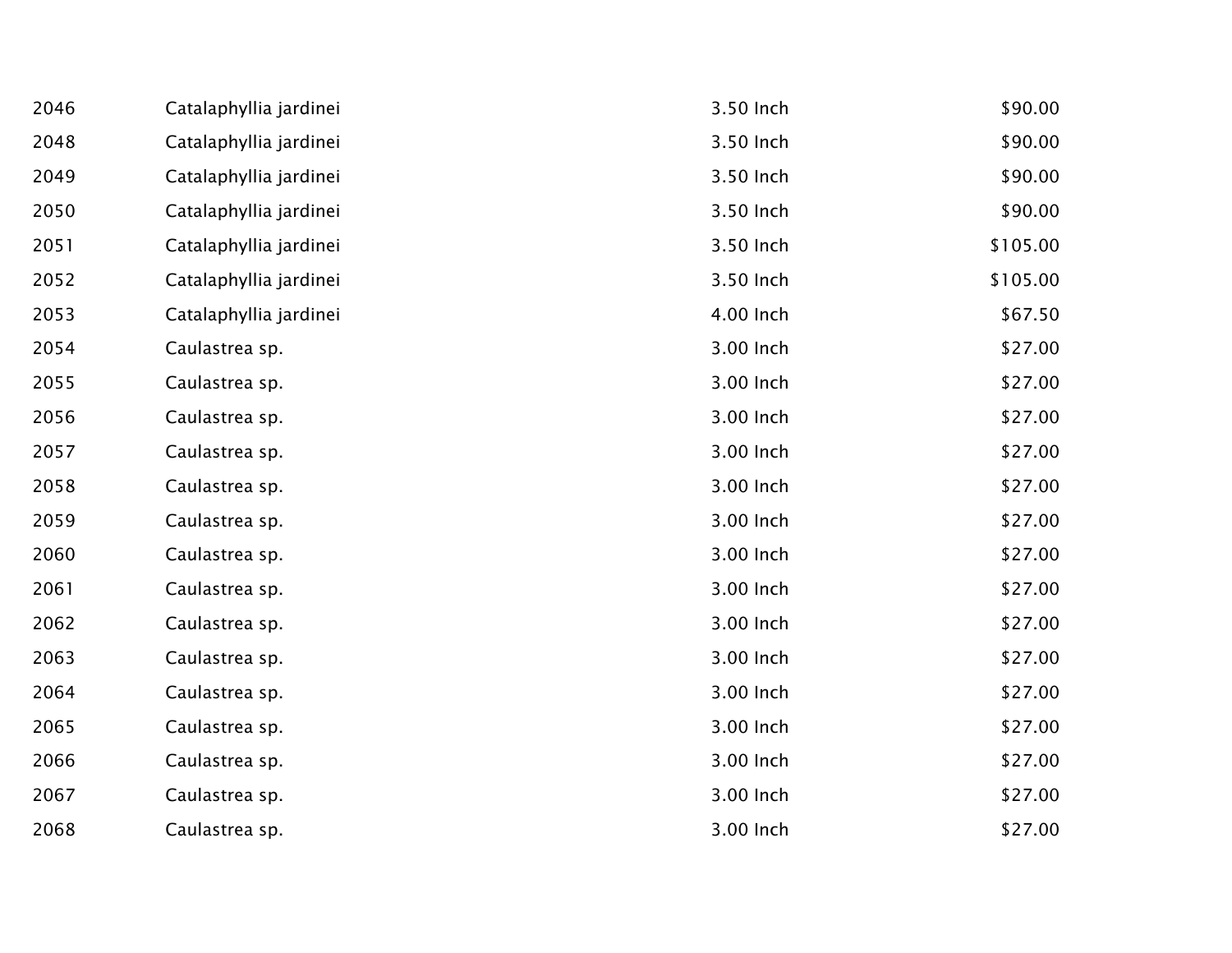| 2046 | Catalaphyllia jardinei | 3.50 Inch | \$90.00  |
|------|------------------------|-----------|----------|
| 2048 | Catalaphyllia jardinei | 3.50 Inch | \$90.00  |
| 2049 | Catalaphyllia jardinei | 3.50 Inch | \$90.00  |
| 2050 | Catalaphyllia jardinei | 3.50 Inch | \$90.00  |
| 2051 | Catalaphyllia jardinei | 3.50 Inch | \$105.00 |
| 2052 | Catalaphyllia jardinei | 3.50 Inch | \$105.00 |
| 2053 | Catalaphyllia jardinei | 4.00 Inch | \$67.50  |
| 2054 | Caulastrea sp.         | 3.00 Inch | \$27.00  |
| 2055 | Caulastrea sp.         | 3.00 Inch | \$27.00  |
| 2056 | Caulastrea sp.         | 3.00 Inch | \$27.00  |
| 2057 | Caulastrea sp.         | 3.00 Inch | \$27.00  |
| 2058 | Caulastrea sp.         | 3.00 Inch | \$27.00  |
| 2059 | Caulastrea sp.         | 3.00 Inch | \$27.00  |
| 2060 | Caulastrea sp.         | 3.00 Inch | \$27.00  |
| 2061 | Caulastrea sp.         | 3.00 Inch | \$27.00  |
| 2062 | Caulastrea sp.         | 3.00 Inch | \$27.00  |
| 2063 | Caulastrea sp.         | 3.00 Inch | \$27.00  |
| 2064 | Caulastrea sp.         | 3.00 Inch | \$27.00  |
| 2065 | Caulastrea sp.         | 3.00 Inch | \$27.00  |
| 2066 | Caulastrea sp.         | 3.00 Inch | \$27.00  |
| 2067 | Caulastrea sp.         | 3.00 Inch | \$27.00  |
| 2068 | Caulastrea sp.         | 3.00 Inch | \$27.00  |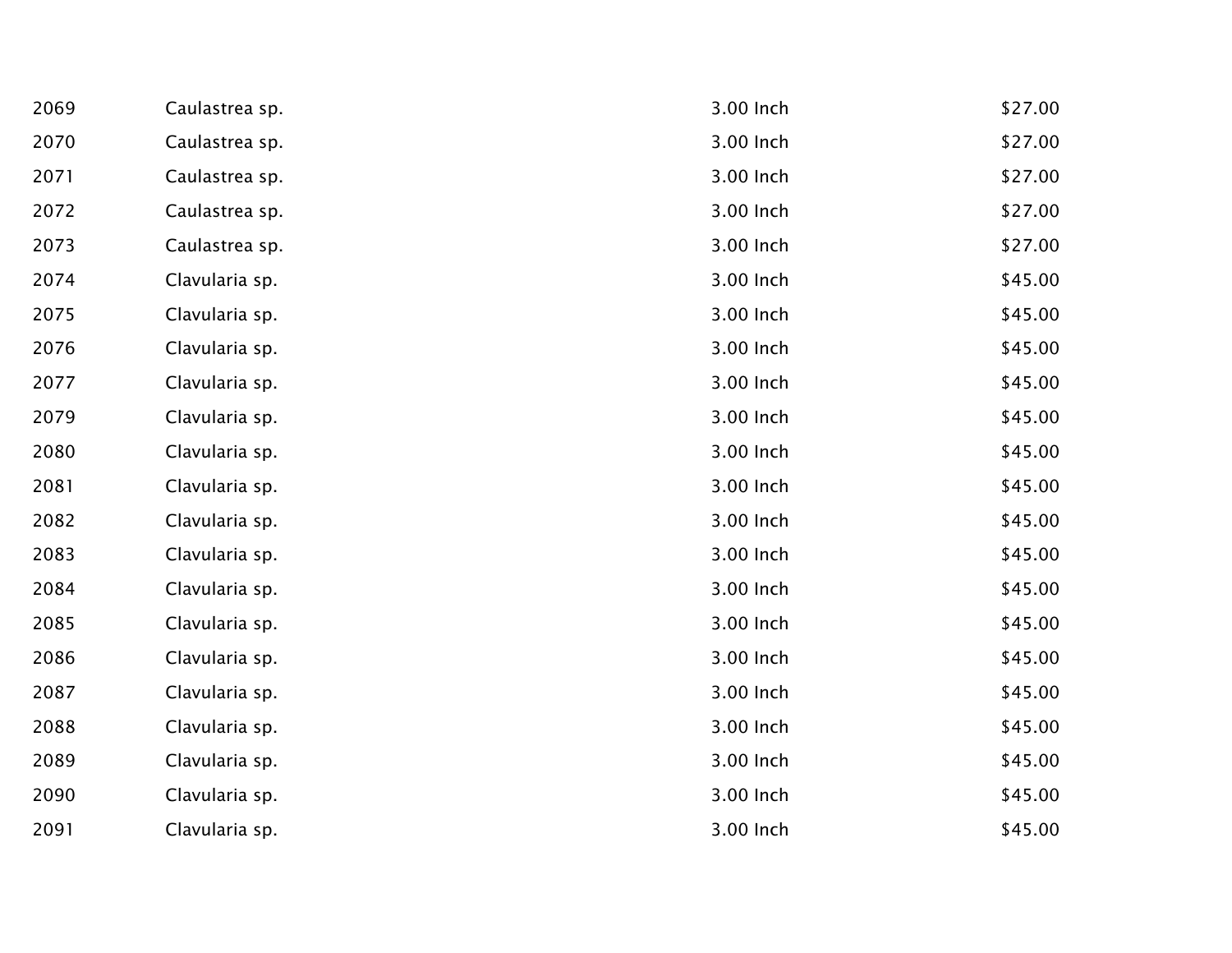| 2069 | Caulastrea sp. | 3.00 Inch | \$27.00 |
|------|----------------|-----------|---------|
| 2070 | Caulastrea sp. | 3.00 Inch | \$27.00 |
| 2071 | Caulastrea sp. | 3.00 Inch | \$27.00 |
| 2072 | Caulastrea sp. | 3.00 Inch | \$27.00 |
| 2073 | Caulastrea sp. | 3.00 Inch | \$27.00 |
| 2074 | Clavularia sp. | 3.00 Inch | \$45.00 |
| 2075 | Clavularia sp. | 3.00 Inch | \$45.00 |
| 2076 | Clavularia sp. | 3.00 Inch | \$45.00 |
| 2077 | Clavularia sp. | 3.00 Inch | \$45.00 |
| 2079 | Clavularia sp. | 3.00 Inch | \$45.00 |
| 2080 | Clavularia sp. | 3.00 Inch | \$45.00 |
| 2081 | Clavularia sp. | 3.00 Inch | \$45.00 |
| 2082 | Clavularia sp. | 3.00 Inch | \$45.00 |
| 2083 | Clavularia sp. | 3.00 Inch | \$45.00 |
| 2084 | Clavularia sp. | 3.00 Inch | \$45.00 |
| 2085 | Clavularia sp. | 3.00 Inch | \$45.00 |
| 2086 | Clavularia sp. | 3.00 Inch | \$45.00 |
| 2087 | Clavularia sp. | 3.00 Inch | \$45.00 |
| 2088 | Clavularia sp. | 3.00 Inch | \$45.00 |
| 2089 | Clavularia sp. | 3.00 Inch | \$45.00 |
| 2090 | Clavularia sp. | 3.00 Inch | \$45.00 |
| 2091 | Clavularia sp. | 3.00 Inch | \$45.00 |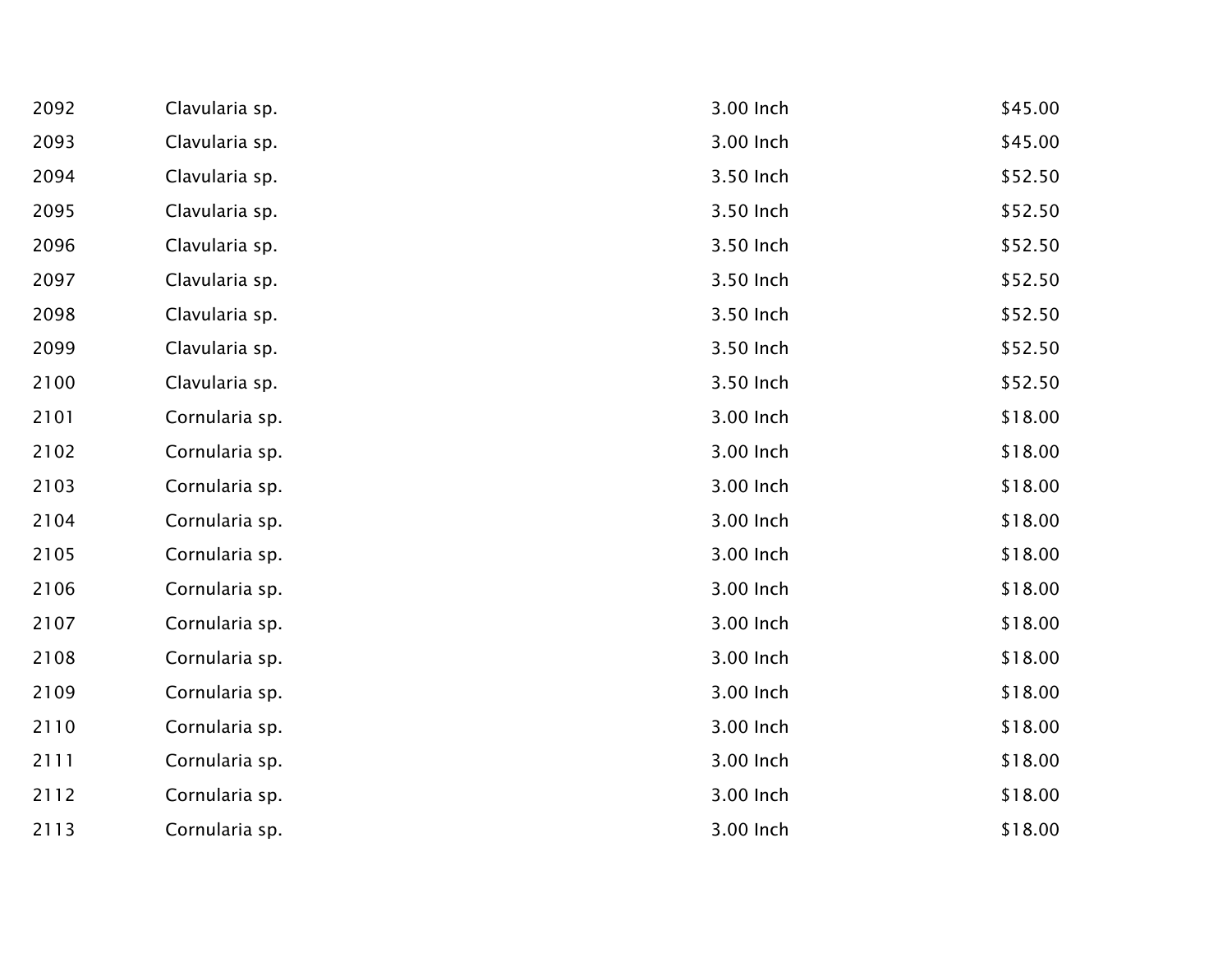| 2092 | Clavularia sp. | 3.00 Inch | \$45.00 |
|------|----------------|-----------|---------|
| 2093 | Clavularia sp. | 3.00 Inch | \$45.00 |
| 2094 | Clavularia sp. | 3.50 Inch | \$52.50 |
| 2095 | Clavularia sp. | 3.50 Inch | \$52.50 |
| 2096 | Clavularia sp. | 3.50 Inch | \$52.50 |
| 2097 | Clavularia sp. | 3.50 Inch | \$52.50 |
| 2098 | Clavularia sp. | 3.50 Inch | \$52.50 |
| 2099 | Clavularia sp. | 3.50 Inch | \$52.50 |
| 2100 | Clavularia sp. | 3.50 Inch | \$52.50 |
| 2101 | Cornularia sp. | 3.00 Inch | \$18.00 |
| 2102 | Cornularia sp. | 3.00 Inch | \$18.00 |
| 2103 | Cornularia sp. | 3.00 Inch | \$18.00 |
| 2104 | Cornularia sp. | 3.00 Inch | \$18.00 |
| 2105 | Cornularia sp. | 3.00 Inch | \$18.00 |
| 2106 | Cornularia sp. | 3.00 Inch | \$18.00 |
| 2107 | Cornularia sp. | 3.00 Inch | \$18.00 |
| 2108 | Cornularia sp. | 3.00 Inch | \$18.00 |
| 2109 | Cornularia sp. | 3.00 Inch | \$18.00 |
| 2110 | Cornularia sp. | 3.00 Inch | \$18.00 |
| 2111 | Cornularia sp. | 3.00 Inch | \$18.00 |
| 2112 | Cornularia sp. | 3.00 Inch | \$18.00 |
| 2113 | Cornularia sp. | 3.00 Inch | \$18.00 |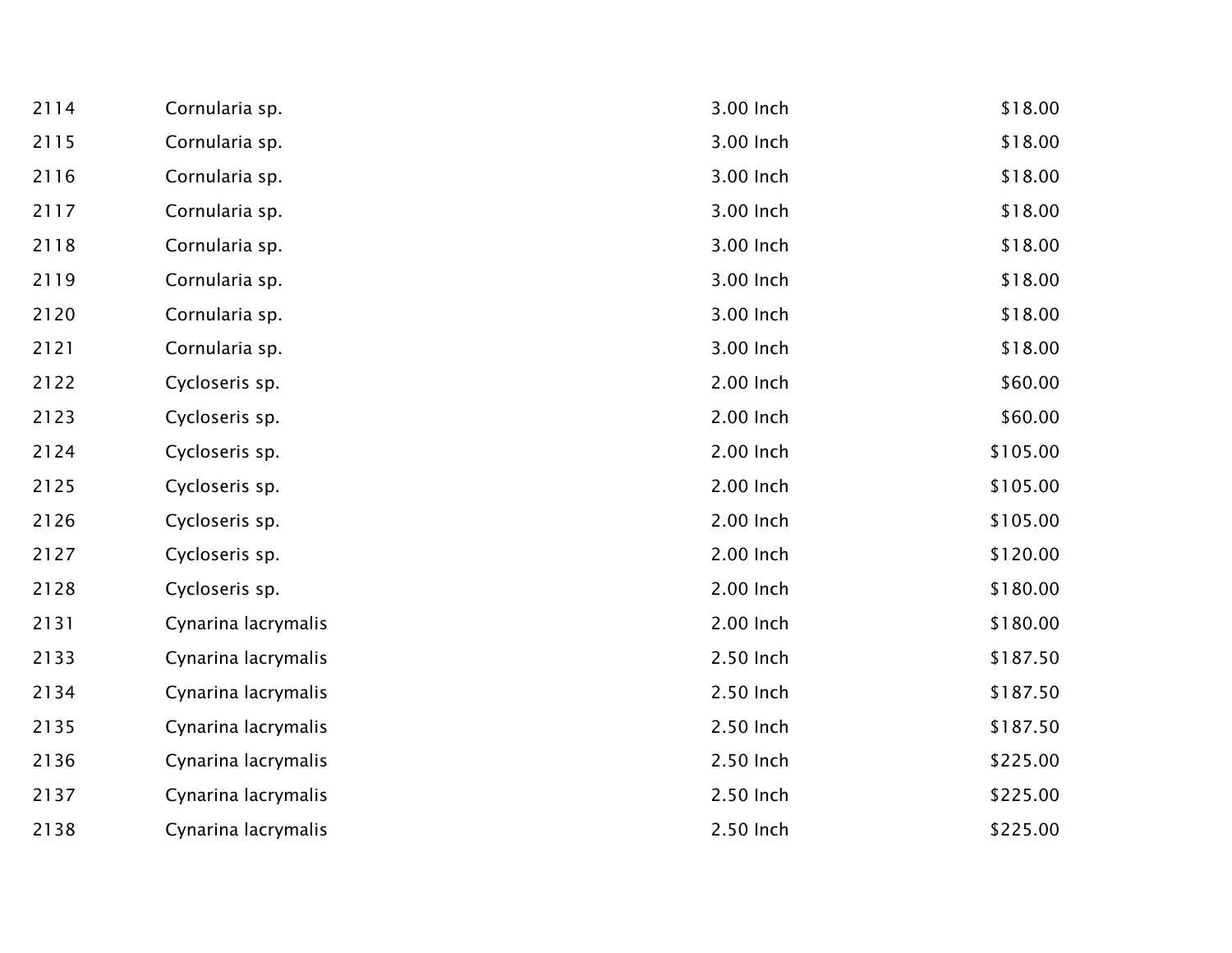| 2114 | Cornularia sp.      | 3.00 Inch | \$18.00  |
|------|---------------------|-----------|----------|
| 2115 | Cornularia sp.      | 3.00 Inch | \$18.00  |
| 2116 | Cornularia sp.      | 3.00 Inch | \$18.00  |
| 2117 | Cornularia sp.      | 3.00 Inch | \$18.00  |
| 2118 | Cornularia sp.      | 3.00 Inch | \$18.00  |
| 2119 | Cornularia sp.      | 3.00 Inch | \$18.00  |
| 2120 | Cornularia sp.      | 3.00 Inch | \$18.00  |
| 2121 | Cornularia sp.      | 3.00 Inch | \$18.00  |
| 2122 | Cycloseris sp.      | 2.00 Inch | \$60.00  |
| 2123 | Cycloseris sp.      | 2.00 Inch | \$60.00  |
| 2124 | Cycloseris sp.      | 2.00 Inch | \$105.00 |
| 2125 | Cycloseris sp.      | 2.00 Inch | \$105.00 |
| 2126 | Cycloseris sp.      | 2.00 Inch | \$105.00 |
| 2127 | Cycloseris sp.      | 2.00 Inch | \$120.00 |
| 2128 | Cycloseris sp.      | 2.00 Inch | \$180.00 |
| 2131 | Cynarina lacrymalis | 2.00 Inch | \$180.00 |
| 2133 | Cynarina lacrymalis | 2.50 Inch | \$187.50 |
| 2134 | Cynarina lacrymalis | 2.50 Inch | \$187.50 |
| 2135 | Cynarina lacrymalis | 2.50 Inch | \$187.50 |
| 2136 | Cynarina lacrymalis | 2.50 Inch | \$225.00 |
| 2137 | Cynarina lacrymalis | 2.50 Inch | \$225.00 |
| 2138 | Cynarina lacrymalis | 2.50 Inch | \$225.00 |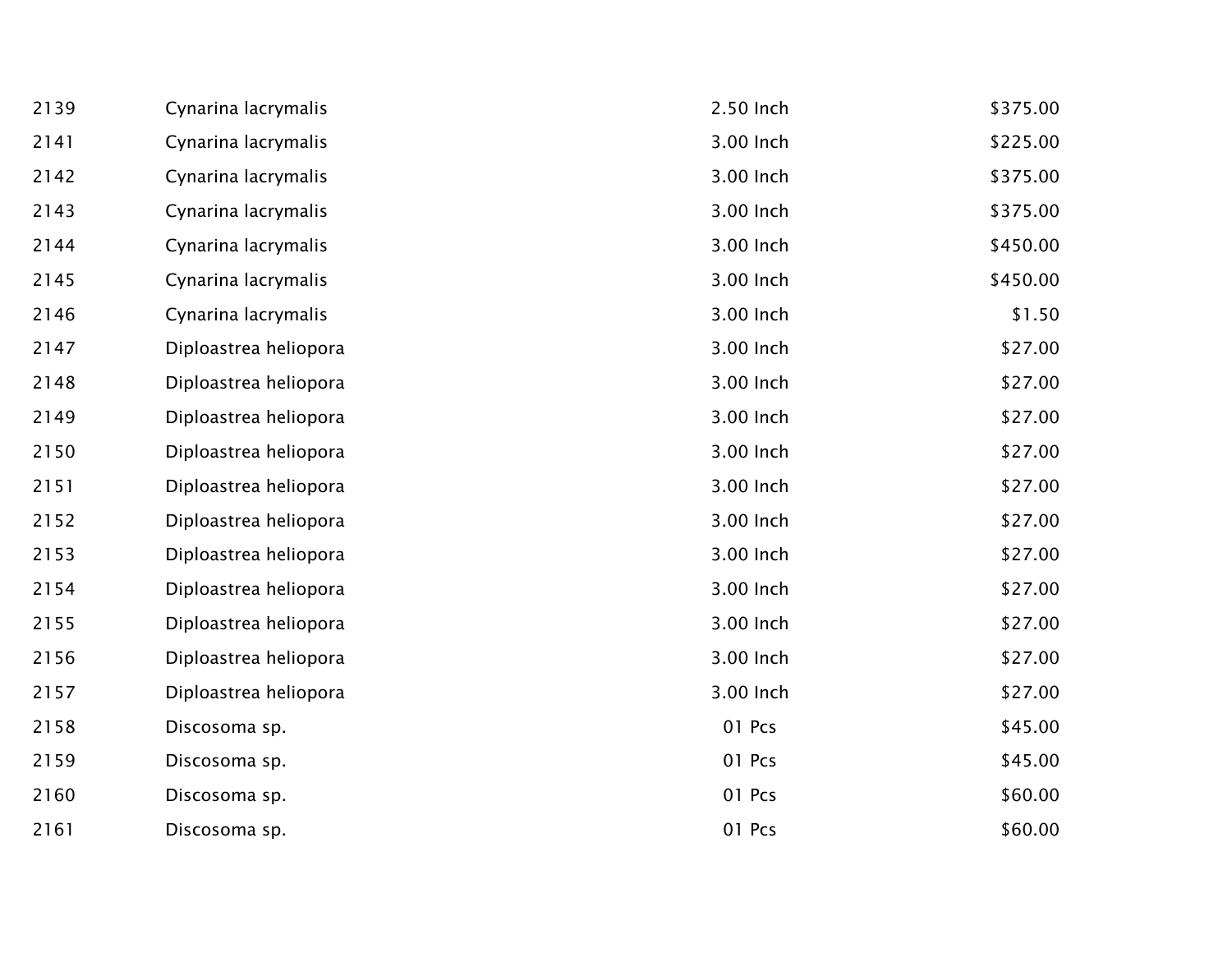| 2139 | Cynarina lacrymalis   | 2.50 Inch | \$375.00 |
|------|-----------------------|-----------|----------|
| 2141 | Cynarina lacrymalis   | 3.00 Inch | \$225.00 |
| 2142 | Cynarina lacrymalis   | 3.00 Inch | \$375.00 |
| 2143 | Cynarina lacrymalis   | 3.00 Inch | \$375.00 |
| 2144 | Cynarina lacrymalis   | 3.00 Inch | \$450.00 |
| 2145 | Cynarina lacrymalis   | 3.00 Inch | \$450.00 |
| 2146 | Cynarina lacrymalis   | 3.00 Inch | \$1.50   |
| 2147 | Diploastrea heliopora | 3.00 Inch | \$27.00  |
| 2148 | Diploastrea heliopora | 3.00 Inch | \$27.00  |
| 2149 | Diploastrea heliopora | 3.00 Inch | \$27.00  |
| 2150 | Diploastrea heliopora | 3.00 Inch | \$27.00  |
| 2151 | Diploastrea heliopora | 3.00 Inch | \$27.00  |
| 2152 | Diploastrea heliopora | 3.00 Inch | \$27.00  |
| 2153 | Diploastrea heliopora | 3.00 Inch | \$27.00  |
| 2154 | Diploastrea heliopora | 3.00 Inch | \$27.00  |
| 2155 | Diploastrea heliopora | 3.00 Inch | \$27.00  |
| 2156 | Diploastrea heliopora | 3.00 Inch | \$27.00  |
| 2157 | Diploastrea heliopora | 3.00 Inch | \$27.00  |
| 2158 | Discosoma sp.         | 01 Pcs    | \$45.00  |
| 2159 | Discosoma sp.         | 01 Pcs    | \$45.00  |
| 2160 | Discosoma sp.         | 01 Pcs    | \$60.00  |
| 2161 | Discosoma sp.         | 01 Pcs    | \$60.00  |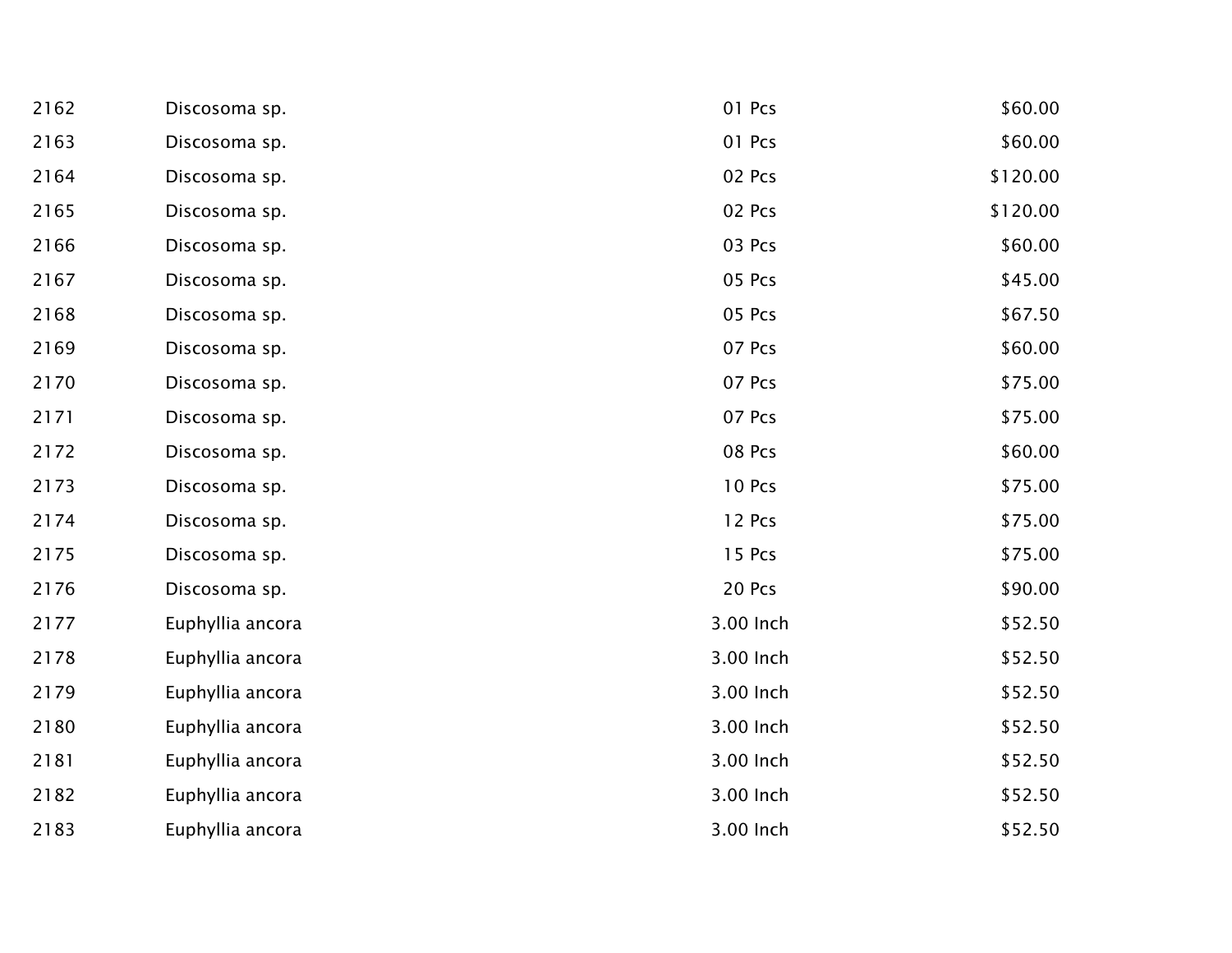| 2162 | Discosoma sp.    | 01 Pcs    | \$60.00  |
|------|------------------|-----------|----------|
| 2163 | Discosoma sp.    | 01 Pcs    | \$60.00  |
| 2164 | Discosoma sp.    | 02 Pcs    | \$120.00 |
| 2165 | Discosoma sp.    | 02 Pcs    | \$120.00 |
| 2166 | Discosoma sp.    | 03 Pcs    | \$60.00  |
| 2167 | Discosoma sp.    | 05 Pcs    | \$45.00  |
| 2168 | Discosoma sp.    | 05 Pcs    | \$67.50  |
| 2169 | Discosoma sp.    | 07 Pcs    | \$60.00  |
| 2170 | Discosoma sp.    | 07 Pcs    | \$75.00  |
| 2171 | Discosoma sp.    | 07 Pcs    | \$75.00  |
| 2172 | Discosoma sp.    | 08 Pcs    | \$60.00  |
| 2173 | Discosoma sp.    | 10 Pcs    | \$75.00  |
| 2174 | Discosoma sp.    | 12 Pcs    | \$75.00  |
| 2175 | Discosoma sp.    | 15 Pcs    | \$75.00  |
| 2176 | Discosoma sp.    | 20 Pcs    | \$90.00  |
| 2177 | Euphyllia ancora | 3.00 Inch | \$52.50  |
| 2178 | Euphyllia ancora | 3.00 Inch | \$52.50  |
| 2179 | Euphyllia ancora | 3.00 Inch | \$52.50  |
| 2180 | Euphyllia ancora | 3.00 Inch | \$52.50  |
| 2181 | Euphyllia ancora | 3.00 Inch | \$52.50  |
| 2182 | Euphyllia ancora | 3.00 Inch | \$52.50  |
| 2183 | Euphyllia ancora | 3.00 Inch | \$52.50  |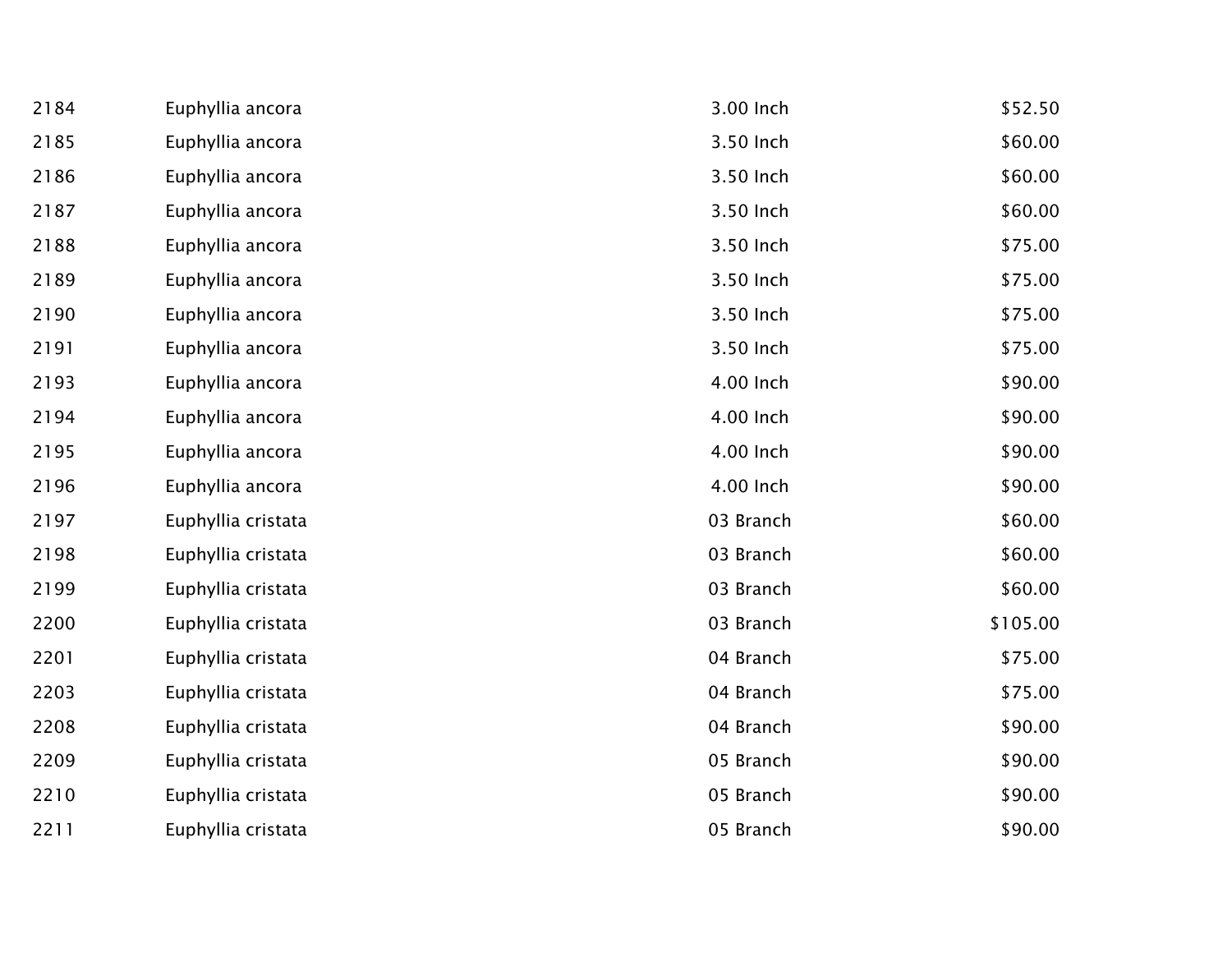| 2184 | Euphyllia ancora   | 3.00 Inch | \$52.50  |
|------|--------------------|-----------|----------|
| 2185 | Euphyllia ancora   | 3.50 Inch | \$60.00  |
| 2186 | Euphyllia ancora   | 3.50 Inch | \$60.00  |
| 2187 | Euphyllia ancora   | 3.50 Inch | \$60.00  |
| 2188 | Euphyllia ancora   | 3.50 Inch | \$75.00  |
| 2189 | Euphyllia ancora   | 3.50 Inch | \$75.00  |
| 2190 | Euphyllia ancora   | 3.50 Inch | \$75.00  |
| 2191 | Euphyllia ancora   | 3.50 Inch | \$75.00  |
| 2193 | Euphyllia ancora   | 4.00 Inch | \$90.00  |
| 2194 | Euphyllia ancora   | 4.00 Inch | \$90.00  |
| 2195 | Euphyllia ancora   | 4.00 Inch | \$90.00  |
| 2196 | Euphyllia ancora   | 4.00 Inch | \$90.00  |
| 2197 | Euphyllia cristata | 03 Branch | \$60.00  |
| 2198 | Euphyllia cristata | 03 Branch | \$60.00  |
| 2199 | Euphyllia cristata | 03 Branch | \$60.00  |
| 2200 | Euphyllia cristata | 03 Branch | \$105.00 |
| 2201 | Euphyllia cristata | 04 Branch | \$75.00  |
| 2203 | Euphyllia cristata | 04 Branch | \$75.00  |
| 2208 | Euphyllia cristata | 04 Branch | \$90.00  |
| 2209 | Euphyllia cristata | 05 Branch | \$90.00  |
| 2210 | Euphyllia cristata | 05 Branch | \$90.00  |
| 2211 | Euphyllia cristata | 05 Branch | \$90.00  |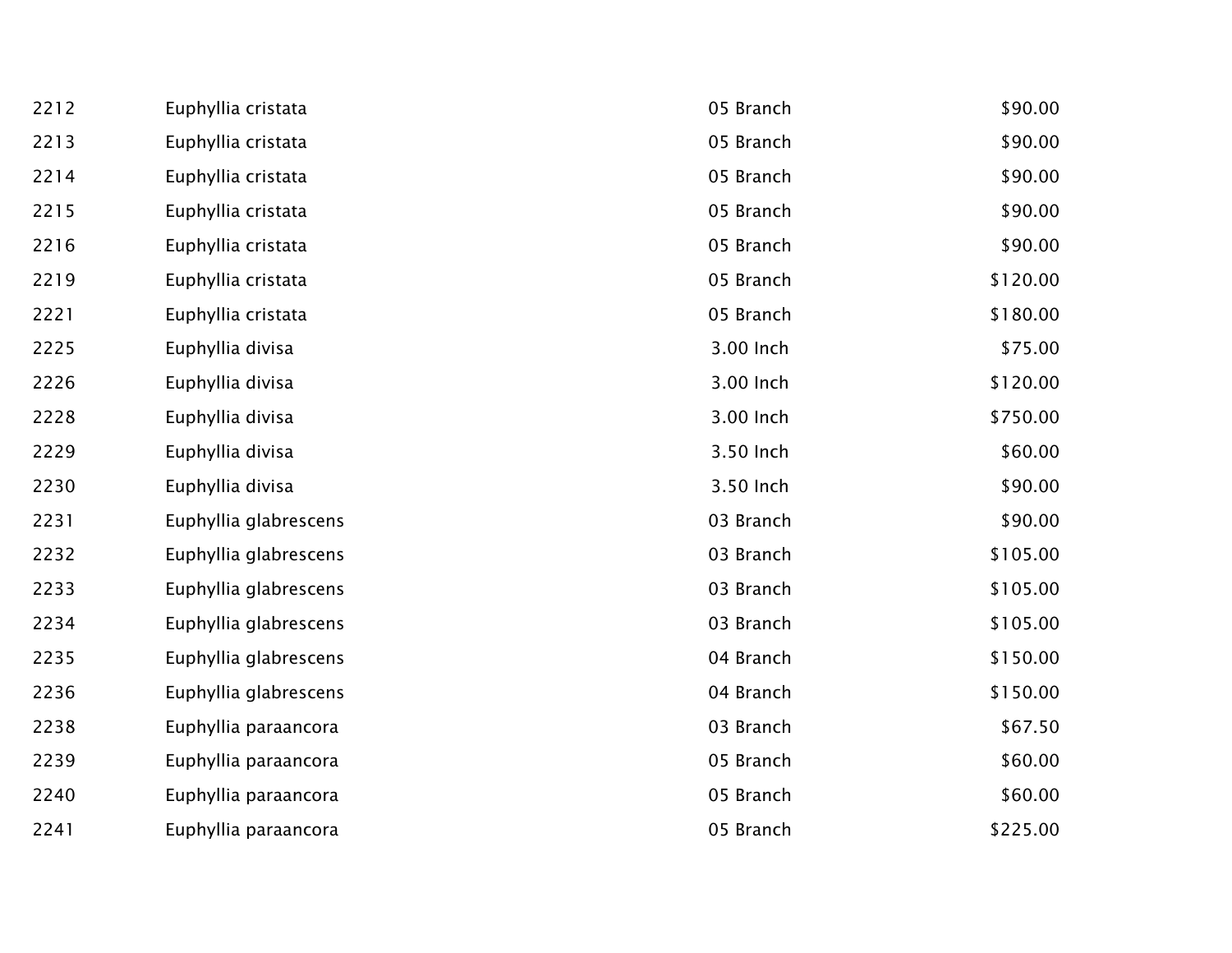| 2212 | Euphyllia cristata    | 05 Branch | \$90.00  |
|------|-----------------------|-----------|----------|
| 2213 | Euphyllia cristata    | 05 Branch | \$90.00  |
| 2214 | Euphyllia cristata    | 05 Branch | \$90.00  |
| 2215 | Euphyllia cristata    | 05 Branch | \$90.00  |
| 2216 | Euphyllia cristata    | 05 Branch | \$90.00  |
| 2219 | Euphyllia cristata    | 05 Branch | \$120.00 |
| 2221 | Euphyllia cristata    | 05 Branch | \$180.00 |
| 2225 | Euphyllia divisa      | 3.00 Inch | \$75.00  |
| 2226 | Euphyllia divisa      | 3.00 Inch | \$120.00 |
| 2228 | Euphyllia divisa      | 3.00 Inch | \$750.00 |
| 2229 | Euphyllia divisa      | 3.50 Inch | \$60.00  |
| 2230 | Euphyllia divisa      | 3.50 Inch | \$90.00  |
| 2231 | Euphyllia glabrescens | 03 Branch | \$90.00  |
| 2232 | Euphyllia glabrescens | 03 Branch | \$105.00 |
| 2233 | Euphyllia glabrescens | 03 Branch | \$105.00 |
| 2234 | Euphyllia glabrescens | 03 Branch | \$105.00 |
| 2235 | Euphyllia glabrescens | 04 Branch | \$150.00 |
| 2236 | Euphyllia glabrescens | 04 Branch | \$150.00 |
| 2238 | Euphyllia paraancora  | 03 Branch | \$67.50  |
| 2239 | Euphyllia paraancora  | 05 Branch | \$60.00  |
| 2240 | Euphyllia paraancora  | 05 Branch | \$60.00  |
| 2241 | Euphyllia paraancora  | 05 Branch | \$225.00 |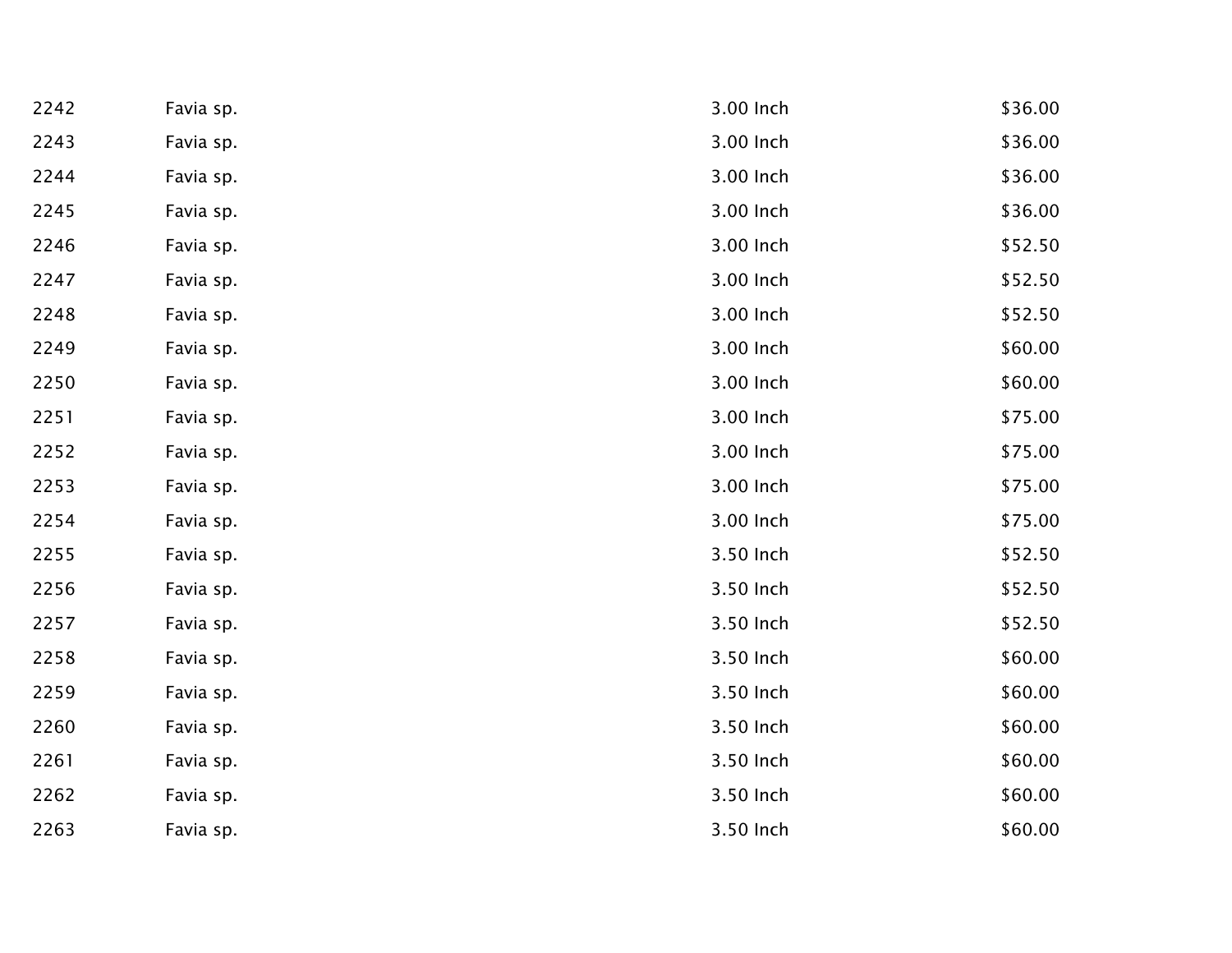| 2242 | Favia sp. | 3.00 Inch | \$36.00 |
|------|-----------|-----------|---------|
| 2243 | Favia sp. | 3.00 Inch | \$36.00 |
| 2244 | Favia sp. | 3.00 Inch | \$36.00 |
| 2245 | Favia sp. | 3.00 Inch | \$36.00 |
| 2246 | Favia sp. | 3.00 Inch | \$52.50 |
| 2247 | Favia sp. | 3.00 Inch | \$52.50 |
| 2248 | Favia sp. | 3.00 Inch | \$52.50 |
| 2249 | Favia sp. | 3.00 Inch | \$60.00 |
| 2250 | Favia sp. | 3.00 Inch | \$60.00 |
| 2251 | Favia sp. | 3.00 Inch | \$75.00 |
| 2252 | Favia sp. | 3.00 Inch | \$75.00 |
| 2253 | Favia sp. | 3.00 Inch | \$75.00 |
| 2254 | Favia sp. | 3.00 Inch | \$75.00 |
| 2255 | Favia sp. | 3.50 Inch | \$52.50 |
| 2256 | Favia sp. | 3.50 Inch | \$52.50 |
| 2257 | Favia sp. | 3.50 Inch | \$52.50 |
| 2258 | Favia sp. | 3.50 Inch | \$60.00 |
| 2259 | Favia sp. | 3.50 Inch | \$60.00 |
| 2260 | Favia sp. | 3.50 Inch | \$60.00 |
| 2261 | Favia sp. | 3.50 Inch | \$60.00 |
| 2262 | Favia sp. | 3.50 Inch | \$60.00 |
| 2263 | Favia sp. | 3.50 Inch | \$60.00 |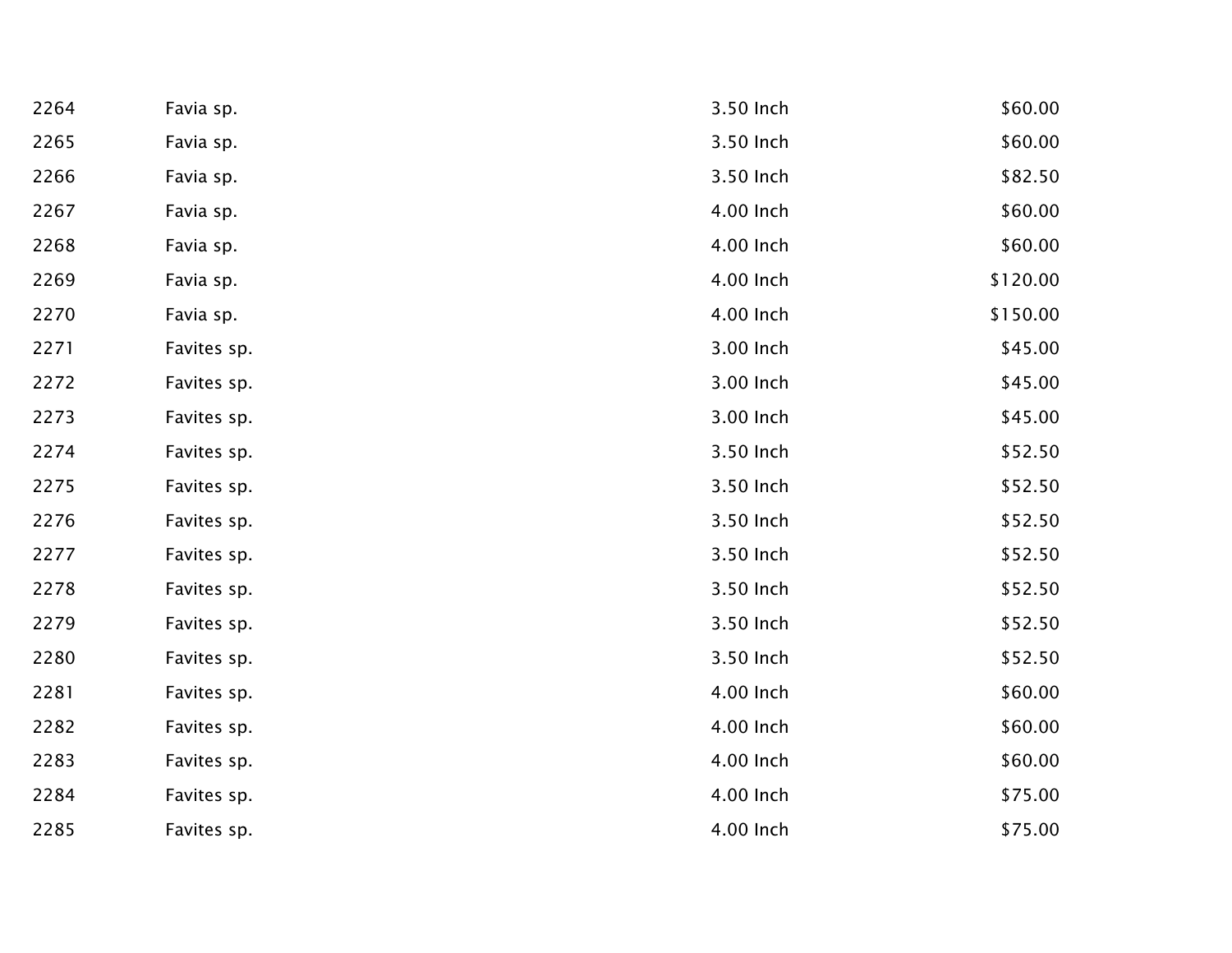| 2264 | Favia sp.   | 3.50 Inch | \$60.00  |
|------|-------------|-----------|----------|
| 2265 | Favia sp.   | 3.50 Inch | \$60.00  |
| 2266 | Favia sp.   | 3.50 Inch | \$82.50  |
| 2267 | Favia sp.   | 4.00 Inch | \$60.00  |
| 2268 | Favia sp.   | 4.00 Inch | \$60.00  |
| 2269 | Favia sp.   | 4.00 Inch | \$120.00 |
| 2270 | Favia sp.   | 4.00 Inch | \$150.00 |
| 2271 | Favites sp. | 3.00 Inch | \$45.00  |
| 2272 | Favites sp. | 3.00 Inch | \$45.00  |
| 2273 | Favites sp. | 3.00 Inch | \$45.00  |
| 2274 | Favites sp. | 3.50 Inch | \$52.50  |
| 2275 | Favites sp. | 3.50 Inch | \$52.50  |
| 2276 | Favites sp. | 3.50 Inch | \$52.50  |
| 2277 | Favites sp. | 3.50 Inch | \$52.50  |
| 2278 | Favites sp. | 3.50 Inch | \$52.50  |
| 2279 | Favites sp. | 3.50 Inch | \$52.50  |
| 2280 | Favites sp. | 3.50 Inch | \$52.50  |
| 2281 | Favites sp. | 4.00 Inch | \$60.00  |
| 2282 | Favites sp. | 4.00 Inch | \$60.00  |
| 2283 | Favites sp. | 4.00 Inch | \$60.00  |
| 2284 | Favites sp. | 4.00 Inch | \$75.00  |
| 2285 | Favites sp. | 4.00 Inch | \$75.00  |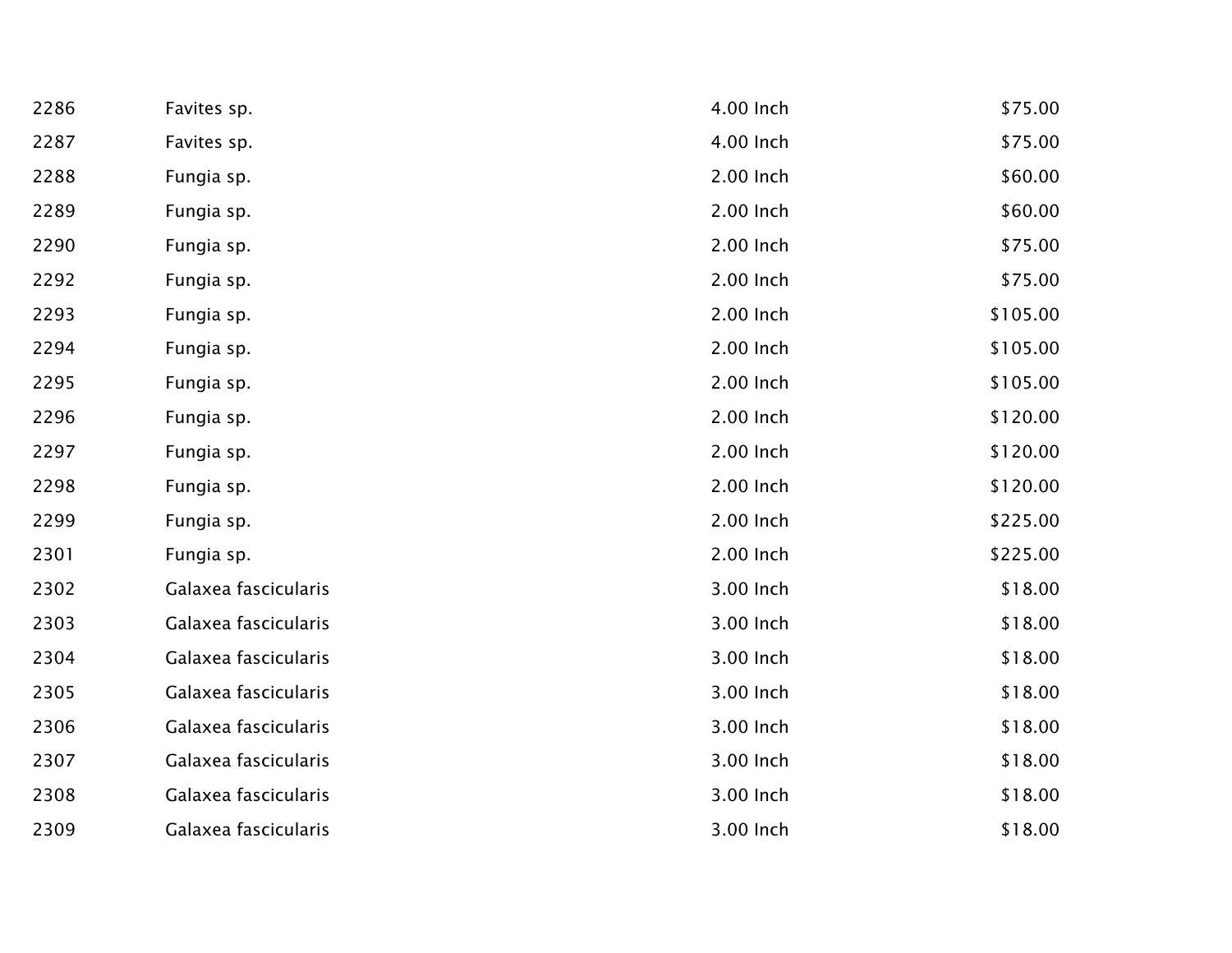| 2286 | Favites sp.          | 4.00 Inch | \$75.00  |
|------|----------------------|-----------|----------|
| 2287 | Favites sp.          | 4.00 Inch | \$75.00  |
| 2288 | Fungia sp.           | 2.00 Inch | \$60.00  |
| 2289 | Fungia sp.           | 2.00 Inch | \$60.00  |
| 2290 | Fungia sp.           | 2.00 Inch | \$75.00  |
| 2292 | Fungia sp.           | 2.00 Inch | \$75.00  |
| 2293 | Fungia sp.           | 2.00 Inch | \$105.00 |
| 2294 | Fungia sp.           | 2.00 Inch | \$105.00 |
| 2295 | Fungia sp.           | 2.00 Inch | \$105.00 |
| 2296 | Fungia sp.           | 2.00 Inch | \$120.00 |
| 2297 | Fungia sp.           | 2.00 Inch | \$120.00 |
| 2298 | Fungia sp.           | 2.00 Inch | \$120.00 |
| 2299 | Fungia sp.           | 2.00 Inch | \$225.00 |
| 2301 | Fungia sp.           | 2.00 Inch | \$225.00 |
| 2302 | Galaxea fascicularis | 3.00 Inch | \$18.00  |
| 2303 | Galaxea fascicularis | 3.00 Inch | \$18.00  |
| 2304 | Galaxea fascicularis | 3.00 Inch | \$18.00  |
| 2305 | Galaxea fascicularis | 3.00 Inch | \$18.00  |
| 2306 | Galaxea fascicularis | 3.00 Inch | \$18.00  |
| 2307 | Galaxea fascicularis | 3.00 Inch | \$18.00  |
| 2308 | Galaxea fascicularis | 3.00 Inch | \$18.00  |
| 2309 | Galaxea fascicularis | 3.00 Inch | \$18.00  |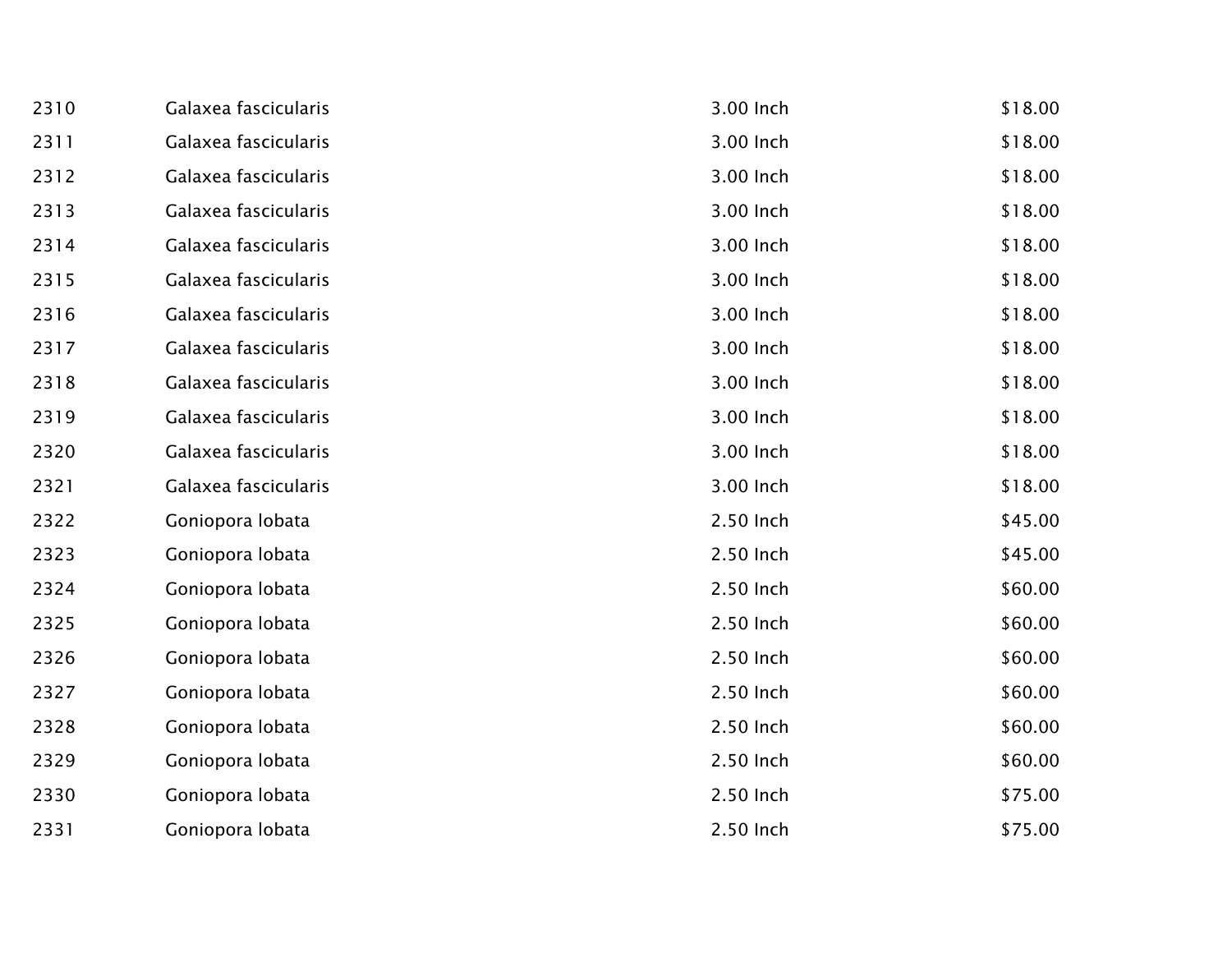| 2310 | Galaxea fascicularis | 3.00 Inch | \$18.00 |
|------|----------------------|-----------|---------|
| 2311 | Galaxea fascicularis | 3.00 Inch | \$18.00 |
| 2312 | Galaxea fascicularis | 3.00 Inch | \$18.00 |
| 2313 | Galaxea fascicularis | 3.00 Inch | \$18.00 |
| 2314 | Galaxea fascicularis | 3.00 Inch | \$18.00 |
| 2315 | Galaxea fascicularis | 3.00 Inch | \$18.00 |
| 2316 | Galaxea fascicularis | 3.00 Inch | \$18.00 |
| 2317 | Galaxea fascicularis | 3.00 Inch | \$18.00 |
| 2318 | Galaxea fascicularis | 3.00 Inch | \$18.00 |
| 2319 | Galaxea fascicularis | 3.00 Inch | \$18.00 |
| 2320 | Galaxea fascicularis | 3.00 Inch | \$18.00 |
| 2321 | Galaxea fascicularis | 3.00 Inch | \$18.00 |
| 2322 | Goniopora lobata     | 2.50 Inch | \$45.00 |
| 2323 | Goniopora lobata     | 2.50 Inch | \$45.00 |
| 2324 | Goniopora lobata     | 2.50 Inch | \$60.00 |
| 2325 | Goniopora lobata     | 2.50 Inch | \$60.00 |
| 2326 | Goniopora lobata     | 2.50 Inch | \$60.00 |
| 2327 | Goniopora lobata     | 2.50 Inch | \$60.00 |
| 2328 | Goniopora lobata     | 2.50 Inch | \$60.00 |
| 2329 | Goniopora lobata     | 2.50 Inch | \$60.00 |
| 2330 | Goniopora lobata     | 2.50 Inch | \$75.00 |
| 2331 | Goniopora lobata     | 2.50 Inch | \$75.00 |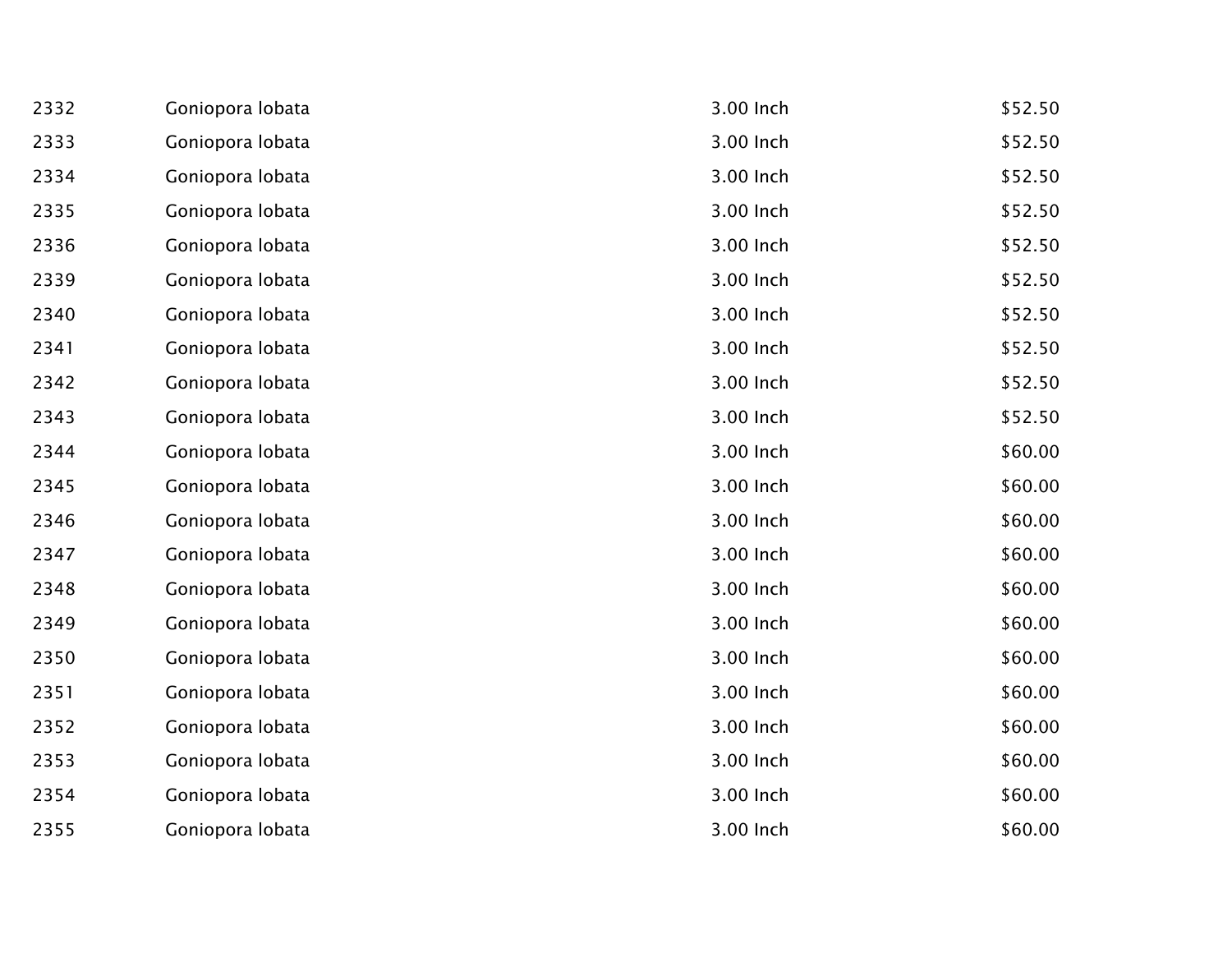| 2332 | Goniopora lobata | 3.00 Inch | \$52.50 |
|------|------------------|-----------|---------|
| 2333 | Goniopora lobata | 3.00 Inch | \$52.50 |
| 2334 | Goniopora lobata | 3.00 Inch | \$52.50 |
| 2335 | Goniopora lobata | 3.00 Inch | \$52.50 |
| 2336 | Goniopora lobata | 3.00 Inch | \$52.50 |
| 2339 | Goniopora lobata | 3.00 Inch | \$52.50 |
| 2340 | Goniopora lobata | 3.00 Inch | \$52.50 |
| 2341 | Goniopora lobata | 3.00 Inch | \$52.50 |
| 2342 | Goniopora lobata | 3.00 Inch | \$52.50 |
| 2343 | Goniopora lobata | 3.00 Inch | \$52.50 |
| 2344 | Goniopora lobata | 3.00 Inch | \$60.00 |
| 2345 | Goniopora lobata | 3.00 Inch | \$60.00 |
| 2346 | Goniopora lobata | 3.00 Inch | \$60.00 |
| 2347 | Goniopora lobata | 3.00 Inch | \$60.00 |
| 2348 | Goniopora lobata | 3.00 Inch | \$60.00 |
| 2349 | Goniopora lobata | 3.00 Inch | \$60.00 |
| 2350 | Goniopora lobata | 3.00 Inch | \$60.00 |
| 2351 | Goniopora lobata | 3.00 Inch | \$60.00 |
| 2352 | Goniopora lobata | 3.00 Inch | \$60.00 |
| 2353 | Goniopora lobata | 3.00 Inch | \$60.00 |
| 2354 | Goniopora lobata | 3.00 Inch | \$60.00 |
| 2355 | Goniopora lobata | 3.00 Inch | \$60.00 |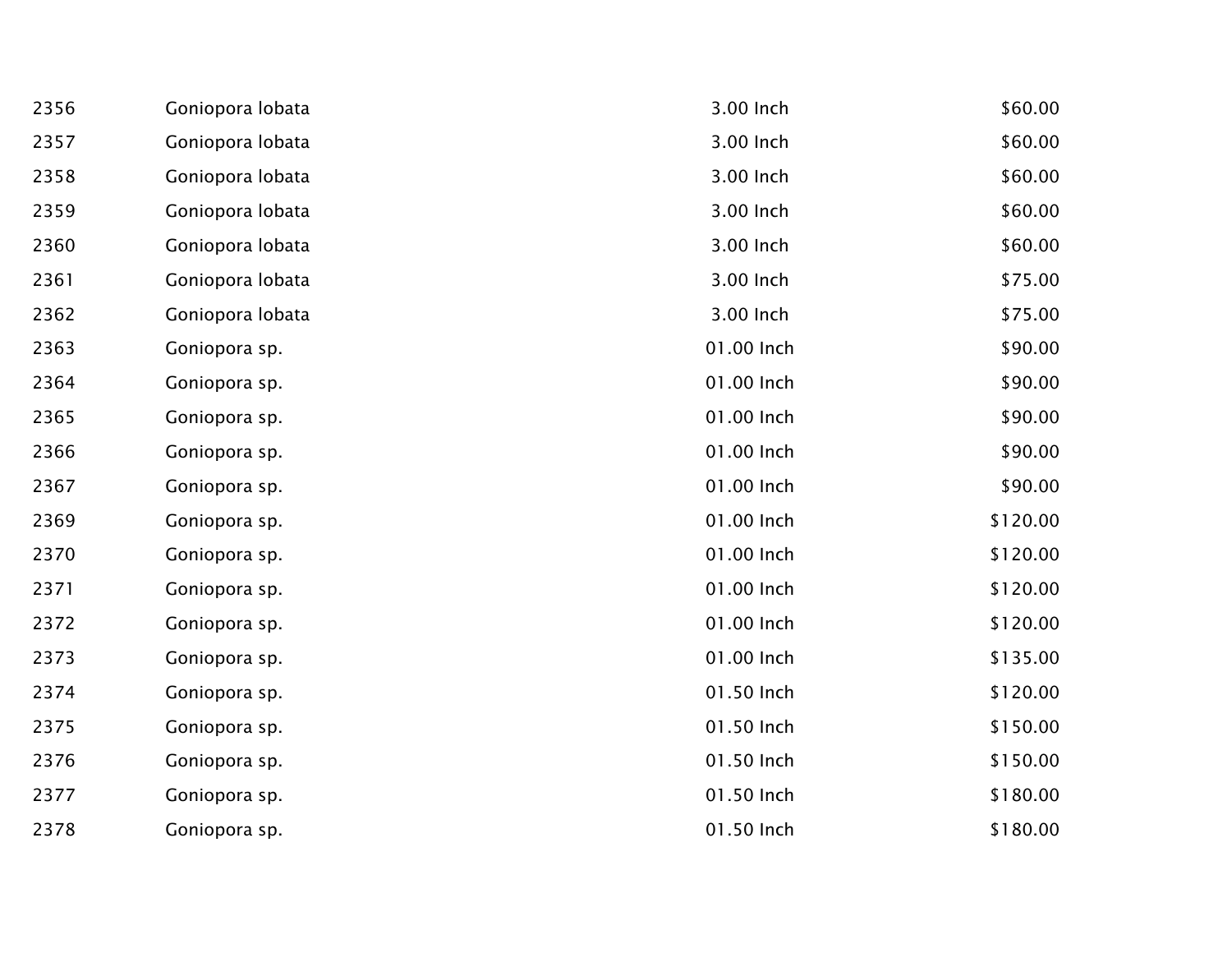| 2356 | Goniopora lobata | 3.00 Inch  | \$60.00  |
|------|------------------|------------|----------|
| 2357 | Goniopora lobata | 3.00 Inch  | \$60.00  |
| 2358 | Goniopora lobata | 3.00 Inch  | \$60.00  |
| 2359 | Goniopora lobata | 3.00 Inch  | \$60.00  |
| 2360 | Goniopora lobata | 3.00 Inch  | \$60.00  |
| 2361 | Goniopora lobata | 3.00 Inch  | \$75.00  |
| 2362 | Goniopora lobata | 3.00 Inch  | \$75.00  |
| 2363 | Goniopora sp.    | 01.00 Inch | \$90.00  |
| 2364 | Goniopora sp.    | 01.00 Inch | \$90.00  |
| 2365 | Goniopora sp.    | 01.00 Inch | \$90.00  |
| 2366 | Goniopora sp.    | 01.00 Inch | \$90.00  |
| 2367 | Goniopora sp.    | 01.00 Inch | \$90.00  |
| 2369 | Goniopora sp.    | 01.00 Inch | \$120.00 |
| 2370 | Goniopora sp.    | 01.00 Inch | \$120.00 |
| 2371 | Goniopora sp.    | 01.00 Inch | \$120.00 |
| 2372 | Goniopora sp.    | 01.00 Inch | \$120.00 |
| 2373 | Goniopora sp.    | 01.00 Inch | \$135.00 |
| 2374 | Goniopora sp.    | 01.50 Inch | \$120.00 |
| 2375 | Goniopora sp.    | 01.50 Inch | \$150.00 |
| 2376 | Goniopora sp.    | 01.50 Inch | \$150.00 |
| 2377 | Goniopora sp.    | 01.50 Inch | \$180.00 |
| 2378 | Goniopora sp.    | 01.50 Inch | \$180.00 |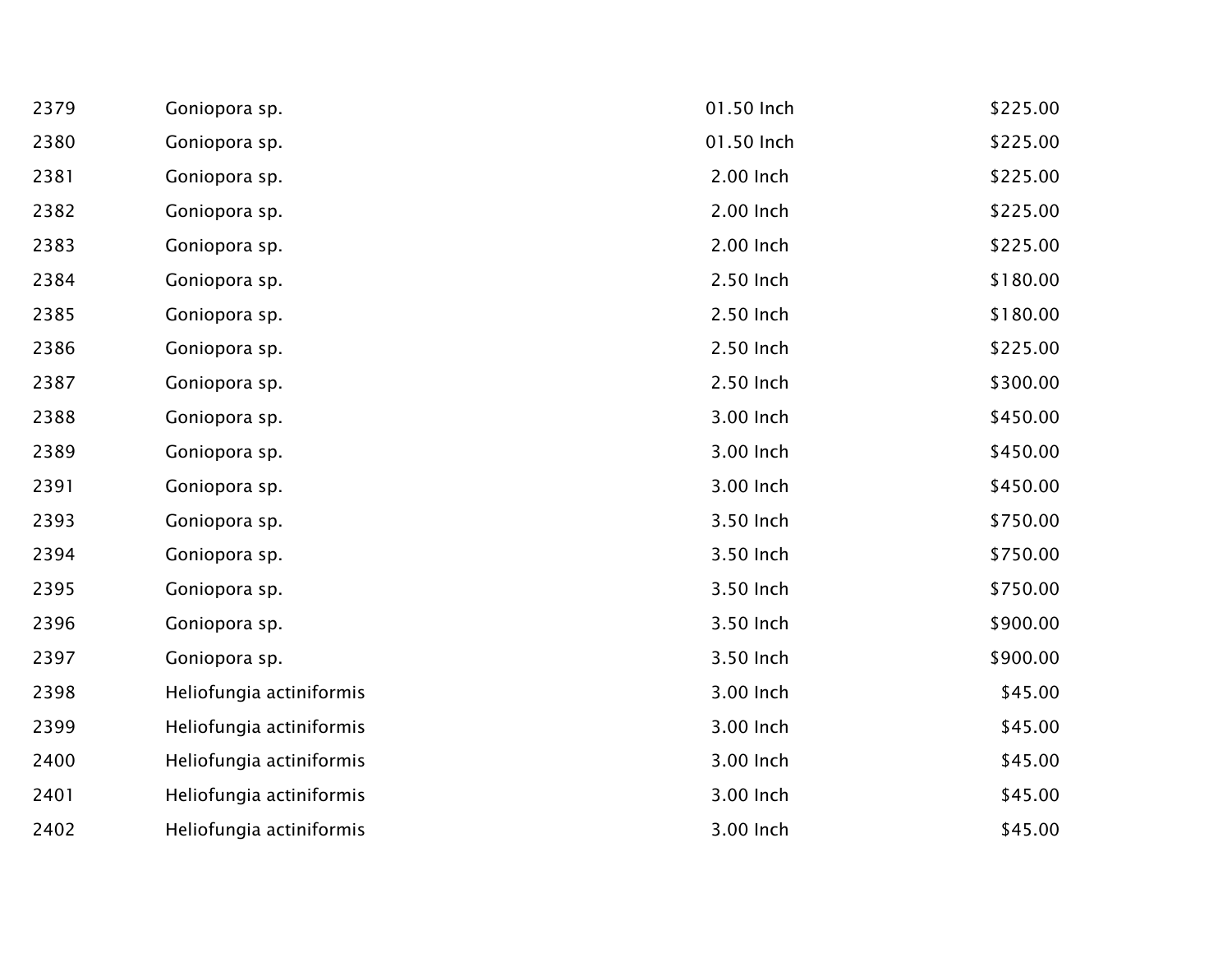| 2379 | Goniopora sp.            | 01.50 Inch | \$225.00 |
|------|--------------------------|------------|----------|
| 2380 | Goniopora sp.            | 01.50 Inch | \$225.00 |
| 2381 | Goniopora sp.            | 2.00 Inch  | \$225.00 |
| 2382 | Goniopora sp.            | 2.00 Inch  | \$225.00 |
| 2383 | Goniopora sp.            | 2.00 Inch  | \$225.00 |
| 2384 | Goniopora sp.            | 2.50 Inch  | \$180.00 |
| 2385 | Goniopora sp.            | 2.50 Inch  | \$180.00 |
| 2386 | Goniopora sp.            | 2.50 Inch  | \$225.00 |
| 2387 | Goniopora sp.            | 2.50 Inch  | \$300.00 |
| 2388 | Goniopora sp.            | 3.00 Inch  | \$450.00 |
| 2389 | Goniopora sp.            | 3.00 Inch  | \$450.00 |
| 2391 | Goniopora sp.            | 3.00 Inch  | \$450.00 |
| 2393 | Goniopora sp.            | 3.50 Inch  | \$750.00 |
| 2394 | Goniopora sp.            | 3.50 Inch  | \$750.00 |
| 2395 | Goniopora sp.            | 3.50 Inch  | \$750.00 |
| 2396 | Goniopora sp.            | 3.50 Inch  | \$900.00 |
| 2397 | Goniopora sp.            | 3.50 Inch  | \$900.00 |
| 2398 | Heliofungia actiniformis | 3.00 Inch  | \$45.00  |
| 2399 | Heliofungia actiniformis | 3.00 Inch  | \$45.00  |
| 2400 | Heliofungia actiniformis | 3.00 Inch  | \$45.00  |
| 2401 | Heliofungia actiniformis | 3.00 Inch  | \$45.00  |
| 2402 | Heliofungia actiniformis | 3.00 Inch  | \$45.00  |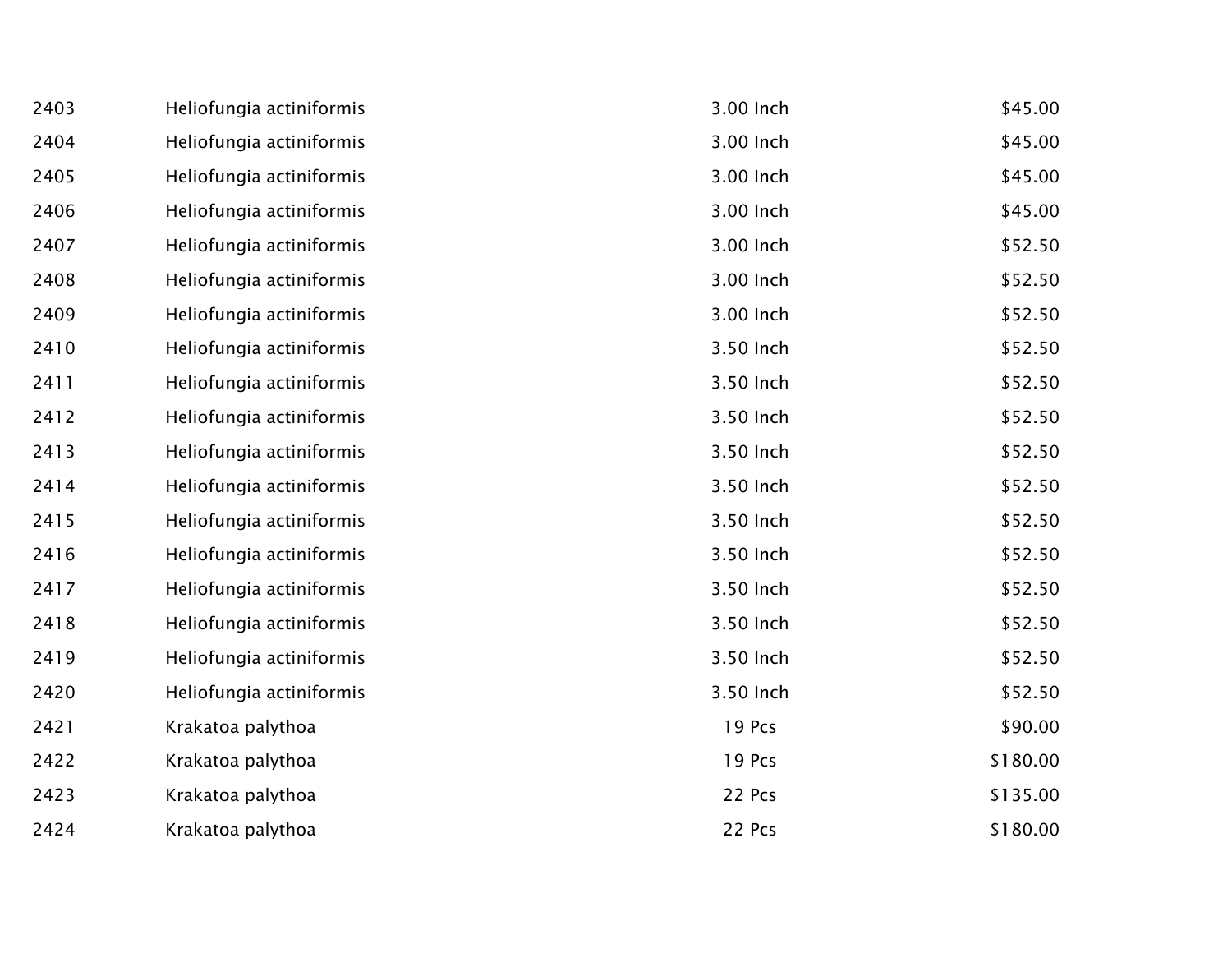| 2403 | Heliofungia actiniformis | 3.00 Inch | \$45.00  |
|------|--------------------------|-----------|----------|
| 2404 | Heliofungia actiniformis | 3.00 Inch | \$45.00  |
| 2405 | Heliofungia actiniformis | 3.00 Inch | \$45.00  |
| 2406 | Heliofungia actiniformis | 3.00 Inch | \$45.00  |
| 2407 | Heliofungia actiniformis | 3.00 Inch | \$52.50  |
| 2408 | Heliofungia actiniformis | 3.00 Inch | \$52.50  |
| 2409 | Heliofungia actiniformis | 3.00 Inch | \$52.50  |
| 2410 | Heliofungia actiniformis | 3.50 Inch | \$52.50  |
| 2411 | Heliofungia actiniformis | 3.50 Inch | \$52.50  |
| 2412 | Heliofungia actiniformis | 3.50 Inch | \$52.50  |
| 2413 | Heliofungia actiniformis | 3.50 Inch | \$52.50  |
| 2414 | Heliofungia actiniformis | 3.50 Inch | \$52.50  |
| 2415 | Heliofungia actiniformis | 3.50 Inch | \$52.50  |
| 2416 | Heliofungia actiniformis | 3.50 Inch | \$52.50  |
| 2417 | Heliofungia actiniformis | 3.50 Inch | \$52.50  |
| 2418 | Heliofungia actiniformis | 3.50 Inch | \$52.50  |
| 2419 | Heliofungia actiniformis | 3.50 Inch | \$52.50  |
| 2420 | Heliofungia actiniformis | 3.50 Inch | \$52.50  |
| 2421 | Krakatoa palythoa        | 19 Pcs    | \$90.00  |
| 2422 | Krakatoa palythoa        | 19 Pcs    | \$180.00 |
| 2423 | Krakatoa palythoa        | 22 Pcs    | \$135.00 |
| 2424 | Krakatoa palythoa        | 22 Pcs    | \$180.00 |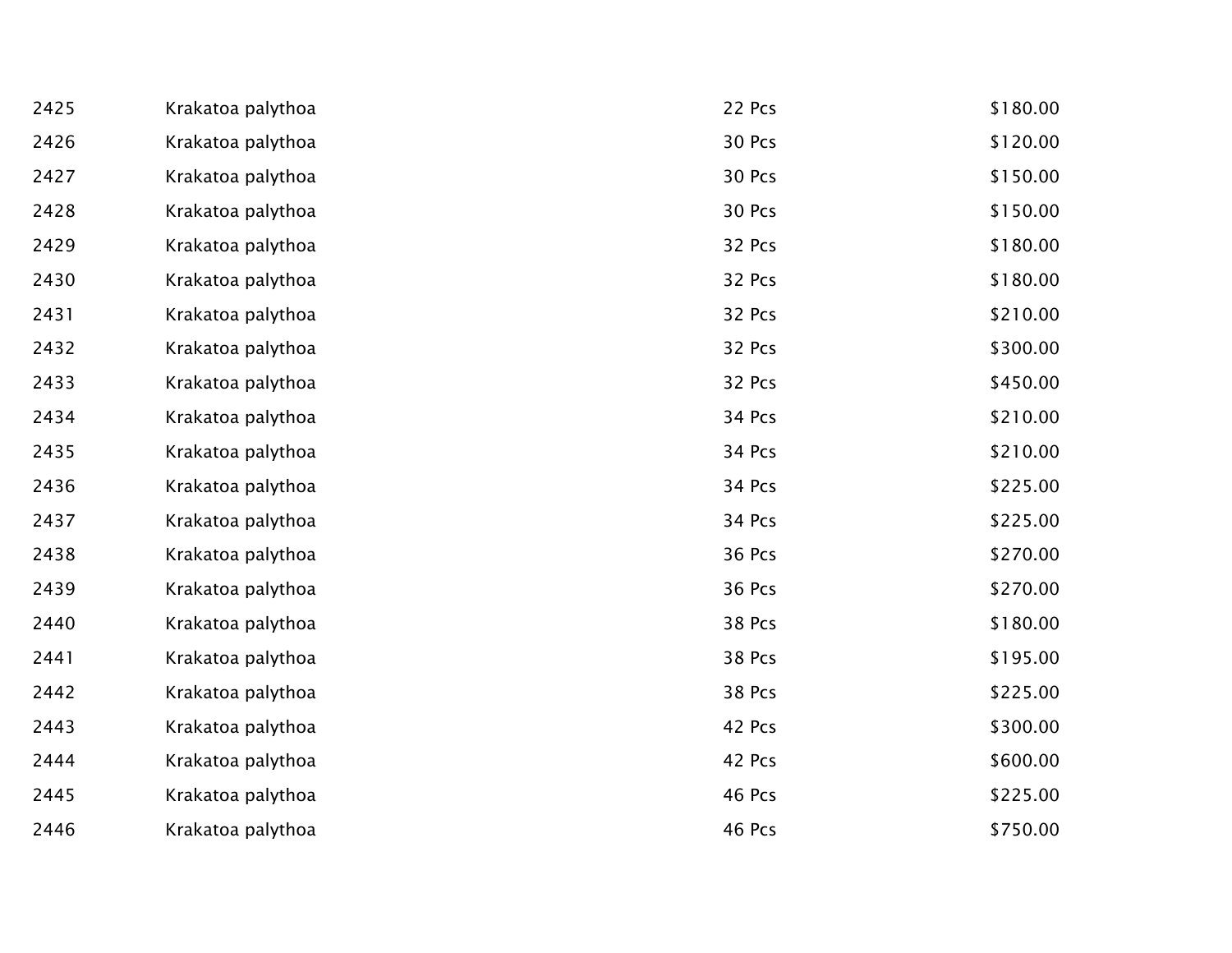| 2425 | Krakatoa palythoa | 22 Pcs | \$180.00 |
|------|-------------------|--------|----------|
| 2426 | Krakatoa palythoa | 30 Pcs | \$120.00 |
| 2427 | Krakatoa palythoa | 30 Pcs | \$150.00 |
| 2428 | Krakatoa palythoa | 30 Pcs | \$150.00 |
| 2429 | Krakatoa palythoa | 32 Pcs | \$180.00 |
| 2430 | Krakatoa palythoa | 32 Pcs | \$180.00 |
| 2431 | Krakatoa palythoa | 32 Pcs | \$210.00 |
| 2432 | Krakatoa palythoa | 32 Pcs | \$300.00 |
| 2433 | Krakatoa palythoa | 32 Pcs | \$450.00 |
| 2434 | Krakatoa palythoa | 34 Pcs | \$210.00 |
| 2435 | Krakatoa palythoa | 34 Pcs | \$210.00 |
| 2436 | Krakatoa palythoa | 34 Pcs | \$225.00 |
| 2437 | Krakatoa palythoa | 34 Pcs | \$225.00 |
| 2438 | Krakatoa palythoa | 36 Pcs | \$270.00 |
| 2439 | Krakatoa palythoa | 36 Pcs | \$270.00 |
| 2440 | Krakatoa palythoa | 38 Pcs | \$180.00 |
| 2441 | Krakatoa palythoa | 38 Pcs | \$195.00 |
| 2442 | Krakatoa palythoa | 38 Pcs | \$225.00 |
| 2443 | Krakatoa palythoa | 42 Pcs | \$300.00 |
| 2444 | Krakatoa palythoa | 42 Pcs | \$600.00 |
| 2445 | Krakatoa palythoa | 46 Pcs | \$225.00 |
| 2446 | Krakatoa palythoa | 46 Pcs | \$750.00 |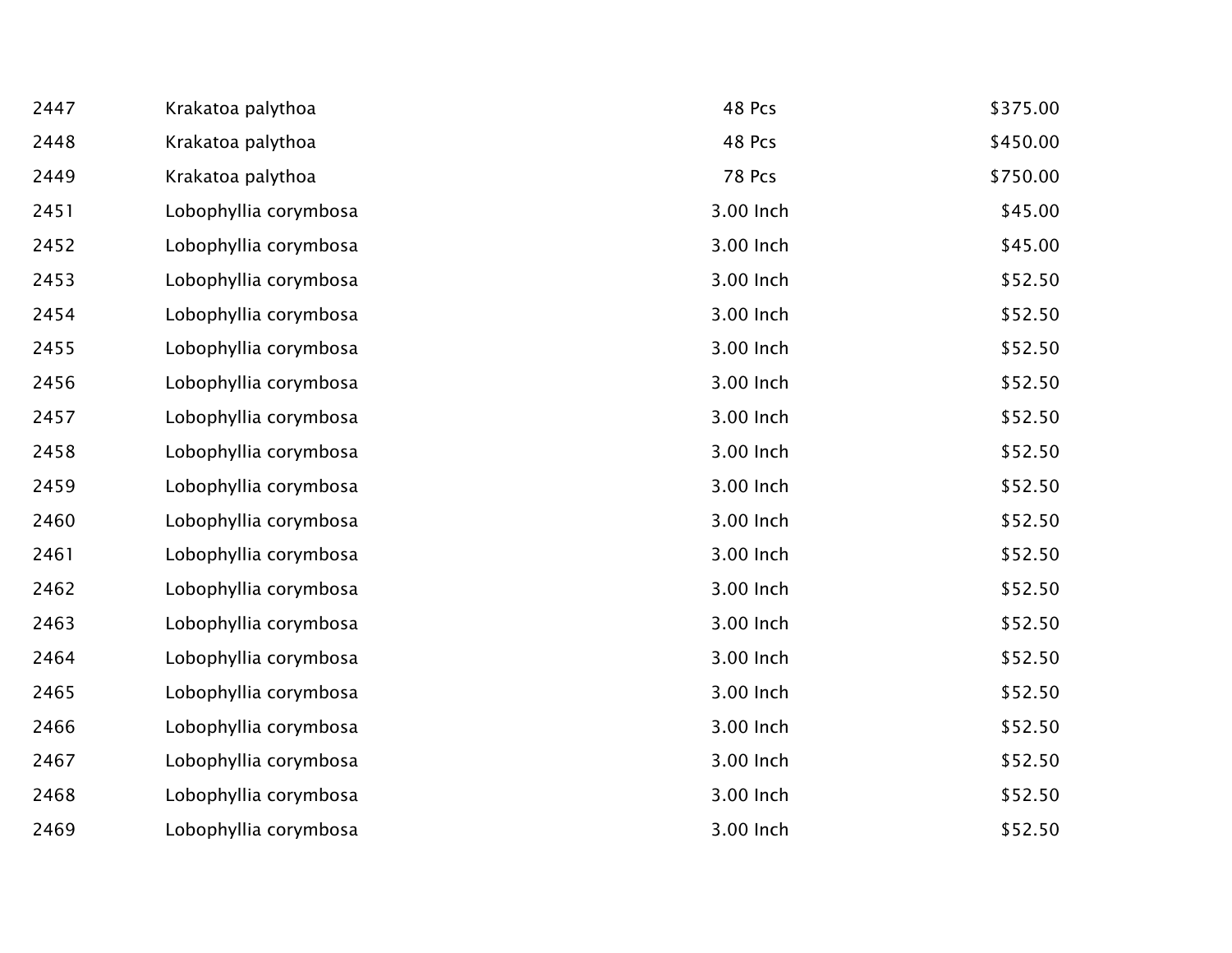| 2447 | Krakatoa palythoa     | 48 Pcs        | \$375.00 |
|------|-----------------------|---------------|----------|
| 2448 | Krakatoa palythoa     | 48 Pcs        | \$450.00 |
| 2449 | Krakatoa palythoa     | <b>78 Pcs</b> | \$750.00 |
| 2451 | Lobophyllia corymbosa | 3.00 Inch     | \$45.00  |
| 2452 | Lobophyllia corymbosa | 3.00 Inch     | \$45.00  |
| 2453 | Lobophyllia corymbosa | 3.00 Inch     | \$52.50  |
| 2454 | Lobophyllia corymbosa | 3.00 Inch     | \$52.50  |
| 2455 | Lobophyllia corymbosa | 3.00 Inch     | \$52.50  |
| 2456 | Lobophyllia corymbosa | 3.00 Inch     | \$52.50  |
| 2457 | Lobophyllia corymbosa | 3.00 Inch     | \$52.50  |
| 2458 | Lobophyllia corymbosa | 3.00 Inch     | \$52.50  |
| 2459 | Lobophyllia corymbosa | 3.00 Inch     | \$52.50  |
| 2460 | Lobophyllia corymbosa | 3.00 Inch     | \$52.50  |
| 2461 | Lobophyllia corymbosa | 3.00 Inch     | \$52.50  |
| 2462 | Lobophyllia corymbosa | 3.00 Inch     | \$52.50  |
| 2463 | Lobophyllia corymbosa | 3.00 Inch     | \$52.50  |
| 2464 | Lobophyllia corymbosa | 3.00 Inch     | \$52.50  |
| 2465 | Lobophyllia corymbosa | 3.00 Inch     | \$52.50  |
| 2466 | Lobophyllia corymbosa | 3.00 Inch     | \$52.50  |
| 2467 | Lobophyllia corymbosa | 3.00 Inch     | \$52.50  |
| 2468 | Lobophyllia corymbosa | 3.00 Inch     | \$52.50  |
| 2469 | Lobophyllia corymbosa | 3.00 Inch     | \$52.50  |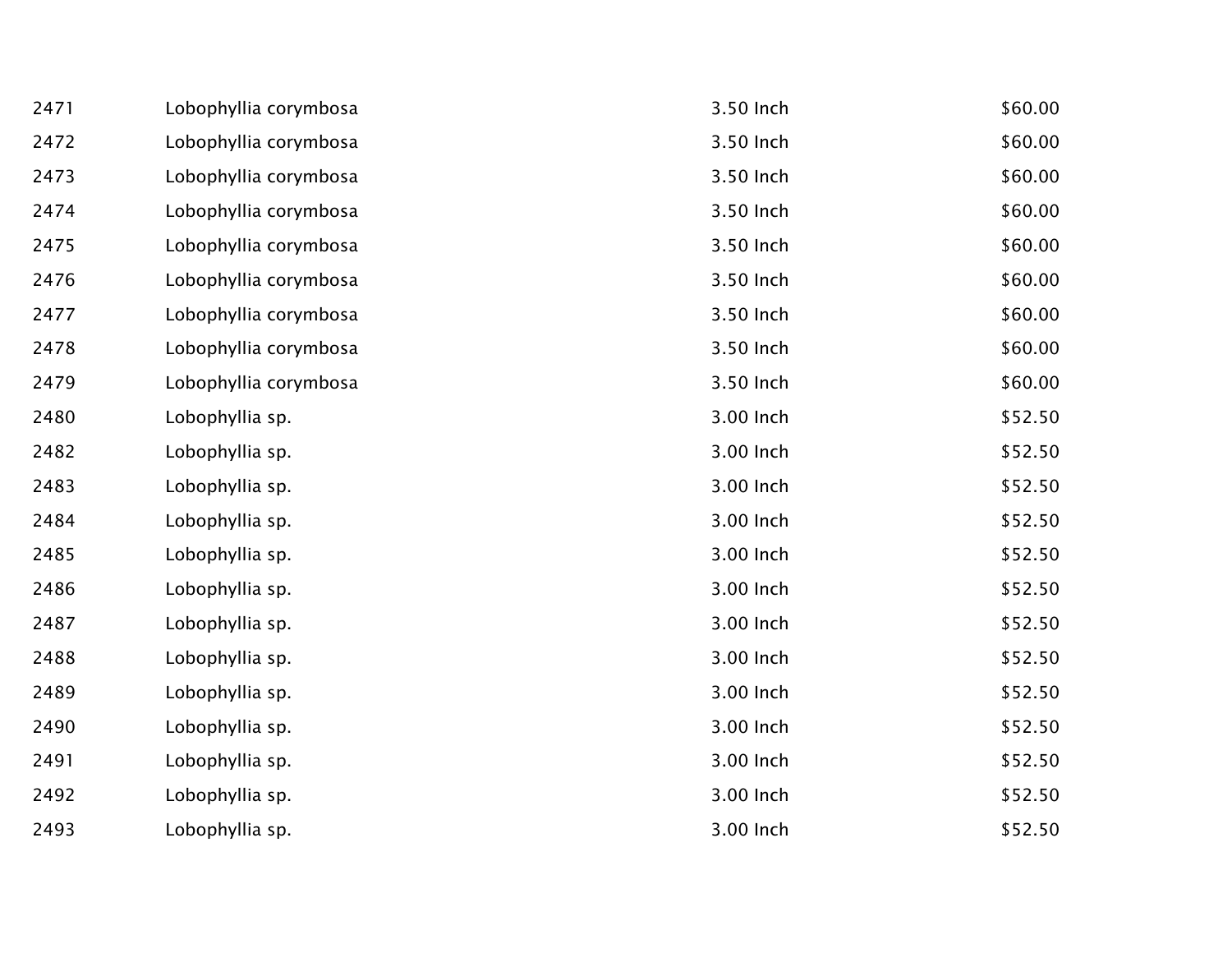| 2471 | Lobophyllia corymbosa | 3.50 Inch | \$60.00 |
|------|-----------------------|-----------|---------|
| 2472 | Lobophyllia corymbosa | 3.50 Inch | \$60.00 |
| 2473 | Lobophyllia corymbosa | 3.50 Inch | \$60.00 |
| 2474 | Lobophyllia corymbosa | 3.50 Inch | \$60.00 |
| 2475 | Lobophyllia corymbosa | 3.50 Inch | \$60.00 |
| 2476 | Lobophyllia corymbosa | 3.50 Inch | \$60.00 |
| 2477 | Lobophyllia corymbosa | 3.50 Inch | \$60.00 |
| 2478 | Lobophyllia corymbosa | 3.50 Inch | \$60.00 |
| 2479 | Lobophyllia corymbosa | 3.50 Inch | \$60.00 |
| 2480 | Lobophyllia sp.       | 3.00 Inch | \$52.50 |
| 2482 | Lobophyllia sp.       | 3.00 Inch | \$52.50 |
| 2483 | Lobophyllia sp.       | 3.00 Inch | \$52.50 |
| 2484 | Lobophyllia sp.       | 3.00 Inch | \$52.50 |
| 2485 | Lobophyllia sp.       | 3.00 Inch | \$52.50 |
| 2486 | Lobophyllia sp.       | 3.00 Inch | \$52.50 |
| 2487 | Lobophyllia sp.       | 3.00 Inch | \$52.50 |
| 2488 | Lobophyllia sp.       | 3.00 Inch | \$52.50 |
| 2489 | Lobophyllia sp.       | 3.00 Inch | \$52.50 |
| 2490 | Lobophyllia sp.       | 3.00 Inch | \$52.50 |
| 2491 | Lobophyllia sp.       | 3.00 Inch | \$52.50 |
| 2492 | Lobophyllia sp.       | 3.00 Inch | \$52.50 |
| 2493 | Lobophyllia sp.       | 3.00 Inch | \$52.50 |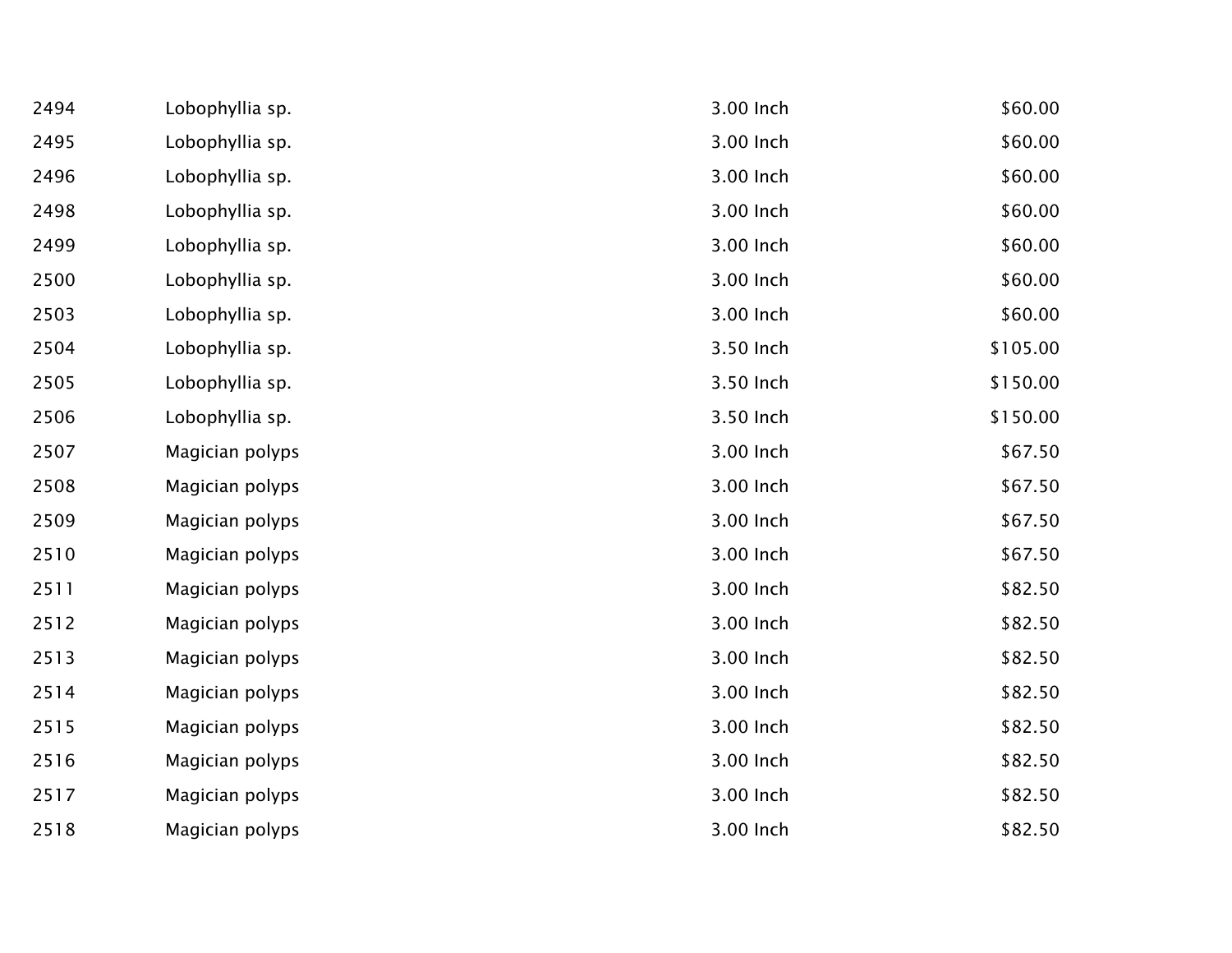| 2494 | Lobophyllia sp. | 3.00 Inch | \$60.00  |
|------|-----------------|-----------|----------|
| 2495 | Lobophyllia sp. | 3.00 Inch | \$60.00  |
| 2496 | Lobophyllia sp. | 3.00 Inch | \$60.00  |
| 2498 | Lobophyllia sp. | 3.00 Inch | \$60.00  |
| 2499 | Lobophyllia sp. | 3.00 Inch | \$60.00  |
| 2500 | Lobophyllia sp. | 3.00 Inch | \$60.00  |
| 2503 | Lobophyllia sp. | 3.00 Inch | \$60.00  |
| 2504 | Lobophyllia sp. | 3.50 Inch | \$105.00 |
| 2505 | Lobophyllia sp. | 3.50 Inch | \$150.00 |
| 2506 | Lobophyllia sp. | 3.50 Inch | \$150.00 |
| 2507 | Magician polyps | 3.00 Inch | \$67.50  |
| 2508 | Magician polyps | 3.00 Inch | \$67.50  |
| 2509 | Magician polyps | 3.00 Inch | \$67.50  |
| 2510 | Magician polyps | 3.00 Inch | \$67.50  |
| 2511 | Magician polyps | 3.00 Inch | \$82.50  |
| 2512 | Magician polyps | 3.00 Inch | \$82.50  |
| 2513 | Magician polyps | 3.00 Inch | \$82.50  |
| 2514 | Magician polyps | 3.00 Inch | \$82.50  |
| 2515 | Magician polyps | 3.00 Inch | \$82.50  |
| 2516 | Magician polyps | 3.00 Inch | \$82.50  |
| 2517 | Magician polyps | 3.00 Inch | \$82.50  |
| 2518 | Magician polyps | 3.00 Inch | \$82.50  |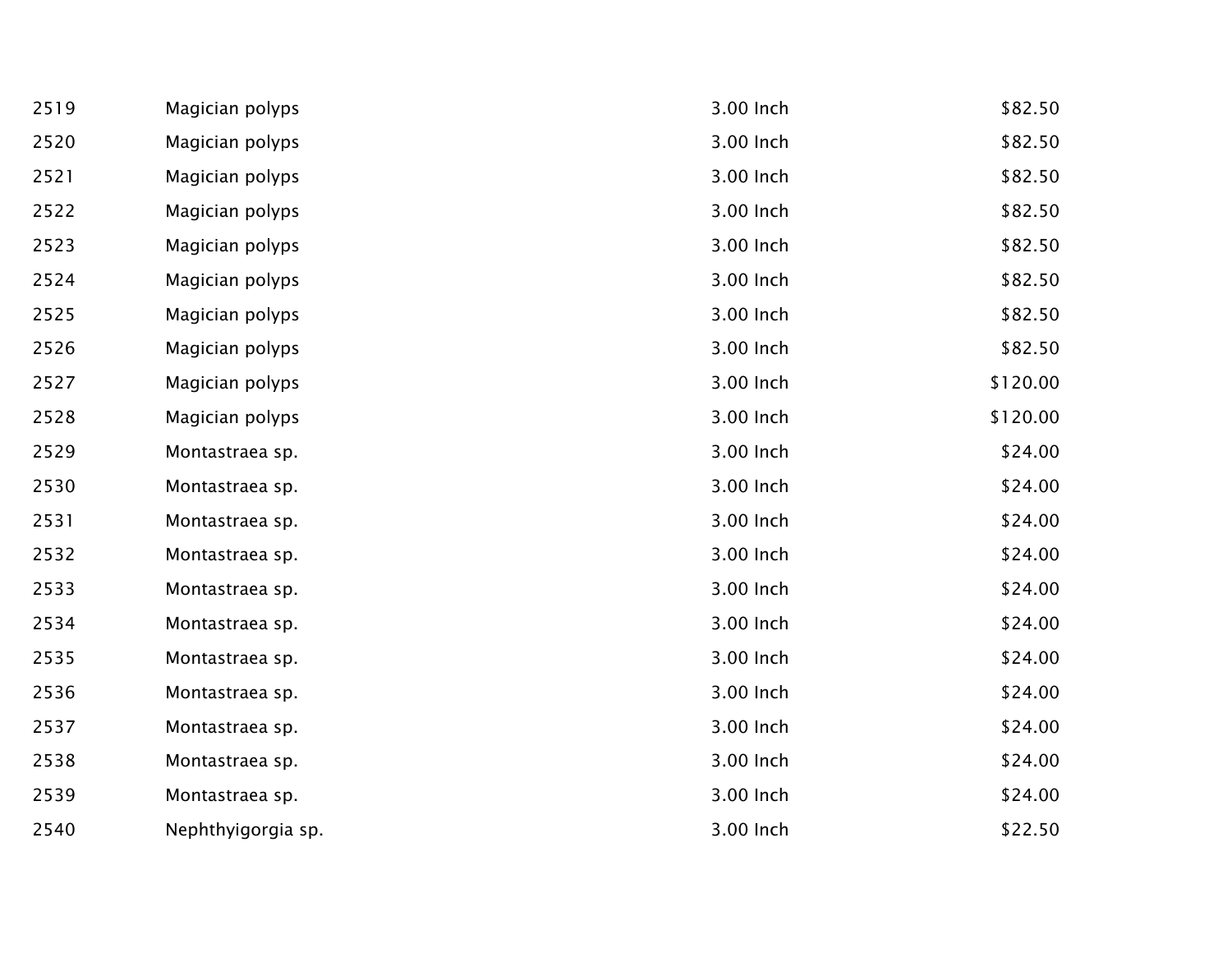| 2519 | Magician polyps    | 3.00 Inch | \$82.50  |
|------|--------------------|-----------|----------|
| 2520 | Magician polyps    | 3.00 Inch | \$82.50  |
| 2521 | Magician polyps    | 3.00 Inch | \$82.50  |
| 2522 | Magician polyps    | 3.00 Inch | \$82.50  |
| 2523 | Magician polyps    | 3.00 Inch | \$82.50  |
| 2524 | Magician polyps    | 3.00 Inch | \$82.50  |
| 2525 | Magician polyps    | 3.00 Inch | \$82.50  |
| 2526 | Magician polyps    | 3.00 Inch | \$82.50  |
| 2527 | Magician polyps    | 3.00 Inch | \$120.00 |
| 2528 | Magician polyps    | 3.00 Inch | \$120.00 |
| 2529 | Montastraea sp.    | 3.00 Inch | \$24.00  |
| 2530 | Montastraea sp.    | 3.00 Inch | \$24.00  |
| 2531 | Montastraea sp.    | 3.00 Inch | \$24.00  |
| 2532 | Montastraea sp.    | 3.00 Inch | \$24.00  |
| 2533 | Montastraea sp.    | 3.00 Inch | \$24.00  |
| 2534 | Montastraea sp.    | 3.00 Inch | \$24.00  |
| 2535 | Montastraea sp.    | 3.00 Inch | \$24.00  |
| 2536 | Montastraea sp.    | 3.00 Inch | \$24.00  |
| 2537 | Montastraea sp.    | 3.00 Inch | \$24.00  |
| 2538 | Montastraea sp.    | 3.00 Inch | \$24.00  |
| 2539 | Montastraea sp.    | 3.00 Inch | \$24.00  |
| 2540 | Nephthyigorgia sp. | 3.00 Inch | \$22.50  |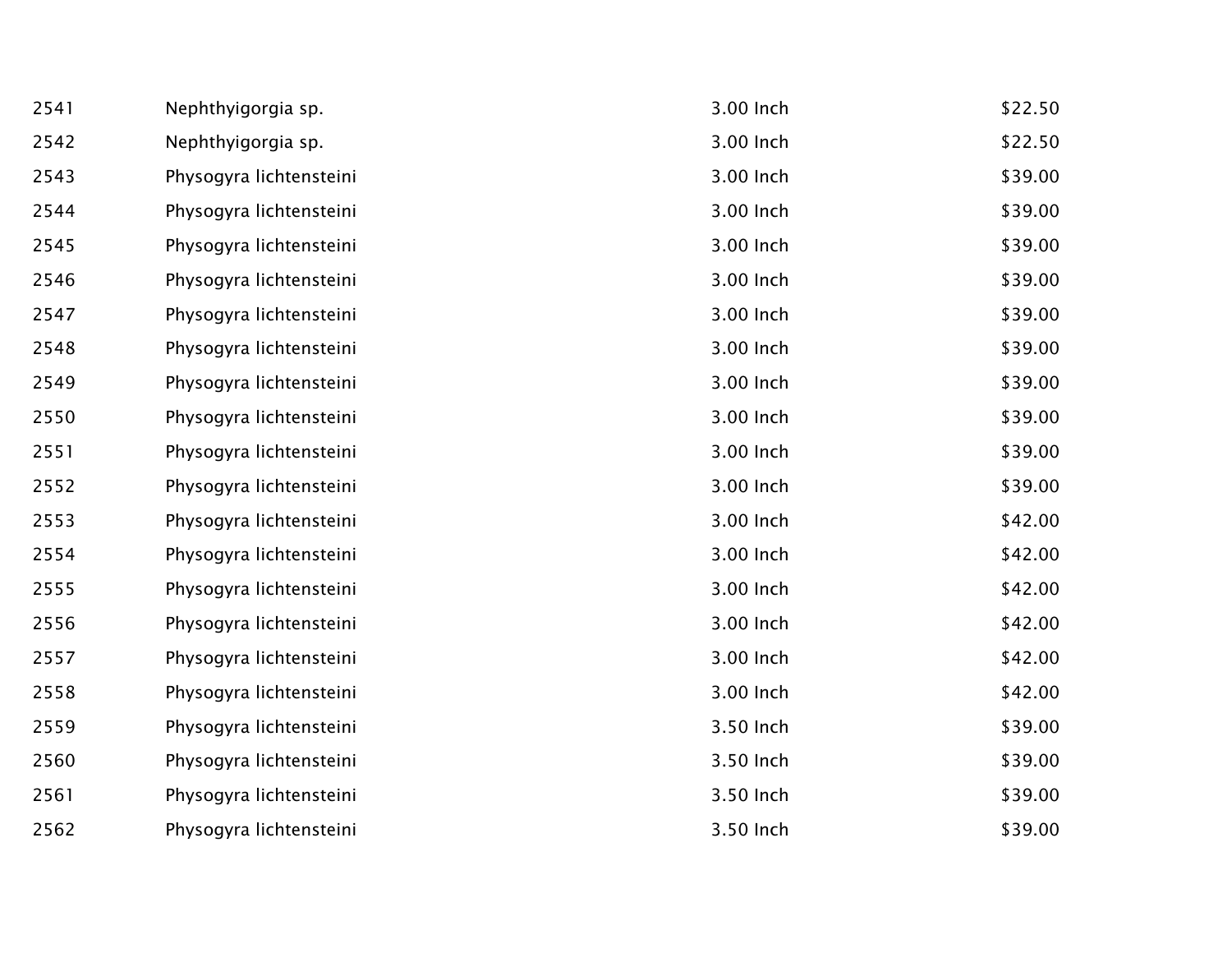| 2541 | Nephthyigorgia sp.      | 3.00 Inch | \$22.50 |
|------|-------------------------|-----------|---------|
| 2542 | Nephthyigorgia sp.      | 3.00 Inch | \$22.50 |
| 2543 | Physogyra lichtensteini | 3.00 Inch | \$39.00 |
| 2544 | Physogyra lichtensteini | 3.00 Inch | \$39.00 |
| 2545 | Physogyra lichtensteini | 3.00 Inch | \$39.00 |
| 2546 | Physogyra lichtensteini | 3.00 Inch | \$39.00 |
| 2547 | Physogyra lichtensteini | 3.00 Inch | \$39.00 |
| 2548 | Physogyra lichtensteini | 3.00 Inch | \$39.00 |
| 2549 | Physogyra lichtensteini | 3.00 Inch | \$39.00 |
| 2550 | Physogyra lichtensteini | 3.00 Inch | \$39.00 |
| 2551 | Physogyra lichtensteini | 3.00 Inch | \$39.00 |
| 2552 | Physogyra lichtensteini | 3.00 Inch | \$39.00 |
| 2553 | Physogyra lichtensteini | 3.00 Inch | \$42.00 |
| 2554 | Physogyra lichtensteini | 3.00 Inch | \$42.00 |
| 2555 | Physogyra lichtensteini | 3.00 Inch | \$42.00 |
| 2556 | Physogyra lichtensteini | 3.00 Inch | \$42.00 |
| 2557 | Physogyra lichtensteini | 3.00 Inch | \$42.00 |
| 2558 | Physogyra lichtensteini | 3.00 Inch | \$42.00 |
| 2559 | Physogyra lichtensteini | 3.50 Inch | \$39.00 |
| 2560 | Physogyra lichtensteini | 3.50 Inch | \$39.00 |
| 2561 | Physogyra lichtensteini | 3.50 Inch | \$39.00 |
| 2562 | Physogyra lichtensteini | 3.50 Inch | \$39.00 |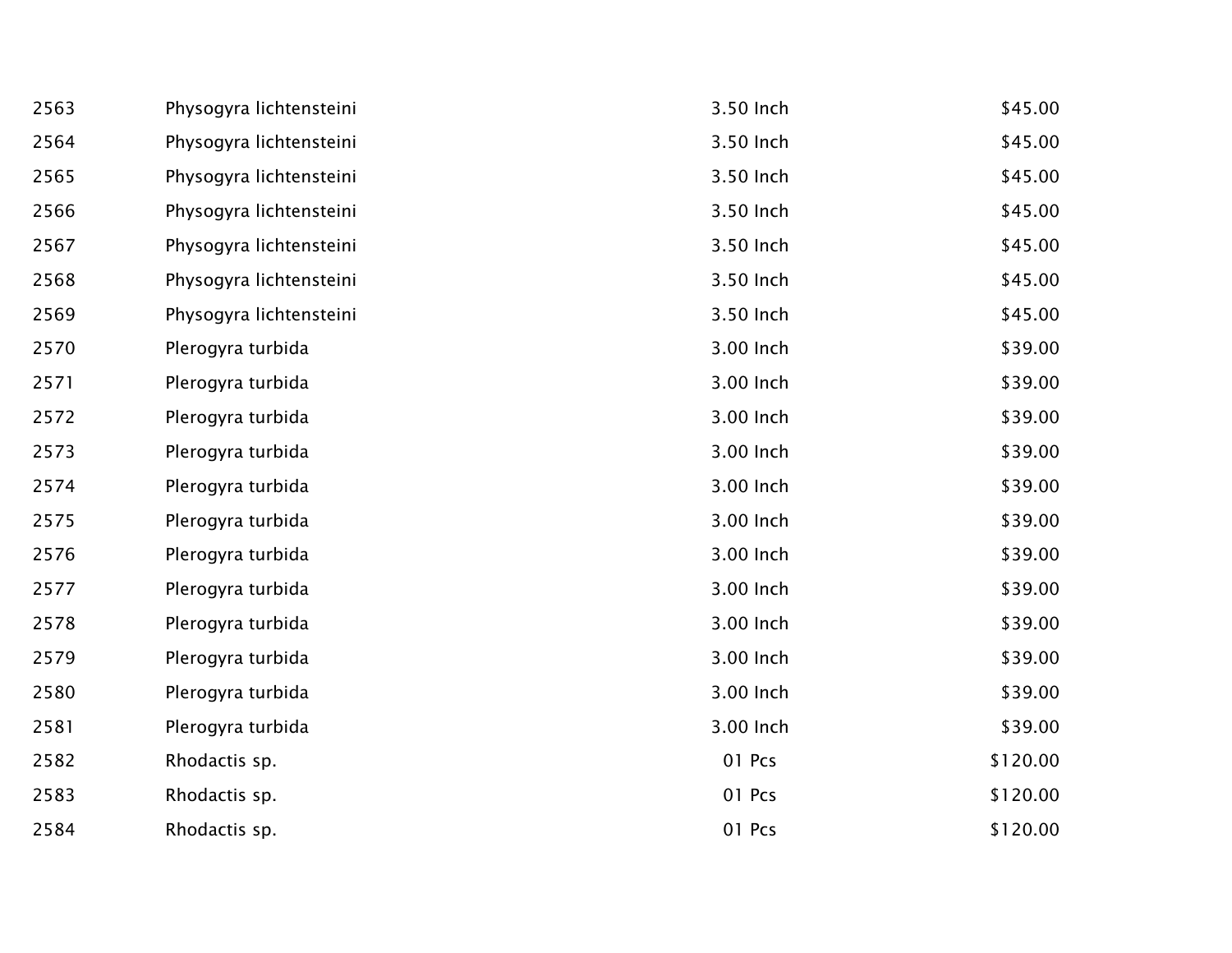| 2563 | Physogyra lichtensteini | 3.50 Inch | \$45.00  |
|------|-------------------------|-----------|----------|
| 2564 | Physogyra lichtensteini | 3.50 Inch | \$45.00  |
| 2565 | Physogyra lichtensteini | 3.50 Inch | \$45.00  |
| 2566 | Physogyra lichtensteini | 3.50 Inch | \$45.00  |
| 2567 | Physogyra lichtensteini | 3.50 Inch | \$45.00  |
| 2568 | Physogyra lichtensteini | 3.50 Inch | \$45.00  |
| 2569 | Physogyra lichtensteini | 3.50 Inch | \$45.00  |
| 2570 | Plerogyra turbida       | 3.00 Inch | \$39.00  |
| 2571 | Plerogyra turbida       | 3.00 Inch | \$39.00  |
| 2572 | Plerogyra turbida       | 3.00 Inch | \$39.00  |
| 2573 | Plerogyra turbida       | 3.00 Inch | \$39.00  |
| 2574 | Plerogyra turbida       | 3.00 Inch | \$39.00  |
| 2575 | Plerogyra turbida       | 3.00 Inch | \$39.00  |
| 2576 | Plerogyra turbida       | 3.00 Inch | \$39.00  |
| 2577 | Plerogyra turbida       | 3.00 Inch | \$39.00  |
| 2578 | Plerogyra turbida       | 3.00 Inch | \$39.00  |
| 2579 | Plerogyra turbida       | 3.00 Inch | \$39.00  |
| 2580 | Plerogyra turbida       | 3.00 Inch | \$39.00  |
| 2581 | Plerogyra turbida       | 3.00 Inch | \$39.00  |
| 2582 | Rhodactis sp.           | 01 Pcs    | \$120.00 |
| 2583 | Rhodactis sp.           | 01 Pcs    | \$120.00 |
| 2584 | Rhodactis sp.           | 01 Pcs    | \$120.00 |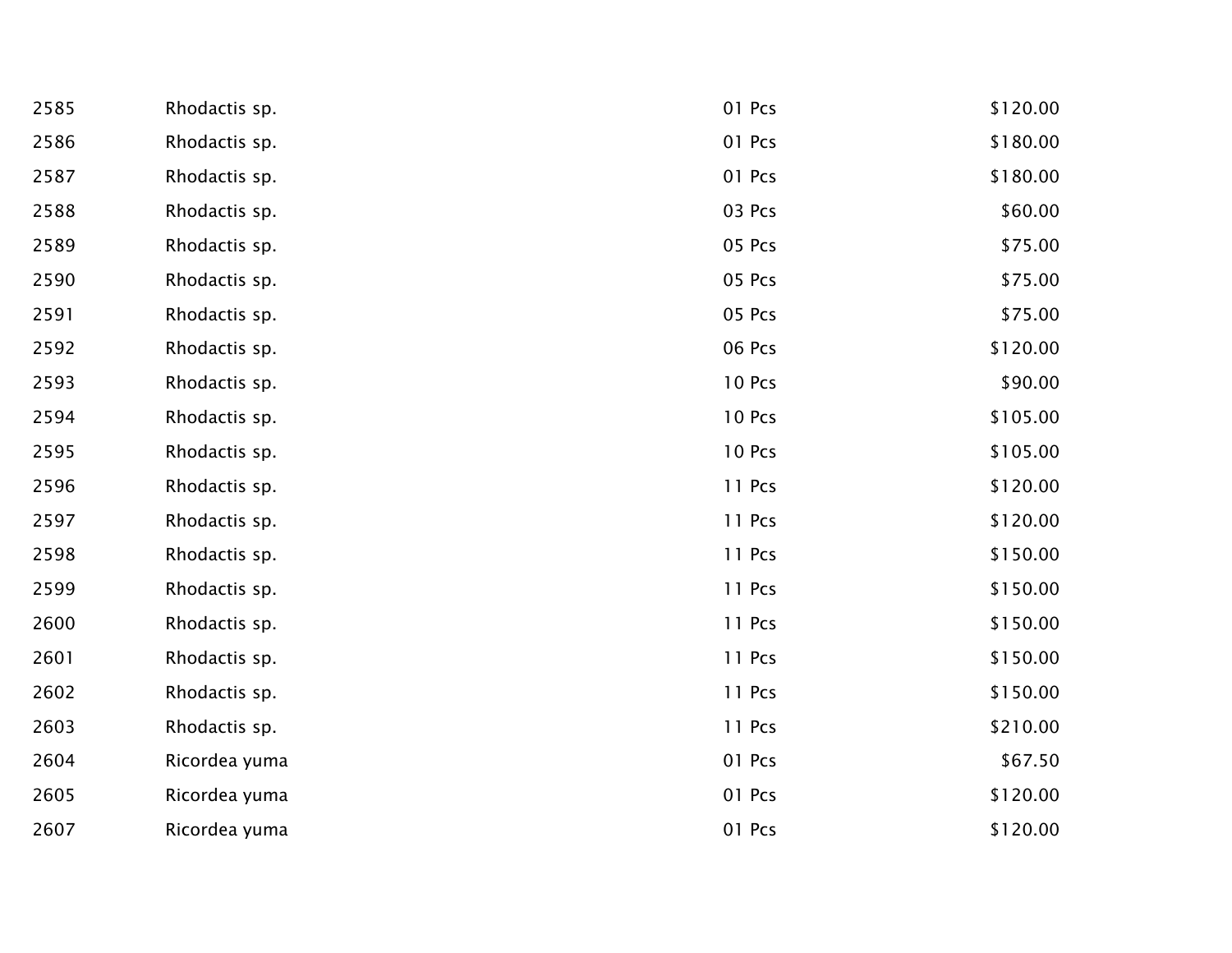| 2585 | Rhodactis sp. | 01 Pcs | \$120.00 |
|------|---------------|--------|----------|
| 2586 | Rhodactis sp. | 01 Pcs | \$180.00 |
| 2587 | Rhodactis sp. | 01 Pcs | \$180.00 |
| 2588 | Rhodactis sp. | 03 Pcs | \$60.00  |
| 2589 | Rhodactis sp. | 05 Pcs | \$75.00  |
| 2590 | Rhodactis sp. | 05 Pcs | \$75.00  |
| 2591 | Rhodactis sp. | 05 Pcs | \$75.00  |
| 2592 | Rhodactis sp. | 06 Pcs | \$120.00 |
| 2593 | Rhodactis sp. | 10 Pcs | \$90.00  |
| 2594 | Rhodactis sp. | 10 Pcs | \$105.00 |
| 2595 | Rhodactis sp. | 10 Pcs | \$105.00 |
| 2596 | Rhodactis sp. | 11 Pcs | \$120.00 |
| 2597 | Rhodactis sp. | 11 Pcs | \$120.00 |
| 2598 | Rhodactis sp. | 11 Pcs | \$150.00 |
| 2599 | Rhodactis sp. | 11 Pcs | \$150.00 |
| 2600 | Rhodactis sp. | 11 Pcs | \$150.00 |
| 2601 | Rhodactis sp. | 11 Pcs | \$150.00 |
| 2602 | Rhodactis sp. | 11 Pcs | \$150.00 |
| 2603 | Rhodactis sp. | 11 Pcs | \$210.00 |
| 2604 | Ricordea yuma | 01 Pcs | \$67.50  |
| 2605 | Ricordea yuma | 01 Pcs | \$120.00 |
| 2607 | Ricordea yuma | 01 Pcs | \$120.00 |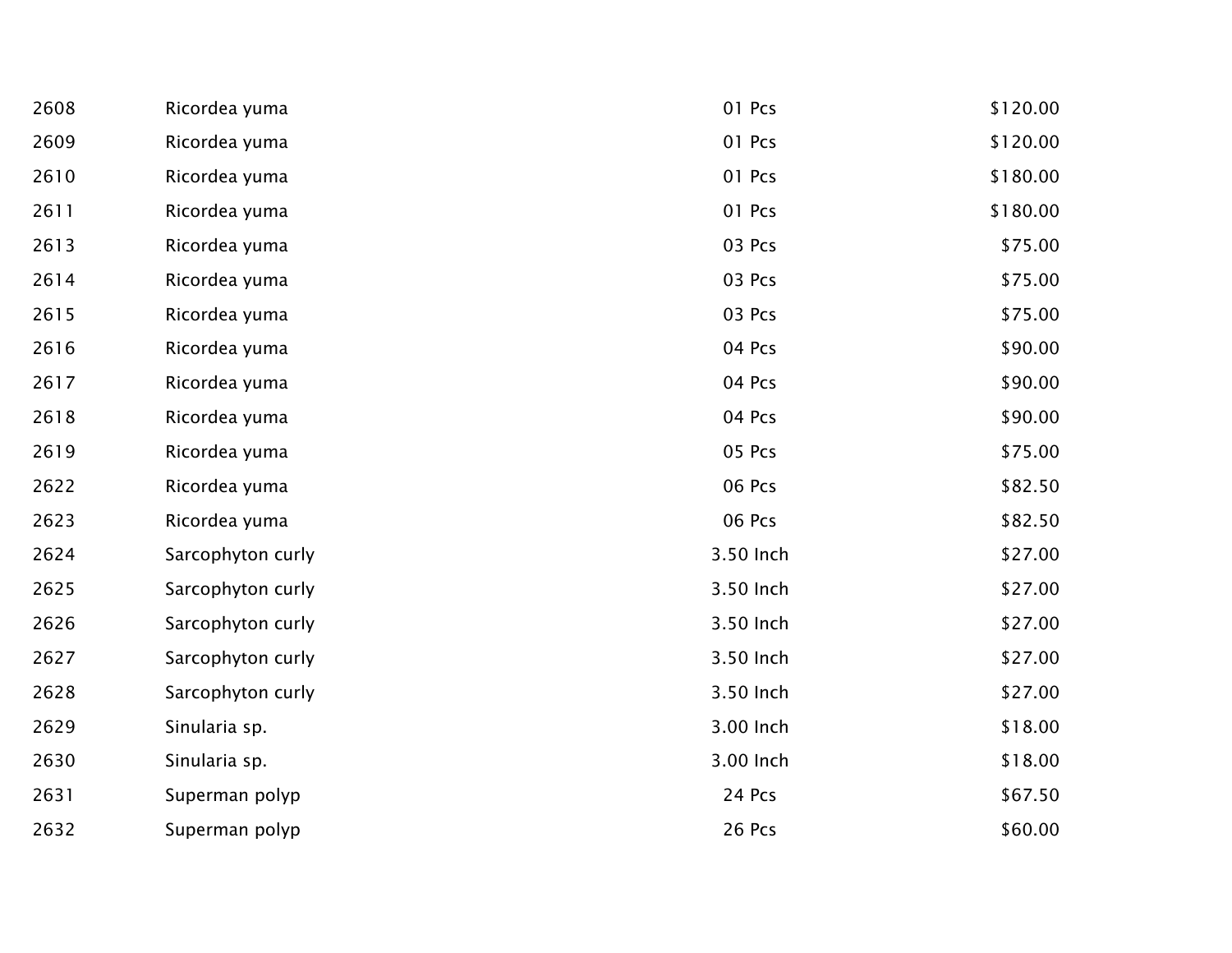| 2608 | Ricordea yuma     | 01 Pcs    | \$120.00 |
|------|-------------------|-----------|----------|
| 2609 | Ricordea yuma     | 01 Pcs    | \$120.00 |
| 2610 | Ricordea yuma     | 01 Pcs    | \$180.00 |
| 2611 | Ricordea yuma     | 01 Pcs    | \$180.00 |
| 2613 | Ricordea yuma     | 03 Pcs    | \$75.00  |
| 2614 | Ricordea yuma     | 03 Pcs    | \$75.00  |
| 2615 | Ricordea yuma     | 03 Pcs    | \$75.00  |
| 2616 | Ricordea yuma     | 04 Pcs    | \$90.00  |
| 2617 | Ricordea yuma     | 04 Pcs    | \$90.00  |
| 2618 | Ricordea yuma     | 04 Pcs    | \$90.00  |
| 2619 | Ricordea yuma     | 05 Pcs    | \$75.00  |
| 2622 | Ricordea yuma     | 06 Pcs    | \$82.50  |
| 2623 | Ricordea yuma     | 06 Pcs    | \$82.50  |
| 2624 | Sarcophyton curly | 3.50 Inch | \$27.00  |
| 2625 | Sarcophyton curly | 3.50 Inch | \$27.00  |
| 2626 | Sarcophyton curly | 3.50 Inch | \$27.00  |
| 2627 | Sarcophyton curly | 3.50 Inch | \$27.00  |
| 2628 | Sarcophyton curly | 3.50 Inch | \$27.00  |
| 2629 | Sinularia sp.     | 3.00 Inch | \$18.00  |
| 2630 | Sinularia sp.     | 3.00 Inch | \$18.00  |
| 2631 | Superman polyp    | 24 Pcs    | \$67.50  |
| 2632 | Superman polyp    | 26 Pcs    | \$60.00  |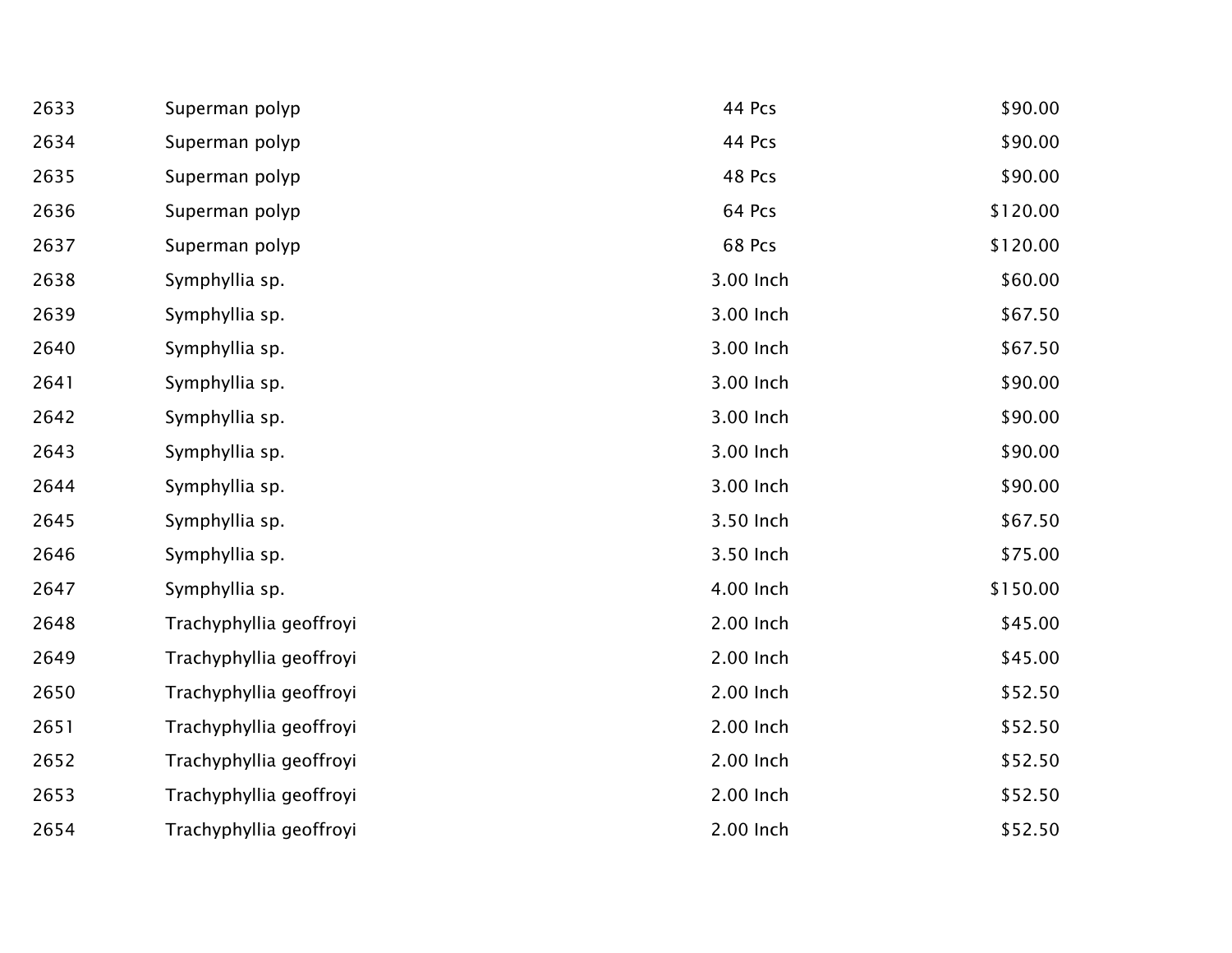| 2633 | Superman polyp          | 44 Pcs    | \$90.00  |
|------|-------------------------|-----------|----------|
| 2634 | Superman polyp          | 44 Pcs    | \$90.00  |
| 2635 | Superman polyp          | 48 Pcs    | \$90.00  |
| 2636 | Superman polyp          | 64 Pcs    | \$120.00 |
| 2637 | Superman polyp          | 68 Pcs    | \$120.00 |
| 2638 | Symphyllia sp.          | 3.00 Inch | \$60.00  |
| 2639 | Symphyllia sp.          | 3.00 Inch | \$67.50  |
| 2640 | Symphyllia sp.          | 3.00 Inch | \$67.50  |
| 2641 | Symphyllia sp.          | 3.00 Inch | \$90.00  |
| 2642 | Symphyllia sp.          | 3.00 Inch | \$90.00  |
| 2643 | Symphyllia sp.          | 3.00 Inch | \$90.00  |
| 2644 | Symphyllia sp.          | 3.00 Inch | \$90.00  |
| 2645 | Symphyllia sp.          | 3.50 Inch | \$67.50  |
| 2646 | Symphyllia sp.          | 3.50 Inch | \$75.00  |
| 2647 | Symphyllia sp.          | 4.00 Inch | \$150.00 |
| 2648 | Trachyphyllia geoffroyi | 2.00 Inch | \$45.00  |
| 2649 | Trachyphyllia geoffroyi | 2.00 Inch | \$45.00  |
| 2650 | Trachyphyllia geoffroyi | 2.00 Inch | \$52.50  |
| 2651 | Trachyphyllia geoffroyi | 2.00 Inch | \$52.50  |
| 2652 | Trachyphyllia geoffroyi | 2.00 Inch | \$52.50  |
| 2653 | Trachyphyllia geoffroyi | 2.00 Inch | \$52.50  |
| 2654 | Trachyphyllia geoffroyi | 2.00 Inch | \$52.50  |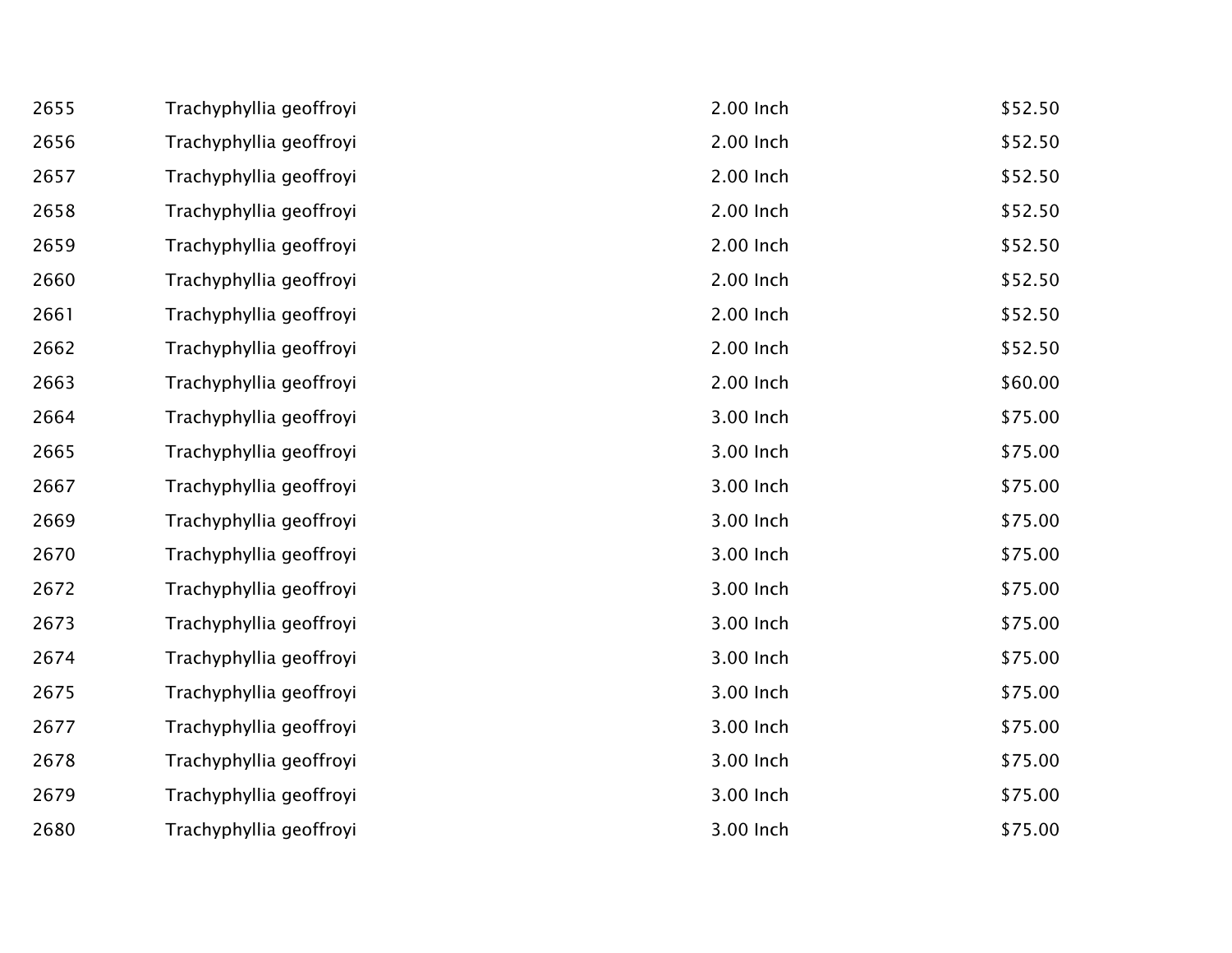| 2655 | Trachyphyllia geoffroyi | 2.00 Inch | \$52.50 |
|------|-------------------------|-----------|---------|
| 2656 | Trachyphyllia geoffroyi | 2.00 Inch | \$52.50 |
| 2657 | Trachyphyllia geoffroyi | 2.00 Inch | \$52.50 |
| 2658 | Trachyphyllia geoffroyi | 2.00 Inch | \$52.50 |
| 2659 | Trachyphyllia geoffroyi | 2.00 Inch | \$52.50 |
| 2660 | Trachyphyllia geoffroyi | 2.00 Inch | \$52.50 |
| 2661 | Trachyphyllia geoffroyi | 2.00 Inch | \$52.50 |
| 2662 | Trachyphyllia geoffroyi | 2.00 Inch | \$52.50 |
| 2663 | Trachyphyllia geoffroyi | 2.00 Inch | \$60.00 |
| 2664 | Trachyphyllia geoffroyi | 3.00 Inch | \$75.00 |
| 2665 | Trachyphyllia geoffroyi | 3.00 Inch | \$75.00 |
| 2667 | Trachyphyllia geoffroyi | 3.00 Inch | \$75.00 |
| 2669 | Trachyphyllia geoffroyi | 3.00 Inch | \$75.00 |
| 2670 | Trachyphyllia geoffroyi | 3.00 Inch | \$75.00 |
| 2672 | Trachyphyllia geoffroyi | 3.00 Inch | \$75.00 |
| 2673 | Trachyphyllia geoffroyi | 3.00 Inch | \$75.00 |
| 2674 | Trachyphyllia geoffroyi | 3.00 Inch | \$75.00 |
| 2675 | Trachyphyllia geoffroyi | 3.00 Inch | \$75.00 |
| 2677 | Trachyphyllia geoffroyi | 3.00 Inch | \$75.00 |
| 2678 | Trachyphyllia geoffroyi | 3.00 Inch | \$75.00 |
| 2679 | Trachyphyllia geoffroyi | 3.00 Inch | \$75.00 |
| 2680 | Trachyphyllia geoffroyi | 3.00 Inch | \$75.00 |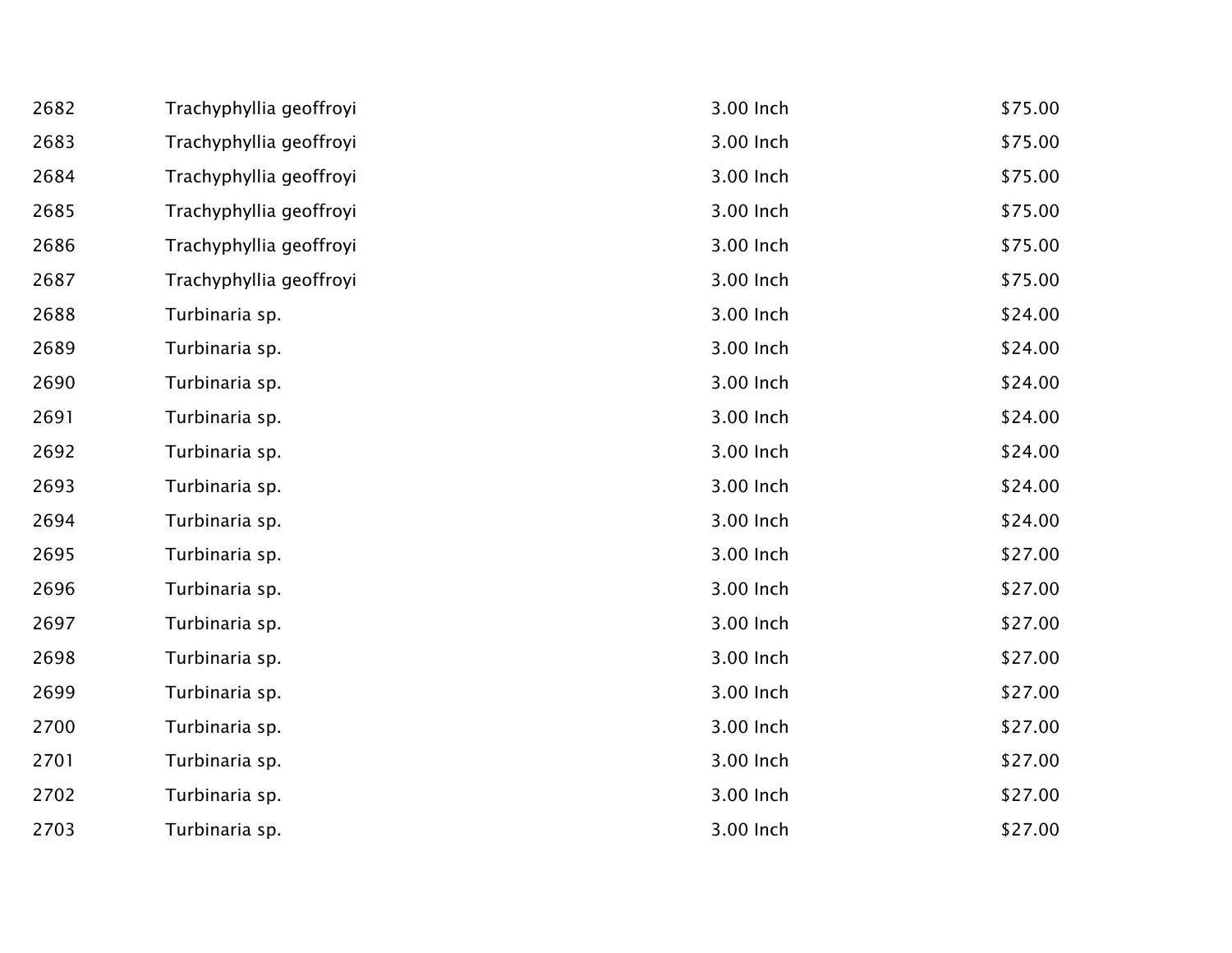| 2682 | Trachyphyllia geoffroyi | 3.00 Inch | \$75.00 |
|------|-------------------------|-----------|---------|
| 2683 | Trachyphyllia geoffroyi | 3.00 Inch | \$75.00 |
| 2684 | Trachyphyllia geoffroyi | 3.00 Inch | \$75.00 |
| 2685 | Trachyphyllia geoffroyi | 3.00 Inch | \$75.00 |
| 2686 | Trachyphyllia geoffroyi | 3.00 Inch | \$75.00 |
| 2687 | Trachyphyllia geoffroyi | 3.00 Inch | \$75.00 |
| 2688 | Turbinaria sp.          | 3.00 Inch | \$24.00 |
| 2689 | Turbinaria sp.          | 3.00 Inch | \$24.00 |
| 2690 | Turbinaria sp.          | 3.00 Inch | \$24.00 |
| 2691 | Turbinaria sp.          | 3.00 Inch | \$24.00 |
| 2692 | Turbinaria sp.          | 3.00 Inch | \$24.00 |
| 2693 | Turbinaria sp.          | 3.00 Inch | \$24.00 |
| 2694 | Turbinaria sp.          | 3.00 Inch | \$24.00 |
| 2695 | Turbinaria sp.          | 3.00 Inch | \$27.00 |
| 2696 | Turbinaria sp.          | 3.00 Inch | \$27.00 |
| 2697 | Turbinaria sp.          | 3.00 Inch | \$27.00 |
| 2698 | Turbinaria sp.          | 3.00 Inch | \$27.00 |
| 2699 | Turbinaria sp.          | 3.00 Inch | \$27.00 |
| 2700 | Turbinaria sp.          | 3.00 Inch | \$27.00 |
| 2701 | Turbinaria sp.          | 3.00 Inch | \$27.00 |
| 2702 | Turbinaria sp.          | 3.00 Inch | \$27.00 |
| 2703 | Turbinaria sp.          | 3.00 Inch | \$27.00 |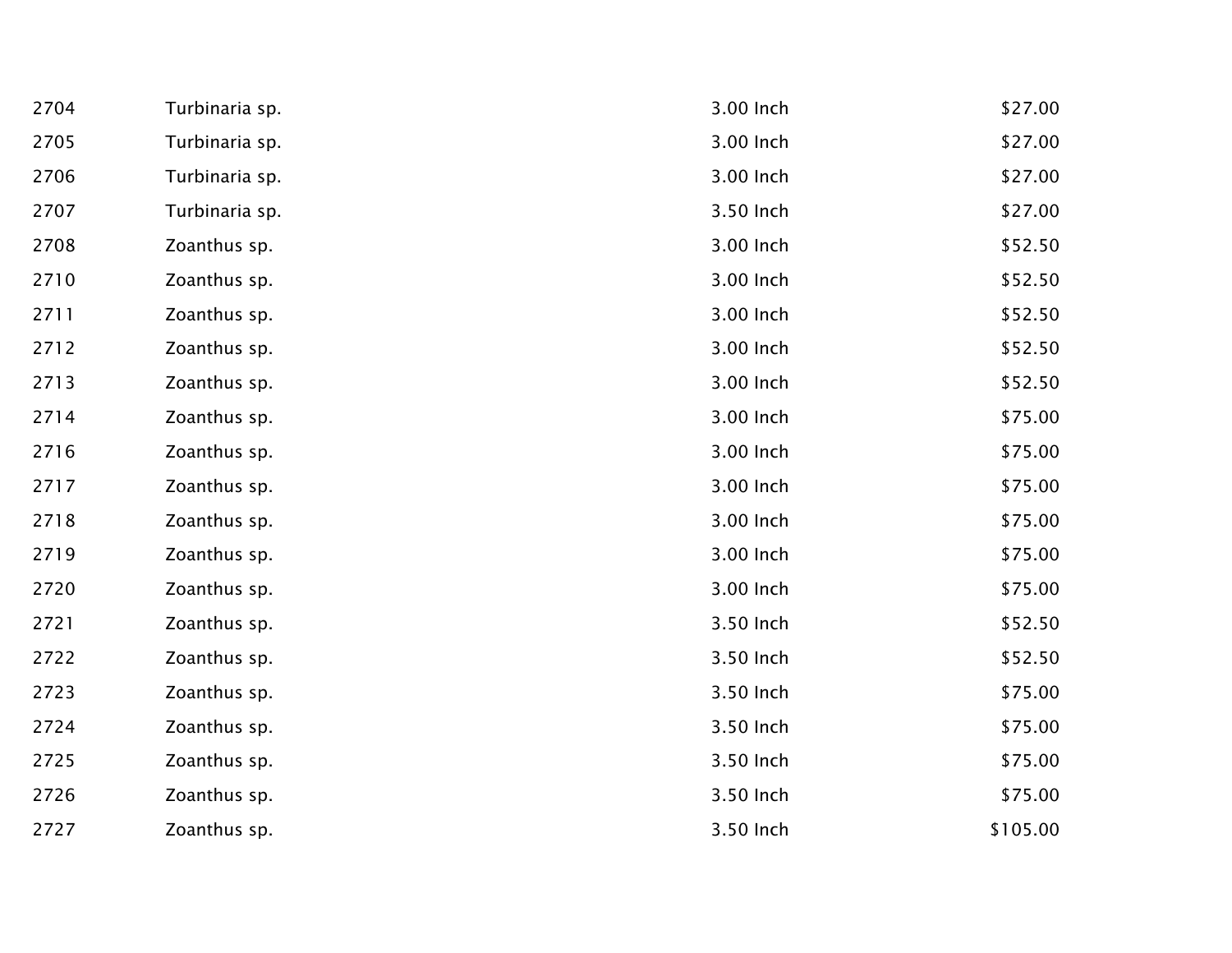| 2704 | Turbinaria sp. | 3.00 Inch | \$27.00  |
|------|----------------|-----------|----------|
| 2705 | Turbinaria sp. | 3.00 Inch | \$27.00  |
| 2706 | Turbinaria sp. | 3.00 Inch | \$27.00  |
| 2707 | Turbinaria sp. | 3.50 Inch | \$27.00  |
| 2708 | Zoanthus sp.   | 3.00 Inch | \$52.50  |
| 2710 | Zoanthus sp.   | 3.00 Inch | \$52.50  |
| 2711 | Zoanthus sp.   | 3.00 Inch | \$52.50  |
| 2712 | Zoanthus sp.   | 3.00 Inch | \$52.50  |
| 2713 | Zoanthus sp.   | 3.00 Inch | \$52.50  |
| 2714 | Zoanthus sp.   | 3.00 Inch | \$75.00  |
| 2716 | Zoanthus sp.   | 3.00 Inch | \$75.00  |
| 2717 | Zoanthus sp.   | 3.00 Inch | \$75.00  |
| 2718 | Zoanthus sp.   | 3.00 Inch | \$75.00  |
| 2719 | Zoanthus sp.   | 3.00 Inch | \$75.00  |
| 2720 | Zoanthus sp.   | 3.00 Inch | \$75.00  |
| 2721 | Zoanthus sp.   | 3.50 Inch | \$52.50  |
| 2722 | Zoanthus sp.   | 3.50 Inch | \$52.50  |
| 2723 | Zoanthus sp.   | 3.50 Inch | \$75.00  |
| 2724 | Zoanthus sp.   | 3.50 Inch | \$75.00  |
| 2725 | Zoanthus sp.   | 3.50 Inch | \$75.00  |
| 2726 | Zoanthus sp.   | 3.50 Inch | \$75.00  |
| 2727 | Zoanthus sp.   | 3.50 Inch | \$105.00 |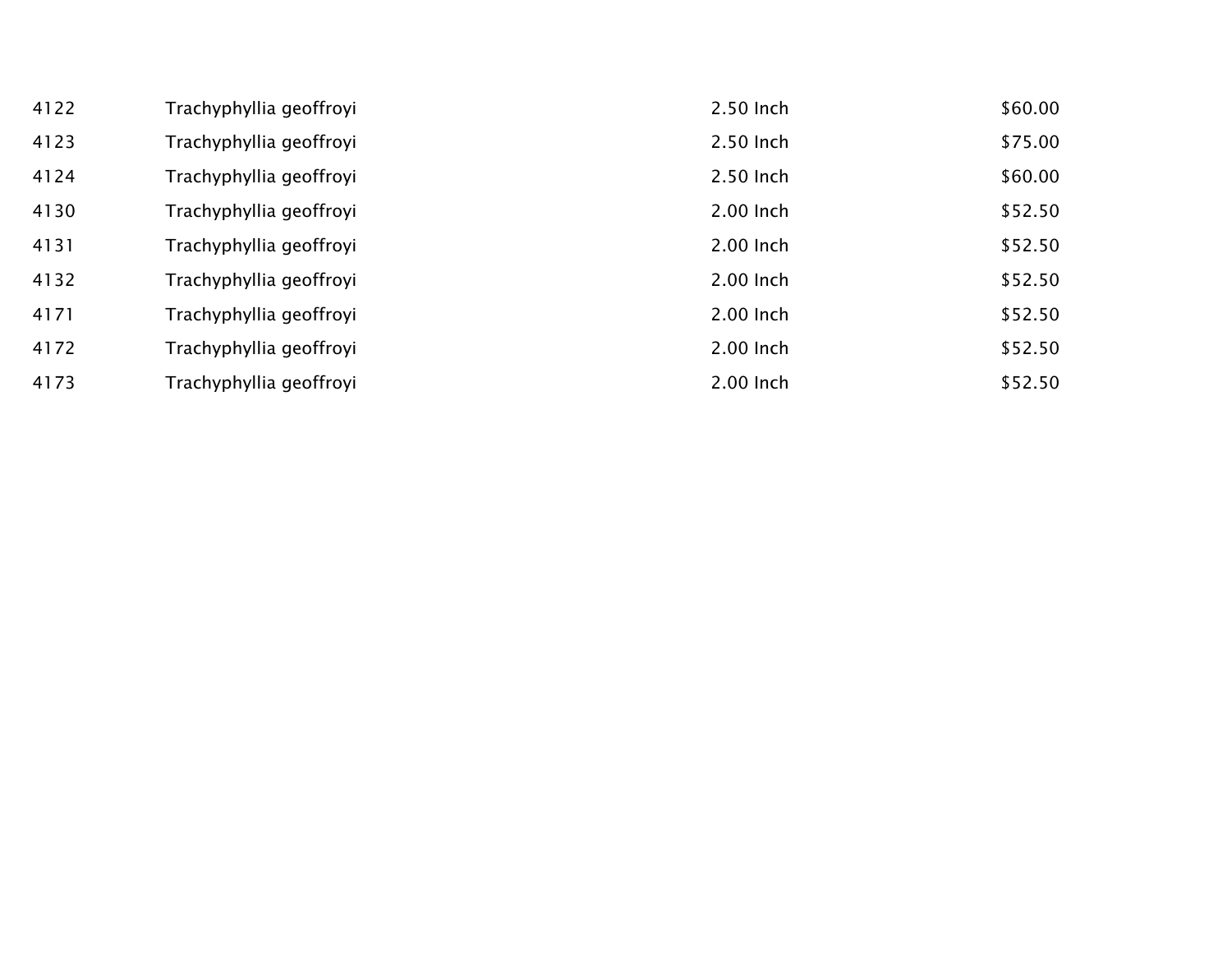| 4122 | Trachyphyllia geoffroyi | 2.50 Inch | \$60.00 |
|------|-------------------------|-----------|---------|
| 4123 | Trachyphyllia geoffroyi | 2.50 Inch | \$75.00 |
| 4124 | Trachyphyllia geoffroyi | 2.50 Inch | \$60.00 |
| 4130 | Trachyphyllia geoffroyi | 2.00 Inch | \$52.50 |
| 4131 | Trachyphyllia geoffroyi | 2.00 Inch | \$52.50 |
| 4132 | Trachyphyllia geoffroyi | 2.00 Inch | \$52.50 |
| 4171 | Trachyphyllia geoffroyi | 2.00 Inch | \$52.50 |
| 4172 | Trachyphyllia geoffroyi | 2.00 Inch | \$52.50 |
| 4173 | Trachyphyllia geoffroyi | 2.00 Inch | \$52.50 |